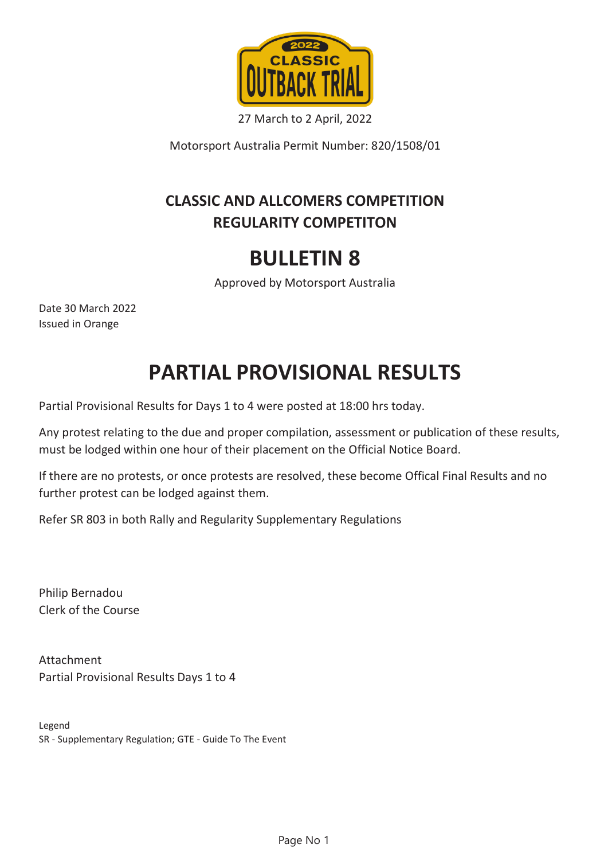

27 March to 2 April, 2022

Motorsport Australia Permit Number: 820/1508/01

## **CLASSIC AND ALLCOMERS COMPETITION REGULARITY COMPETITON**

## **BULLETIN 8**

Approved by Motorsport Australia

Date 30 March 2022 Issued in Orange

## **PARTIAL PROVISIONAL RESULTS**

Partial Provisional Results for Days 1 to 4 were posted at 18:00 hrs today.

Any protest relating to the due and proper compilation, assessment or publication of these results, must be lodged within one hour of their placement on the Official Notice Board.

If there are no protests, or once protests are resolved, these become Offical Final Results and no further protest can be lodged against them.

Refer SR 803 in both Rally and Regularity Supplementary Regulations

Philip Bernadou Clerk of the Course

Attachment Partial Provisional Results Days 1 to 4

Legend SR - Supplementary Regulation; GTE - Guide To The Event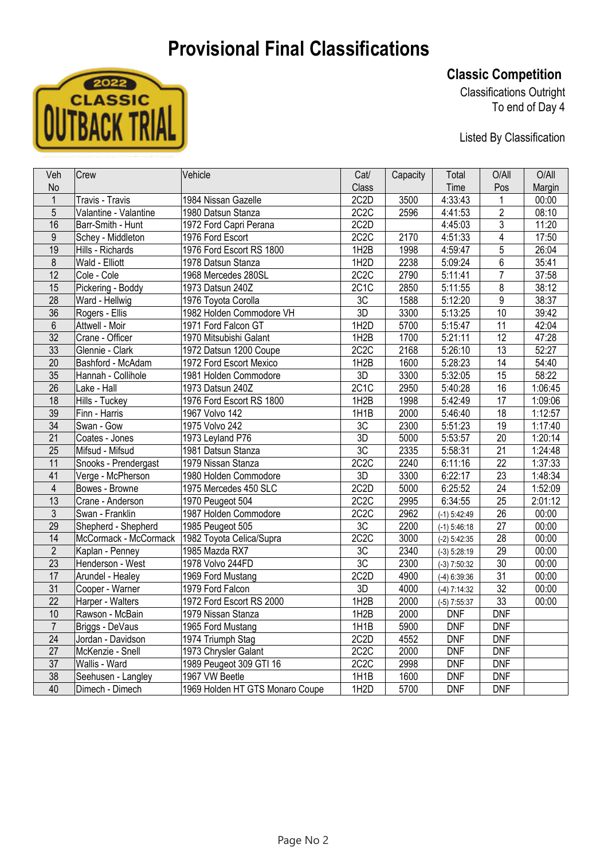## **Provisional Final Classifications**



**Classic Competition** 

Classifications Outright To end of Day 4

Listed By Classification

| Veh                     | Crew                  | Vehicle                         | Cat/              | Capacity | Total          | O/All           | O/All   |
|-------------------------|-----------------------|---------------------------------|-------------------|----------|----------------|-----------------|---------|
| <b>No</b>               |                       |                                 | Class             |          | Time           | Pos             | Margin  |
| $\mathbf{1}$            | Travis - Travis       | 1984 Nissan Gazelle             | 2C <sub>2</sub> D | 3500     | 4:33:43        | $\mathbf{1}$    | 00:00   |
| 5                       | Valantine - Valantine | 1980 Datsun Stanza              | 2C <sub>2</sub> C | 2596     | 4:41:53        | $\overline{2}$  | 08:10   |
| 16                      | Barr-Smith - Hunt     | 1972 Ford Capri Perana          | 2C <sub>2</sub> D |          | 4:45:03        | 3               | 11:20   |
| 9                       | Schey - Middleton     | 1976 Ford Escort                | 2C <sub>2</sub> C | 2170     | 4:51:33        | $\overline{4}$  | 17:50   |
| 19                      | Hills - Richards      | 1976 Ford Escort RS 1800        | 1H <sub>2</sub> B | 1998     | 4:59:47        | 5               | 26:04   |
| 8                       | Wald - Elliott        | 1978 Datsun Stanza              | 1H <sub>2</sub> D | 2238     | 5:09:24        | 6               | 35:41   |
| 12                      | Cole - Cole           | 1968 Mercedes 280SL             | 2C <sub>2</sub> C | 2790     | 5:11:41        | $\overline{7}$  | 37:58   |
| 15                      | Pickering - Boddy     | 1973 Datsun 240Z                | 2C1C              | 2850     | 5:11:55        | 8               | 38:12   |
| 28                      | Ward - Hellwig        | 1976 Toyota Corolla             | 3C                | 1588     | 5:12:20        | $\overline{9}$  | 38:37   |
| 36                      | Rogers - Ellis        | 1982 Holden Commodore VH        | 3D                | 3300     | 5:13:25        | 10              | 39:42   |
| 6                       | Attwell - Moir        | 1971 Ford Falcon GT             | 1H <sub>2</sub> D | 5700     | 5:15:47        | 11              | 42:04   |
| 32                      | Crane - Officer       | 1970 Mitsubishi Galant          | 1H <sub>2</sub> B | 1700     | 5:21:11        | 12              | 47:28   |
| 33                      | Glennie - Clark       | 1972 Datsun 1200 Coupe          | 2C <sub>2</sub> C | 2168     | 5:26:10        | 13              | 52:27   |
| 20                      | Bashford - McAdam     | 1972 Ford Escort Mexico         | 1H2B              | 1600     | 5:28:23        | 14              | 54:40   |
| 35                      | Hannah - Collihole    | 1981 Holden Commodore           | 3D                | 3300     | 5:32:05        | 15              | 58:22   |
| 26                      | Lake - Hall           | 1973 Datsun 240Z                | 2C1C              | 2950     | 5:40:28        | 16              | 1:06:45 |
| 18                      | Hills - Tuckey        | 1976 Ford Escort RS 1800        | 1H2B              | 1998     | 5:42:49        | 17              | 1:09:06 |
| 39                      | Finn - Harris         | 1967 Volvo 142                  | 1H1B              | 2000     | 5:46:40        | 18              | 1:12:57 |
| 34                      | Swan - Gow            | 1975 Volvo 242                  | 3C                | 2300     | 5:51:23        | 19              | 1:17:40 |
| 21                      | Coates - Jones        | 1973 Leyland P76                | 3D                | 5000     | 5:53:57        | 20              | 1:20:14 |
| 25                      | Mifsud - Mifsud       | 1981 Datsun Stanza              | 3C                | 2335     | 5:58:31        | 21              | 1:24:48 |
| 11                      | Snooks - Prendergast  | 1979 Nissan Stanza              | 2C <sub>2</sub> C | 2240     | 6:11:16        | 22              | 1:37:33 |
| 41                      | Verge - McPherson     | 1980 Holden Commodore           | 3D                | 3300     | 6:22:17        | 23              | 1:48:34 |
| $\overline{\mathbf{4}}$ | Bowes - Browne        | 1975 Mercedes 450 SLC           | 2C <sub>2</sub> D | 5000     | 6:25:52        | 24              | 1:52:09 |
| $\overline{13}$         | Crane - Anderson      | 1970 Peugeot 504                | 2C <sub>2</sub> C | 2995     | 6:34:55        | 25              | 2:01:12 |
| 3                       | Swan - Franklin       | 1987 Holden Commodore           | 2C <sub>2</sub> C | 2962     | $(-1) 5:42:49$ | 26              | 00:00   |
| 29                      | Shepherd - Shepherd   | 1985 Peugeot 505                | 3C                | 2200     | $(-1)$ 5:46:18 | 27              | 00:00   |
| 14                      | McCormack - McCormack | 1982 Toyota Celica/Supra        | 2C <sub>2</sub> C | 3000     | $(-2)$ 5:42:35 | 28              | 00:00   |
| $\overline{2}$          | Kaplan - Penney       | 1985 Mazda RX7                  | 3C                | 2340     | $(-3) 5:28:19$ | 29              | 00:00   |
| 23                      | Henderson - West      | 1978 Volvo 244FD                | $\overline{3C}$   | 2300     | $(-3)$ 7:50:32 | 30              | 00:00   |
| 17                      | Arundel - Healey      | 1969 Ford Mustang               | 2C <sub>2</sub> D | 4900     | $(-4)$ 6:39:36 | 31              | 00:00   |
| $\overline{31}$         | Cooper - Warner       | 1979 Ford Falcon                | 3D                | 4000     | $(-4)$ 7:14:32 | $\overline{32}$ | 00:00   |
| 22                      | Harper - Walters      | 1972 Ford Escort RS 2000        | 1H2B              | 2000     | $(-5)$ 7:55:37 | 33              | 00:00   |
| 10                      | Rawson - McBain       | 1979 Nissan Stanza              | 1H <sub>2</sub> B | 2000     | <b>DNF</b>     | <b>DNF</b>      |         |
| $\overline{7}$          | Briggs - DeVaus       | 1965 Ford Mustang               | 1H1B              | 5900     | <b>DNF</b>     | <b>DNF</b>      |         |
| 24                      | Jordan - Davidson     | 1974 Triumph Stag               | 2C <sub>2</sub> D | 4552     | <b>DNF</b>     | <b>DNF</b>      |         |
| 27                      | McKenzie - Snell      | 1973 Chrysler Galant            | 2C2C              | 2000     | <b>DNF</b>     | DNF             |         |
| 37                      | Wallis - Ward         | 1989 Peugeot 309 GTI 16         | 2C2C              | 2998     | <b>DNF</b>     | <b>DNF</b>      |         |
| 38                      | Seehusen - Langley    | 1967 VW Beetle                  | 1H1B              | 1600     | <b>DNF</b>     | <b>DNF</b>      |         |
| 40                      | Dimech - Dimech       | 1969 Holden HT GTS Monaro Coupe | 1H <sub>2</sub> D | 5700     | <b>DNF</b>     | <b>DNF</b>      |         |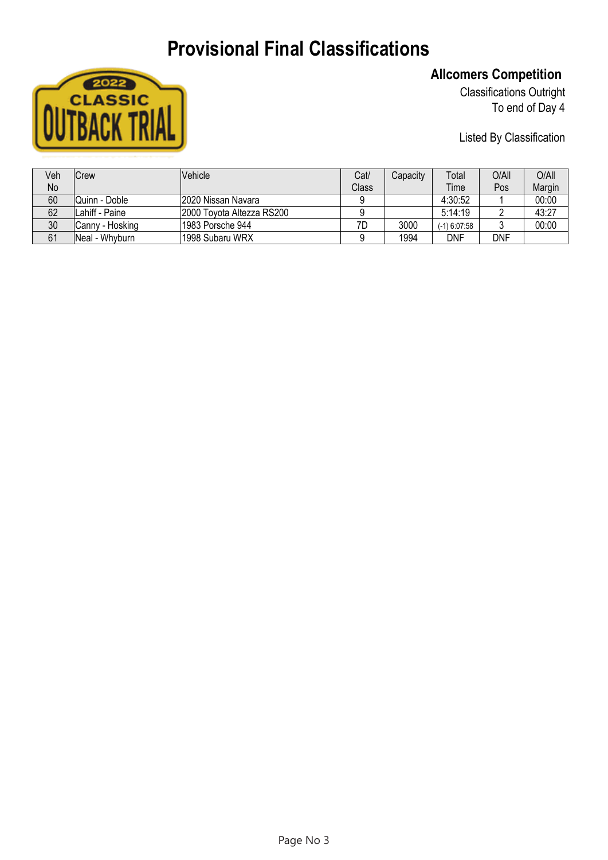## **Provisional Final Classifications**



### **Allcomers Competition**

Classifications Outright To end of Day 4

Listed By Classification

| Veh       | <b>Crew</b>     | Vehicle                   | Cat/  | Capacity | Total          | O/All | O/All  |
|-----------|-----------------|---------------------------|-------|----------|----------------|-------|--------|
| <b>No</b> |                 |                           | Class |          | Time           | Pos   | Margin |
| 60        | Quinn - Doble   | 2020 Nissan Navara        |       |          | 4:30:52        |       | 00:00  |
| 62        | ILahiff - Paine | 2000 Toyota Altezza RS200 |       |          | 5:14:19        |       | 43:27  |
| 30        | Canny - Hosking | 1983 Porsche 944          | 7D    | 3000     | $(-1)$ 6:07:58 |       | 00:00  |
| 61        | Neal - Whyburn  | 1998 Subaru WRX           |       | 1994     | DNF            | DNF   |        |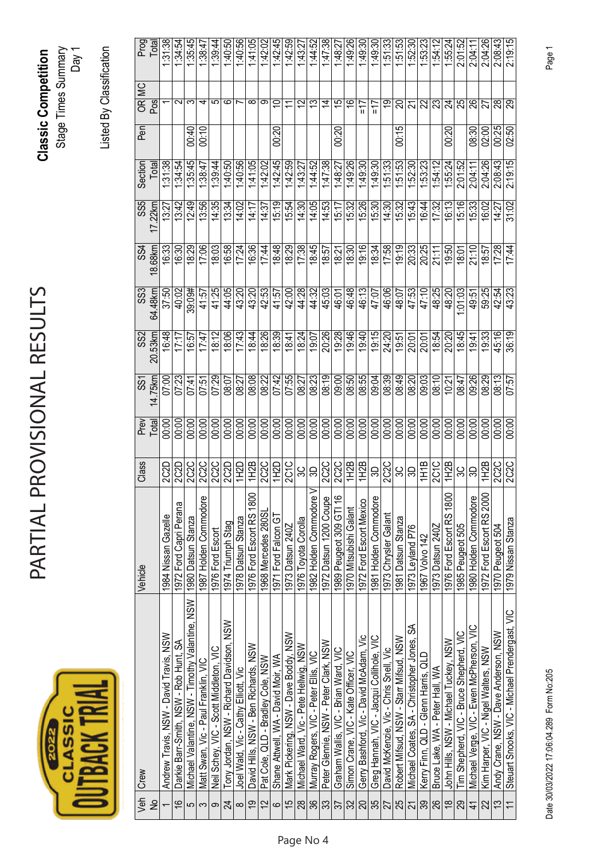# **CLASSIC**<br>UTBACK TRIA

## PARTIAL PROVISIONAL RESULTS PARTIAL PROVISIONAL RESULTS

**Classic Competition**  Stage Times Summary Classic Competition<br>Stage Times Summary<br>Day 1

Listed By Classification Listed By Classification

| Veh                      | Crew                                            | Vehicle                  | Class             | Prev  | SS1     | SS <sub>2</sub> | SS <sub>3</sub> | SS4     | SS <sub>5</sub> | Section | Pen         | OR MC              | Prog    |
|--------------------------|-------------------------------------------------|--------------------------|-------------------|-------|---------|-----------------|-----------------|---------|-----------------|---------|-------------|--------------------|---------|
| $\frac{1}{2}$            |                                                 |                          |                   | Total | 14.75km | 20.53km         | 64.48km         | 18.68km | 17.22km         | Total   |             | Pos                | Total   |
|                          | Andrew Travis, NSW - David Travis, NSW          | 1984 Nissan Gazelle      | 2C2D              | 00:00 | 07:00   | 16:48           | 37:50           | 16:33   | 13:27           | 1:31:38 |             |                    | 1:31:38 |
| $\frac{6}{1}$            | Darkie Barr-Smith, NSW - Rob Hunt, SA           | 1972 Ford Capri Perana   | 2C2D              | 00:00 | 07:23   | 17:17           | 40:02           | 16:30   | 13:42           | 1:34:54 |             | $\scriptstyle\sim$ | 1:34:54 |
| 5                        | Michael Valantine, NSW - Timothy Valantine, NSW | 1980 Datsun Stanza       | <b>2C2C</b>       | 00:00 | 07:41   | 16:57           | 39:09#          | 18:29   | 12:49           | 1.35:45 | 00.40       | ო                  | 1.35:45 |
| က                        | Matt Swan, Vic - Paul Franklin, VIC             | 1987 Holden Commodore    | 2C2C              | 00:00 | 07:51   | 17:47           | 41.57           | 17:06   | 13:56           | 1:38:47 | 00:10       | ч                  | 1:38:47 |
| တ                        | Neil Schey, VIC - Scott Middleton, VIC          | 1976 Ford Escort         | <b>2C2C</b>       | 00:00 | 07:29   | 18:12           | 41:25           | 18:03   | 14:35           | 1:39:44 |             | ю                  | 1.39:44 |
| 24                       | Tony Jordan, NSW - Richard Davidson, NSW        | 1974 Triumph Stag        | 2C2D              | 00:00 | 08:07   | 18:06           | 44:05           | 16:58   | 13:34           | 1:40:50 |             | ဖ                  | 1:40:50 |
| $\infty$                 | Joel Wald, Vic - Cathy Elliott, Vic             | 1978 Datsun Stanza       | 1H2D              | 00:00 | 08:27   | 17:43           | 43:20           | 17:24   | 14:02           | 1:40:56 |             |                    | 1:40:56 |
| $\overline{9}$           | David Hills, NSW - Ben Richards, NSW            | 1976 Ford Escort RS 1800 | 1H2B              | 00:00 | 08:08   | 18:44           | 43:20           | 16:36   | 14:17           | 1:41.05 |             | ∞                  | 1:41:05 |
| $\overline{2}$           | Pat Cole, QLD - Bradley Cole, NSW               | 1968 Mercedes 280SL      | <b>2C2C</b>       | 00:00 | 08:22   | 18:26           | 42:53           | 17:44   | 14:37           | 1:42:02 |             | တ                  | 1:42:02 |
| $\circ$                  | Shane Attwell, WA - David Moir, WA              | 1971 Ford Falcon GT      | 1H2D              | 00:00 | 07:42   | 18:39           | 41:57           | 18:48   | 15:19           | 1.42.45 | 00:20       |                    | 1:42:45 |
| $\overline{5}$           | Mark Pickering, NSW - Dave Boddy, NSW           | 1973 Datsun 240Z         | 2C <sub>1C</sub>  | 00:00 | 07:55   | 18.41           | 42:00           | 18:29   | 15:54           | 1:42:59 |             |                    | 1:42:59 |
| $\frac{8}{2}$            | Michael Ward, Vic - Pete Hellwig, NSW           | 1976 Toyota Corolla      | SC                | 00:00 | 08:27   | 18:24           | 44:28           | 17:38   | 14:30           | 1:43:27 |             | ب<br>>             | 1:43:27 |
| 36                       | Murray Rogers, VIC - Peter Ellis, VIC           | 1982 Holden Commodore V  | SO,               | 00:00 | 08:23   | 19:07           | 44:32           | 18:45   | 14:05           | 1:44:52 |             | చ                  | 1:44:52 |
| အိ                       | Peter Glennie, NSW - Peter Clark, NSW           | 1972 Datsun 1200 Coupe   | 2C <sub>2</sub> C | 00:00 | 08:19   | 20:26           | 45:03           | 18:57   | 14:53           | 1.47:38 |             | $\overline{4}$     | 1:47:38 |
| 37                       | Graham Wallis, VIC - Brian Ward, VIC            | 1989 Peugeot 309 GTI 16  | 2C2C              | 00:00 | 09:00   | 19:28           | 46:01           | 18:21   | 15:17           | 1:48:27 | 00:20       | $\frac{5}{1}$      | 1:48:27 |
| 32                       | Simon Crane, VIC - Kate Officer, VIC            | 1970 Mitsubishi Galant   | 1H2B              | 00:00 | 08:50   | 19:46           | 46:48           | 18:30   | 15:32           | 1:49:26 |             | ې                  | 1:49:26 |
| 20                       | Gerry Bashford, Vic - David McAdam, Vic         | 1972 Ford Escort Mexico  | 1H2B              | 00:00 | 08:55   | 19:40           | 46:13           | 19:16   | 15:26           | 1:49:30 |             | $\frac{1}{2}$      | 1:49:30 |
| 35                       | Greg Hannah, VIC - Jacqui Collihole, VIC        | 1981 Holden Commodore    | S)                | 00:00 | 09:04   | 19:15           | 47:07           | 18:34   | 15:30           | 1:49:30 |             | 7L                 | 1:49:30 |
| 27                       | David McKenzie, Vic - Chris Snell, Vic          | 1973 Chrysler Galant     | 2C2C              | 00:00 | 08:39   | 24:20           | 46:06           | 17:58   | 14:30           | 1:51:33 |             | <u>ဇာ</u>          | 1:51:33 |
| 25                       | Robert Mifsud, NSW - Starr Mifsud, NSW          | 1981 Datsun Stanza       | స్ల               | 00:00 | 08:49   | 19:51           | 48:07           | 19:19   | 15:32           | l:51:53 | $\tilde{e}$ | ສ                  | 1.51.53 |
|                          | Michael Coates, SA - Christopher Jones, SA      | 1973 Leyland P76         | S                 | 00:00 | 08:20   | 20:01           | 47:53           | 20:33   | 15:43           | 1:52:30 |             | 21                 | 1:52:30 |
| 39                       | Kerry Finn, QLD - Glenn Harris, QLD             | 1967 Volvo 142           | 1H1B              | 00:00 | 09:03   | 20:01           | 47:10           | 20:25   | 16:44           | 1:53:23 |             | 22                 | 153:23  |
| 26                       | Bruce Lake, WA - Peter Hall WA                  | 1973 Datsun 240Z         | 2C1C              | 00:00 | 08:10   | 18:54           | 48:25           | 21:11   | 17:32           | 1:54:12 |             | 23                 | 1:54:12 |
| $\frac{8}{18}$           | John Hills, NSW - Michael Tuckey, NSW           | 1976 Ford Escort RS 1800 | 1H2B              | 00:00 | 10:21   | 20:20           | 48:20           | 19:50   | 16:13           | 1:55:24 | 00:20       | 24                 | 1:55:24 |
| 29                       | Tim Shepherd, VIC - Bruce Shepherd, VIC         | 1985 Peugeot 505         | స్ల               | 00:00 | 08:47   | 18:45           | $-01.03$        | 18.01   | 15:16           | 2:01:52 |             | 25                 | 2:01:52 |
| $\frac{4}{3}$            | Michael Verge, VIC - Ewen McPherson, VIC        | 1980 Holden Commodore    | SO,               | 00:00 | 09:26   | $rac{1}{9}$     | 49:51           | 21:10   | 15:33           | 2:04:11 | 08:30       | 26                 | 2.04:1  |
| 22                       | Kim Harper, VIC - Nigel Walters, NSW            | 1972 Ford Escort RS 2000 | 1H2B              | 00:00 | 08:29   | 19:33           | 59:25           | 18:57   | 16:02           | 2:04:26 | 02:00       | 27                 | 2:04:26 |
| $\tilde{\mathfrak{c}}$   | Andy Crane, NSW - Dave Anderson, NSW            | 1970 Peugeot 504         | 2020              | 00:00 | 08:13   | 45:16           | 42:54           | 17:28   | 14:27           | 2:08:43 | 00:25       | 28                 | 2:08:43 |
| $\overline{\phantom{0}}$ | Steuart Snooks, VIC - Michael Prendergast, VIC  | 1979 Nissan Stanza       |                   | 00:00 | 07:57   | 36:19           | 43:23           | 17:44   | 31:02           | 2:19:15 | 02:50       | 29                 | 2:19:15 |

Date 30/03/2022 17:06:04.289 Form No:205 Page 1 Date 30/03/2022 17:06:04.289 Form No:205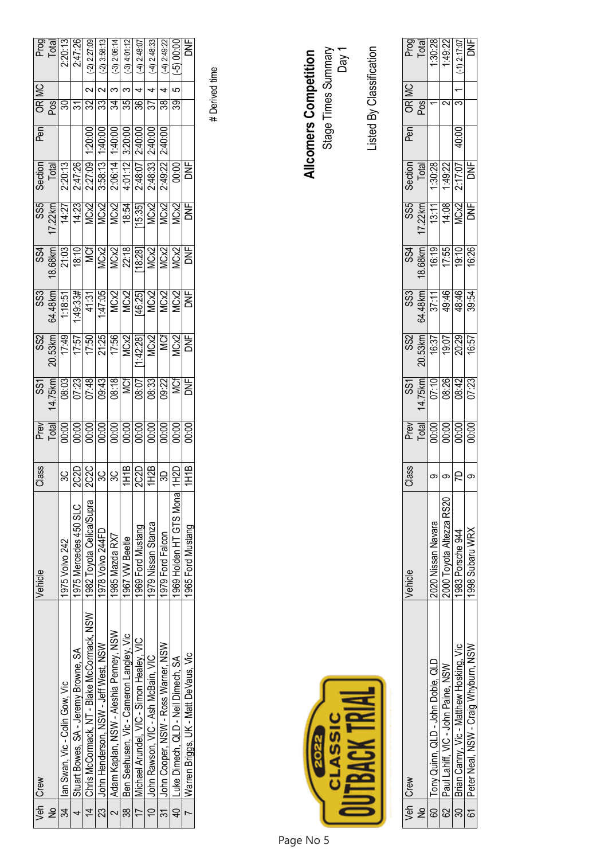|                | Veh   Crew                                 | Vehicle                  | Class             |                                                       |                                                                                                                                                                                                                                                                                                                                                                                                                                            |                                                                                                                                                                                                                                                                                                                                                           |                                                                                                                                                                                                                                                                                                                                                                                                           |                                                                                   |                                                                                                                                                                                                                                                                                                               | Section <sup>1</sup>                                                                                                                                                                                                                                                                                          | nea                                                                                                                                                                                                                                                                                   |                        | MC |                                     |
|----------------|--------------------------------------------|--------------------------|-------------------|-------------------------------------------------------|--------------------------------------------------------------------------------------------------------------------------------------------------------------------------------------------------------------------------------------------------------------------------------------------------------------------------------------------------------------------------------------------------------------------------------------------|-----------------------------------------------------------------------------------------------------------------------------------------------------------------------------------------------------------------------------------------------------------------------------------------------------------------------------------------------------------|-----------------------------------------------------------------------------------------------------------------------------------------------------------------------------------------------------------------------------------------------------------------------------------------------------------------------------------------------------------------------------------------------------------|-----------------------------------------------------------------------------------|---------------------------------------------------------------------------------------------------------------------------------------------------------------------------------------------------------------------------------------------------------------------------------------------------------------|---------------------------------------------------------------------------------------------------------------------------------------------------------------------------------------------------------------------------------------------------------------------------------------------------------------|---------------------------------------------------------------------------------------------------------------------------------------------------------------------------------------------------------------------------------------------------------------------------------------|------------------------|----|-------------------------------------|
| $\frac{1}{2}$  |                                            |                          |                   |                                                       |                                                                                                                                                                                                                                                                                                                                                                                                                                            |                                                                                                                                                                                                                                                                                                                                                           |                                                                                                                                                                                                                                                                                                                                                                                                           |                                                                                   |                                                                                                                                                                                                                                                                                                               | Total                                                                                                                                                                                                                                                                                                         |                                                                                                                                                                                                                                                                                       | $\overline{\text{MS}}$ |    |                                     |
| 34             | lan Swan, Vic - Colin Gow, Vic             | 1975 Volvo 242           |                   | ೬ ≠ बु 8 8 8 8 8 8 8 8 8 8<br>∟ − 8 8 8 8 8 8 8 8 8 8 |                                                                                                                                                                                                                                                                                                                                                                                                                                            |                                                                                                                                                                                                                                                                                                                                                           |                                                                                                                                                                                                                                                                                                                                                                                                           | $\begin{array}{r} 334 \\ 18.68 \text{km} \\ 21.03 \\ -16.1 \\ \hline \end{array}$ | $\begin{array}{r} 0.85 \\ 0.87 \\ 0.87 \\ 0.87 \\ 0.87 \\ 0.87 \\ 0.87 \\ 0.87 \\ 0.87 \\ 0.87 \\ 0.87 \\ 0.87 \\ 0.87 \\ 0.87 \\ 0.87 \\ 0.87 \\ 0.87 \\ 0.87 \\ 0.87 \\ 0.87 \\ 0.87 \\ 0.87 \\ 0.87 \\ 0.87 \\ 0.87 \\ 0.87 \\ 0.87 \\ 0.87 \\ 0.87 \\ 0.87 \\ 0.87 \\ 0.87 \\ 0.87 \\ 0.87 \\ 0.87 \\ 0.$ |                                                                                                                                                                                                                                                                                                               |                                                                                                                                                                                                                                                                                       | వి                     |    | Prog<br>Total<br>2:20:13<br>2:47:26 |
|                | Stuart Bowes, SA - Jeremy Browne, SA       | 1975 Mercedes 450 SLC    |                   |                                                       |                                                                                                                                                                                                                                                                                                                                                                                                                                            |                                                                                                                                                                                                                                                                                                                                                           |                                                                                                                                                                                                                                                                                                                                                                                                           |                                                                                   |                                                                                                                                                                                                                                                                                                               |                                                                                                                                                                                                                                                                                                               |                                                                                                                                                                                                                                                                                       | $\approx$              |    |                                     |
| $\overline{4}$ | Chris McCormack, NT - Blake McCormack, NSW | 1982 Toyota Celica/Supra |                   |                                                       |                                                                                                                                                                                                                                                                                                                                                                                                                                            |                                                                                                                                                                                                                                                                                                                                                           |                                                                                                                                                                                                                                                                                                                                                                                                           |                                                                                   |                                                                                                                                                                                                                                                                                                               |                                                                                                                                                                                                                                                                                                               |                                                                                                                                                                                                                                                                                       | 32                     |    | $(-2)$ 2:27:09                      |
| ನ<br>23        | Uohn Henderson, NSW - Jeff West, NSW       | 1978 Volvo 244FD         | မွတ္လြင္လုပ္ကု    |                                                       |                                                                                                                                                                                                                                                                                                                                                                                                                                            |                                                                                                                                                                                                                                                                                                                                                           |                                                                                                                                                                                                                                                                                                                                                                                                           |                                                                                   |                                                                                                                                                                                                                                                                                                               | $\begin{array}{r} 2.20 \\ 2.47 \\ 2.47 \\ 2.27 \\ 2.38 \\ 2.66 \\ 2.49 \\ 2.49 \\ 2.49 \\ 2.49 \\ 2.49 \\ 2.49 \\ 2.49 \\ 2.49 \\ 2.49 \\ 2.49 \\ 2.49 \\ 2.49 \\ 2.49 \\ 2.49 \\ 2.49 \\ 2.49 \\ 2.49 \\ 2.49 \\ 2.40 \\ 2.40 \\ 2.40 \\ 2.40 \\ 2.40 \\ 2.40 \\ 2.40 \\ 2.40 \\ 2.40 \\ 2.40 \\ 2.40 \\ 2.$ | $\begin{array}{r} 1.20:00 \\ 1.40:00 \\ 1.40:00 \\ 1.30:00 \\ 2.40:00 \\ 2.40:00 \\ 2.40:00 \\ 2.40:00 \\ 2.40:00 \\ 2.40:00 \\ 2.40:00 \\ 2.40:00 \\ 2.40:00 \\ 2.40:00 \\ 2.40:00 \\ 2.40:00 \\ 2.40:00 \\ 2.40:00 \\ 2.40:00 \\ 2.40:00 \\ 2.40:00 \\ 2.40:00 \\ 2.40:00 \\ 2.40:$ | 33                     |    | $(-2)$ 3:58:13                      |
|                | Adam Kaplan, NSW - Aleshia Penney, NSW     | 1985 Mazda RX7           |                   |                                                       |                                                                                                                                                                                                                                                                                                                                                                                                                                            |                                                                                                                                                                                                                                                                                                                                                           |                                                                                                                                                                                                                                                                                                                                                                                                           |                                                                                   |                                                                                                                                                                                                                                                                                                               |                                                                                                                                                                                                                                                                                                               |                                                                                                                                                                                                                                                                                       | र्न्न                  |    | $(-3)$ 2:06:14                      |
| -<br>38        | Ben Seehusen, Vic - Cameron Langley, Vic   | 1967 VW Beetle           | $\frac{1}{2}$     |                                                       |                                                                                                                                                                                                                                                                                                                                                                                                                                            |                                                                                                                                                                                                                                                                                                                                                           |                                                                                                                                                                                                                                                                                                                                                                                                           |                                                                                   |                                                                                                                                                                                                                                                                                                               |                                                                                                                                                                                                                                                                                                               |                                                                                                                                                                                                                                                                                       | 35                     |    | $(-3)$ 4:01:12                      |
|                | Michael Arundel, VIC - Simon Healey, VIC   | 1969 Ford Mustang        |                   |                                                       |                                                                                                                                                                                                                                                                                                                                                                                                                                            |                                                                                                                                                                                                                                                                                                                                                           |                                                                                                                                                                                                                                                                                                                                                                                                           |                                                                                   |                                                                                                                                                                                                                                                                                                               |                                                                                                                                                                                                                                                                                                               |                                                                                                                                                                                                                                                                                       | ଞ୍ଜ                    |    | $-4)$ 2:48:07                       |
| $\frac{1}{2}$  | I John Rawson, VIC - Ash McBain, VIC       | 1979 Nissan Stanza       |                   |                                                       |                                                                                                                                                                                                                                                                                                                                                                                                                                            |                                                                                                                                                                                                                                                                                                                                                           |                                                                                                                                                                                                                                                                                                                                                                                                           |                                                                                   |                                                                                                                                                                                                                                                                                                               |                                                                                                                                                                                                                                                                                                               |                                                                                                                                                                                                                                                                                       | 55                     |    | $-4)$ 2:48:33                       |
|                | Uohn Cooper, NSW - Ross Warner, NSW        | 1979 Ford Falcon         | $\frac{1}{2}$     |                                                       |                                                                                                                                                                                                                                                                                                                                                                                                                                            |                                                                                                                                                                                                                                                                                                                                                           |                                                                                                                                                                                                                                                                                                                                                                                                           |                                                                                   |                                                                                                                                                                                                                                                                                                               |                                                                                                                                                                                                                                                                                                               |                                                                                                                                                                                                                                                                                       | $\overline{38}$        |    | $-4)$ 2:49:22                       |
| 40             | Luke Dimech, QLD - Neil Dimech, SA         | 1969 Holden HT GTS Mona  |                   |                                                       | $\begin{array}{r l l} \hline \text{SS} & \text{SS} & \text{S} \\ \hline \text{S} & \text{S} & \text{S} & \text{S} \\ \hline \text{S} & \text{S} & \text{S} & \text{S} \\ \hline \text{S} & \text{S} & \text{S} & \text{S} \\ \hline \text{S} & \text{S} & \text{S} & \text{S} \\ \hline \text{S} & \text{S} & \text{S} & \text{S} \\ \hline \text{S} & \text{S} & \text{S} & \text{S} \\ \hline \text{S} & \text{S} & \text{S} & \text{S}$ | $\frac{20}{20} \frac{53}{17} \frac{21}{17} \frac{17}{17} \frac{17}{17} \frac{17}{17} \frac{17}{17} \frac{17}{17} \frac{17}{17} \frac{17}{17} \frac{17}{17} \frac{17}{17} \frac{17}{17} \frac{17}{17} \frac{17}{17} \frac{17}{17} \frac{17}{17} \frac{17}{17} \frac{17}{17} \frac{17}{17} \frac{17}{17} \frac{17}{17} \frac{17}{17} \frac{17}{17} \frac{1$ | $\begin{array}{r l} \text{SS3} & \text{SS3} \\ \text{S3} & \text{S3} \\ \text{S448km} & \text{S53} \\ \text{S53} & \text{S33} \\ \text{S33} & \text{S4} \\ \text{S13} & \text{S1} \\ \text{S2} & \text{S3} \\ \text{S3} & \text{S4} \\ \text{S1} & \text{S2} \\ \text{S2} & \text{S3} \\ \text{S3} & \text{S4} \\ \text{S1} & \text{S2} \\ \text{S2} & \text{S3} \\ \text{S3} & \text{S4} \\ \text{S1} &$ | $\overline{M}$ Cx2                                                                |                                                                                                                                                                                                                                                                                                               |                                                                                                                                                                                                                                                                                                               |                                                                                                                                                                                                                                                                                       | 89                     |    | 8.00<br>ဂု                          |
|                | 7   Warren Briggs, UK - Matt DeVaus, Vic   | 1965 Ford Mustang        | IH <sub>1</sub> B | $\frac{8}{8}$                                         |                                                                                                                                                                                                                                                                                                                                                                                                                                            | Ī                                                                                                                                                                                                                                                                                                                                                         |                                                                                                                                                                                                                                                                                                                                                                                                           | DNF                                                                               | <b>DNF</b>                                                                                                                                                                                                                                                                                                    |                                                                                                                                                                                                                                                                                                               |                                                                                                                                                                                                                                                                                       |                        |    | i<br>Ia                             |

# Derived time # Derived time

Day 1 Allcomers Competition<br>Page No 5<br>Page Times Summary **Allcomers Competition** 

Listed By Classification Listed By Classification

| Veh Crew                                     | ehicle                   | Class                    |                                          |                                                                             |                                                                             |                                           |                                                |                                                                                   |                                                     | Pen   |                           | $\approx$ |                                                     |
|----------------------------------------------|--------------------------|--------------------------|------------------------------------------|-----------------------------------------------------------------------------|-----------------------------------------------------------------------------|-------------------------------------------|------------------------------------------------|-----------------------------------------------------------------------------------|-----------------------------------------------------|-------|---------------------------|-----------|-----------------------------------------------------|
|                                              |                          |                          |                                          |                                                                             |                                                                             |                                           |                                                |                                                                                   |                                                     |       | $\overline{\mathfrak{s}}$ |           |                                                     |
| Tony Quinn, QLD - John Doble, QLD            | 2020 Nissan Navara       |                          | 한 <u>188888</u><br>- 1888888<br>- 188888 | $\frac{351}{4.75 \text{ km}}$ $\frac{107.70}{06.26}$ $\frac{108.42}{06.42}$ | $\frac{30.53 \text{km}}{16.37}$ $\frac{10.57}{10.07}$ $\frac{10.07}{16.57}$ | SS3<br>54.48km<br>57:11<br>48:46<br>48:54 | SS4<br><u>16:19</u><br>16:10<br>16:26<br>16:26 | $\frac{355}{12,22km}$ $\frac{13:11}{14:08}$ $\frac{14:08}{14:02}$ $\frac{14}{14}$ | Section<br>  Total<br>1:30:28<br>2:17:07<br>2:17:07 |       |                           |           | Prog<br>Total<br>T:30:28<br>T:49:22<br>Ch: 1<br>DNF |
| 62 Paul Lahiff, VIC - John Paine, NSW        | 2000 Toyota Altezza RS20 | ၈ $  \circ   \infty  $ ၈ |                                          |                                                                             |                                                                             |                                           |                                                |                                                                                   |                                                     |       |                           |           |                                                     |
| 30   Brian Canny, Vic - Matthew Hosking, Vic | 983 Porsche 944          |                          |                                          |                                                                             |                                                                             |                                           |                                                |                                                                                   |                                                     | 40:00 |                           |           |                                                     |
| 61 Peter Neal, NSW - Craig Whyburn, NSW      | 998 Subaru WRX           |                          |                                          |                                                                             |                                                                             |                                           |                                                |                                                                                   |                                                     |       |                           |           |                                                     |

Page No 5

2022

롩

CLASSIC<br>UTBACK TRI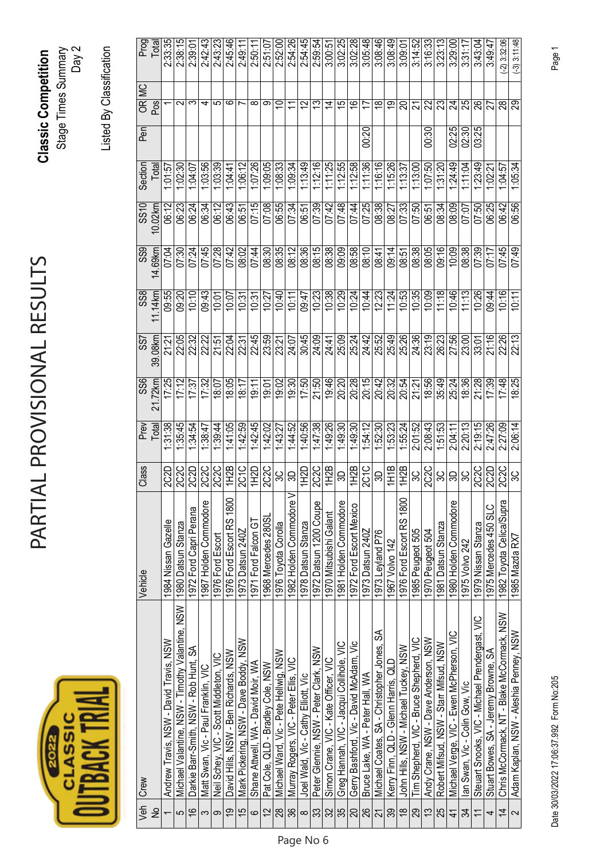| <u>U</u> |  |
|----------|--|
|          |  |

## PARTIAL PROVISIONAL RESULTS PARTIAL PROVISIONAL RESULTS

**Classic Competition**  Stage Times Summary **Classic Competition**<br>Stage Times Summary<br>Day 2

Listed By Classification Listed By Classification

| OR MC<br>Pos<br>$\overline{29}$<br>25<br>$\sim$<br>မာ<br>∞<br>$\frac{6}{5}$<br>ಔ<br>88<br>88<br>ო<br>ဖ<br>တ<br>2<br>చ<br>15<br>$\overset{\infty}{\rightarrow}$<br>စ္<br>22<br>24<br>ᆉ<br>S<br>ム<br>17<br>ສ<br>02:25<br>03:25<br>00:30<br>02:30<br>00:20<br>1:07:26<br>1:12:16<br>1:12:55<br>1:12.58<br>1:11:36<br>1:16:16<br>1:23:49<br>1:03:56<br>1:03:39<br>1:06:12<br>1:09:05<br>1:08:33<br>1.09.34<br>1:13:49<br>1:11:25<br>1:15:26<br>1:24:49<br>1:13:00<br>1:07:50<br>11.04<br>1:05:34<br>1:02:30<br>1.04.07<br>1.31.20<br>1:04:57<br>Total<br>1:13:37<br>1.01:57<br>1.04.4<br>1:02:21<br>07:15<br>08:38<br>06:43<br>07:08<br>07:48<br>07:25<br>06:56<br>06:24<br>06:12<br>06:55<br>07:34<br>07:39<br>07:42<br>07:44<br>07:33<br>06:25<br>06:42<br>06:12<br>06:23<br>07:50<br>08:34<br>08:09<br>08:27<br>07:50<br>06:34<br>07:07<br>10.02km<br>06:51<br>06:51<br>06:51<br>08:12<br>08:15<br>08:38<br>08:58<br>08:38<br>08:05<br>09:16<br>07:45<br>07:45<br>07:28<br>07:42<br>08:30<br>08:35<br>08:36<br>09:09<br>08:10<br>08:38<br>07:39<br>07:30<br>08:02<br>07:44<br>10:09<br>07:49<br>14.69km<br>07:04<br>07:24<br>09:14<br>07:17<br>08:41<br>08:51<br>10:35<br>11:18<br>10:26<br>10:16<br>10:38<br>10:29<br>10:53<br>10:09<br>10:46<br>11:13<br>11.14km<br>09:55<br>09:43<br>10:23<br>10:24<br>10:44<br>12:23<br>09:20<br>10:10<br>10:40<br>09:47<br>09:44<br>10:07<br>10:27<br>10:11<br>11:24<br>10:01<br>10:31<br>10:11<br>10:31<br>22:05<br>22:45<br>25:26<br>24:36<br>26:23<br>27:56<br>21:16<br>22:26<br>39.08km<br>22:04<br>23:59<br>30:45<br>24:09<br>25:09<br>25:24<br>24:42<br>25:49<br>23:19<br>22:13<br>22:22<br>24:07<br>25:52<br>22:32<br>23:21<br>23.00<br>33:01<br>21:51<br>22:31<br>24:41<br>21:<br>21<br>20:28<br>18:05<br>19:30<br>19:46<br>21:28<br>17:48<br>17:25<br>21:50<br>20:15<br>20:42<br>8:56<br>35:49<br>18:36<br>18:25<br>21.72km<br>17:12<br>19:02<br>17:50<br>20:20<br>20:32<br>17:39<br>17.32<br>20:54<br>25:24<br>18:07<br>18:17<br>17:37<br>19:01<br>21:21<br>19:11<br>Prev<br>Total<br>1:35:45<br>1.41.05<br>1:47:38<br>2:08:43<br>2.20:13<br>2:19:15<br>1:31:38<br>1.42.45<br>1:44:52<br>1:40:56<br>1:49:26<br>2:01:52<br>2:47:26<br>2:27:09<br>2:06:14<br>1:39:44<br>1:42:59<br>1:49:30<br>1:49:30<br>1.54:12<br>1:53:23<br>1:55:24<br>1:51:53<br>138.47<br>1:42:02<br>1:43:27<br>1:34:54<br>1:52:30<br>2:04:11<br>1H2B<br>2C2C<br>2C1C<br>$\frac{1}{112B}$<br>1H2B<br>1H1B<br>222<br><b>2C2C</b><br><b>2C2C</b><br>2C1C<br>1H2B<br><b>2C2C</b><br>2C2C<br>2C2D<br>2C2D<br>1H2D<br>1H2D<br>2C <sub>2</sub> C<br>2C2D<br>$rac{2CC}{3C}$<br>3C<br>SO,<br>9<br>్ల<br>్ల<br>్ల<br>ස<br>SD<br>1982 Holden Commodore V<br>1976 Ford Escort RS 1800<br>1976 Ford Escort RS 1800<br>1982 Toyota Celica/Supra<br>1981 Holden Commodore<br>1987 Holden Commodore<br>1980 Holden Commodore<br>1972 Datsun 1200 Coupe<br>1972 Ford Escort Mexico<br>1975 Mercedes 450 SLC<br>1972 Ford Capri Perana<br>1970 Mitsubishi Galant<br>1968 Mercedes 280S<br>1971 Ford Falcon GT<br>1984 Nissan Gazelle<br>1978 Datsun Stanza<br>Michael Valantine, NSW - Timothy Valantine, NSW   1980 Datsun Stanza<br>1976 Toyota Corolla<br>1981 Datsun Stanza<br>1979 Nissan Stanza<br>1973 Datsun 240Z<br>1985 Peugeot 505<br>1973 Datsun 240Z<br>1970 Peugeot 504<br>1973 Leyland P76<br>1976 Ford Escort<br>1985 Mazda RX7<br>1967 Volvo 142<br>1975 Volvo 242<br>Chris McCormack, NT - Blake McCormack, NSW<br>Steuart Snooks, VIC - Michael Prendergast, VIC<br>Michael Coates, SA - Christopher Jones, SA<br>Michael Verge, VIC - Ewen McPherson, VIC<br>Adam Kaplan, NSW - Aleshia Penney, NSW<br>Tim Shepherd, VIC - Bruce Shepherd, VIC<br>Andy Crane, NSW - Dave Anderson, NSW<br>Andrew Travis, NSW - David Travis, NSW<br>Mark Pickering, NSW - Dave Boddy, NSW<br>Gerry Bashford, Vic - David McAdam, Vic<br>Robert Mifsud, NSW - Starr Mifsud, NSW<br>Greg Hannah, VIC - Jacqui Collihole, VIC<br>John Hills, NSW - Michael Tuckey, NSW<br>Darkie Barr-Smith, NSW - Rob Hunt, SA<br>Peter Glennie, NSW - Peter Clark, NSW<br>Stuart Bowes, SA - Jeremy Browne, SA<br>David Hills, NSW - Ben Richards, NSW<br>Michael Ward, Vic - Pete Hellwig, NSW<br>Neil Schey, VIC - Scott Middleton, VIC<br>Simon Crane, VIC - Kate Officer, VIC<br>Murray Rogers, VIC - Peter Ellis, VIC<br>Kerry Finn, QLD - Glenn Harris, QLD<br>Shane Attwell, WA - David Moir, WA<br>Pat Cole, QLD - Bradley Cole, NSW<br>Matt Swan, Vic - Paul Franklin, VIC<br>Bruce Lake, WA - Peter Hall, WA<br>Joel Wald, Vic - Cathy Elliott, Vic<br>lan Swan, Vic - Colin Gow, Vic<br>28<br><u>ଅ</u>  ଼<br>$\frac{8}{1}$<br>$\frac{8}{3}$<br>$\frac{2}{35}$<br>$\frac{8}{1}$<br>$\tilde{c}$<br>25<br>$\geq$<br><u>င်</u><br>$\overline{5}$<br><u>ភ្នាន</u><br>29<br>$\overline{4}$<br>$\frac{2}{3}$<br>33<br>34<br>$\overline{\phantom{0}}$<br>$\sim$<br>5<br>$\circ$<br>$\infty$<br>$\pm$<br>က $ \sigma $<br>4<br>$\overline{\phantom{0}}$ | Veh   Crew | Vehicle | Class | န္တ | SS7 | $rac{8}{3}$ | $\overline{\text{ss}}$ | $\frac{0}{25}$ | Section | $P$ en |                |
|---------------------------------------------------------------------------------------------------------------------------------------------------------------------------------------------------------------------------------------------------------------------------------------------------------------------------------------------------------------------------------------------------------------------------------------------------------------------------------------------------------------------------------------------------------------------------------------------------------------------------------------------------------------------------------------------------------------------------------------------------------------------------------------------------------------------------------------------------------------------------------------------------------------------------------------------------------------------------------------------------------------------------------------------------------------------------------------------------------------------------------------------------------------------------------------------------------------------------------------------------------------------------------------------------------------------------------------------------------------------------------------------------------------------------------------------------------------------------------------------------------------------------------------------------------------------------------------------------------------------------------------------------------------------------------------------------------------------------------------------------------------------------------------------------------------------------------------------------------------------------------------------------------------------------------------------------------------------------------------------------------------------------------------------------------------------------------------------------------------------------------------------------------------------------------------------------------------------------------------------------------------------------------------------------------------------------------------------------------------------------------------------------------------------------------------------------------------------------------------------------------------------------------------------------------------------------------------------------------------------------------------------------------------------------------------------------------------------------------------------------------------------------------------------------------------------------------------------------------------------------------------------------------------------------------------------------------------------------------------------------------------------------------------------------------------------------------------------------------------------------------------------------------------------------------------------------------------------------------------------------------------------------------------------------------------------------------------------------------------------------------------------------------------------------------------------------------------------------------------------------------------------------------------------------------------------------------------------------------------------------------------------------------------------------------------------------------------------------------------------------------------------------------------------------------------------------------------------------------------------------------------------------------------------------------------------------------------------------------------------------------------------------------------------------------------------------------------------------------------------------------------------------------------------------------------------------------------------------------------------------------------------------------------------------------------------------------------------------------------------------------------------------------------------------------------------------------------------------------------------------------------------------------------------------------------------------------------------------------------------------------------------------------------------------------------------------------------------------------------------------------------------------------------------------------------------------------------------------------------------------------------------------------------------------------------------|------------|---------|-------|-----|-----|-------------|------------------------|----------------|---------|--------|----------------|
|                                                                                                                                                                                                                                                                                                                                                                                                                                                                                                                                                                                                                                                                                                                                                                                                                                                                                                                                                                                                                                                                                                                                                                                                                                                                                                                                                                                                                                                                                                                                                                                                                                                                                                                                                                                                                                                                                                                                                                                                                                                                                                                                                                                                                                                                                                                                                                                                                                                                                                                                                                                                                                                                                                                                                                                                                                                                                                                                                                                                                                                                                                                                                                                                                                                                                                                                                                                                                                                                                                                                                                                                                                                                                                                                                                                                                                                                                                                                                                                                                                                                                                                                                                                                                                                                                                                                                                                                                                                                                                                                                                                                                                                                                                                                                                                                                                                                                                                                             |            |         |       |     |     |             |                        |                |         |        | Prog<br>Total  |
|                                                                                                                                                                                                                                                                                                                                                                                                                                                                                                                                                                                                                                                                                                                                                                                                                                                                                                                                                                                                                                                                                                                                                                                                                                                                                                                                                                                                                                                                                                                                                                                                                                                                                                                                                                                                                                                                                                                                                                                                                                                                                                                                                                                                                                                                                                                                                                                                                                                                                                                                                                                                                                                                                                                                                                                                                                                                                                                                                                                                                                                                                                                                                                                                                                                                                                                                                                                                                                                                                                                                                                                                                                                                                                                                                                                                                                                                                                                                                                                                                                                                                                                                                                                                                                                                                                                                                                                                                                                                                                                                                                                                                                                                                                                                                                                                                                                                                                                                             |            |         |       |     |     |             |                        |                |         |        | 2:33:35        |
|                                                                                                                                                                                                                                                                                                                                                                                                                                                                                                                                                                                                                                                                                                                                                                                                                                                                                                                                                                                                                                                                                                                                                                                                                                                                                                                                                                                                                                                                                                                                                                                                                                                                                                                                                                                                                                                                                                                                                                                                                                                                                                                                                                                                                                                                                                                                                                                                                                                                                                                                                                                                                                                                                                                                                                                                                                                                                                                                                                                                                                                                                                                                                                                                                                                                                                                                                                                                                                                                                                                                                                                                                                                                                                                                                                                                                                                                                                                                                                                                                                                                                                                                                                                                                                                                                                                                                                                                                                                                                                                                                                                                                                                                                                                                                                                                                                                                                                                                             |            |         |       |     |     |             |                        |                |         |        | 2:38:15        |
|                                                                                                                                                                                                                                                                                                                                                                                                                                                                                                                                                                                                                                                                                                                                                                                                                                                                                                                                                                                                                                                                                                                                                                                                                                                                                                                                                                                                                                                                                                                                                                                                                                                                                                                                                                                                                                                                                                                                                                                                                                                                                                                                                                                                                                                                                                                                                                                                                                                                                                                                                                                                                                                                                                                                                                                                                                                                                                                                                                                                                                                                                                                                                                                                                                                                                                                                                                                                                                                                                                                                                                                                                                                                                                                                                                                                                                                                                                                                                                                                                                                                                                                                                                                                                                                                                                                                                                                                                                                                                                                                                                                                                                                                                                                                                                                                                                                                                                                                             |            |         |       |     |     |             |                        |                |         |        | 2:39:01        |
|                                                                                                                                                                                                                                                                                                                                                                                                                                                                                                                                                                                                                                                                                                                                                                                                                                                                                                                                                                                                                                                                                                                                                                                                                                                                                                                                                                                                                                                                                                                                                                                                                                                                                                                                                                                                                                                                                                                                                                                                                                                                                                                                                                                                                                                                                                                                                                                                                                                                                                                                                                                                                                                                                                                                                                                                                                                                                                                                                                                                                                                                                                                                                                                                                                                                                                                                                                                                                                                                                                                                                                                                                                                                                                                                                                                                                                                                                                                                                                                                                                                                                                                                                                                                                                                                                                                                                                                                                                                                                                                                                                                                                                                                                                                                                                                                                                                                                                                                             |            |         |       |     |     |             |                        |                |         |        | 2:42:43        |
|                                                                                                                                                                                                                                                                                                                                                                                                                                                                                                                                                                                                                                                                                                                                                                                                                                                                                                                                                                                                                                                                                                                                                                                                                                                                                                                                                                                                                                                                                                                                                                                                                                                                                                                                                                                                                                                                                                                                                                                                                                                                                                                                                                                                                                                                                                                                                                                                                                                                                                                                                                                                                                                                                                                                                                                                                                                                                                                                                                                                                                                                                                                                                                                                                                                                                                                                                                                                                                                                                                                                                                                                                                                                                                                                                                                                                                                                                                                                                                                                                                                                                                                                                                                                                                                                                                                                                                                                                                                                                                                                                                                                                                                                                                                                                                                                                                                                                                                                             |            |         |       |     |     |             |                        |                |         |        | 2:43:23        |
|                                                                                                                                                                                                                                                                                                                                                                                                                                                                                                                                                                                                                                                                                                                                                                                                                                                                                                                                                                                                                                                                                                                                                                                                                                                                                                                                                                                                                                                                                                                                                                                                                                                                                                                                                                                                                                                                                                                                                                                                                                                                                                                                                                                                                                                                                                                                                                                                                                                                                                                                                                                                                                                                                                                                                                                                                                                                                                                                                                                                                                                                                                                                                                                                                                                                                                                                                                                                                                                                                                                                                                                                                                                                                                                                                                                                                                                                                                                                                                                                                                                                                                                                                                                                                                                                                                                                                                                                                                                                                                                                                                                                                                                                                                                                                                                                                                                                                                                                             |            |         |       |     |     |             |                        |                |         |        | 2:45:46        |
|                                                                                                                                                                                                                                                                                                                                                                                                                                                                                                                                                                                                                                                                                                                                                                                                                                                                                                                                                                                                                                                                                                                                                                                                                                                                                                                                                                                                                                                                                                                                                                                                                                                                                                                                                                                                                                                                                                                                                                                                                                                                                                                                                                                                                                                                                                                                                                                                                                                                                                                                                                                                                                                                                                                                                                                                                                                                                                                                                                                                                                                                                                                                                                                                                                                                                                                                                                                                                                                                                                                                                                                                                                                                                                                                                                                                                                                                                                                                                                                                                                                                                                                                                                                                                                                                                                                                                                                                                                                                                                                                                                                                                                                                                                                                                                                                                                                                                                                                             |            |         |       |     |     |             |                        |                |         |        | 2:49:11        |
|                                                                                                                                                                                                                                                                                                                                                                                                                                                                                                                                                                                                                                                                                                                                                                                                                                                                                                                                                                                                                                                                                                                                                                                                                                                                                                                                                                                                                                                                                                                                                                                                                                                                                                                                                                                                                                                                                                                                                                                                                                                                                                                                                                                                                                                                                                                                                                                                                                                                                                                                                                                                                                                                                                                                                                                                                                                                                                                                                                                                                                                                                                                                                                                                                                                                                                                                                                                                                                                                                                                                                                                                                                                                                                                                                                                                                                                                                                                                                                                                                                                                                                                                                                                                                                                                                                                                                                                                                                                                                                                                                                                                                                                                                                                                                                                                                                                                                                                                             |            |         |       |     |     |             |                        |                |         |        | 2:50:11        |
|                                                                                                                                                                                                                                                                                                                                                                                                                                                                                                                                                                                                                                                                                                                                                                                                                                                                                                                                                                                                                                                                                                                                                                                                                                                                                                                                                                                                                                                                                                                                                                                                                                                                                                                                                                                                                                                                                                                                                                                                                                                                                                                                                                                                                                                                                                                                                                                                                                                                                                                                                                                                                                                                                                                                                                                                                                                                                                                                                                                                                                                                                                                                                                                                                                                                                                                                                                                                                                                                                                                                                                                                                                                                                                                                                                                                                                                                                                                                                                                                                                                                                                                                                                                                                                                                                                                                                                                                                                                                                                                                                                                                                                                                                                                                                                                                                                                                                                                                             |            |         |       |     |     |             |                        |                |         |        | 2:51:07        |
|                                                                                                                                                                                                                                                                                                                                                                                                                                                                                                                                                                                                                                                                                                                                                                                                                                                                                                                                                                                                                                                                                                                                                                                                                                                                                                                                                                                                                                                                                                                                                                                                                                                                                                                                                                                                                                                                                                                                                                                                                                                                                                                                                                                                                                                                                                                                                                                                                                                                                                                                                                                                                                                                                                                                                                                                                                                                                                                                                                                                                                                                                                                                                                                                                                                                                                                                                                                                                                                                                                                                                                                                                                                                                                                                                                                                                                                                                                                                                                                                                                                                                                                                                                                                                                                                                                                                                                                                                                                                                                                                                                                                                                                                                                                                                                                                                                                                                                                                             |            |         |       |     |     |             |                        |                |         |        | 2:52:00        |
|                                                                                                                                                                                                                                                                                                                                                                                                                                                                                                                                                                                                                                                                                                                                                                                                                                                                                                                                                                                                                                                                                                                                                                                                                                                                                                                                                                                                                                                                                                                                                                                                                                                                                                                                                                                                                                                                                                                                                                                                                                                                                                                                                                                                                                                                                                                                                                                                                                                                                                                                                                                                                                                                                                                                                                                                                                                                                                                                                                                                                                                                                                                                                                                                                                                                                                                                                                                                                                                                                                                                                                                                                                                                                                                                                                                                                                                                                                                                                                                                                                                                                                                                                                                                                                                                                                                                                                                                                                                                                                                                                                                                                                                                                                                                                                                                                                                                                                                                             |            |         |       |     |     |             |                        |                |         |        | 2:54:26        |
|                                                                                                                                                                                                                                                                                                                                                                                                                                                                                                                                                                                                                                                                                                                                                                                                                                                                                                                                                                                                                                                                                                                                                                                                                                                                                                                                                                                                                                                                                                                                                                                                                                                                                                                                                                                                                                                                                                                                                                                                                                                                                                                                                                                                                                                                                                                                                                                                                                                                                                                                                                                                                                                                                                                                                                                                                                                                                                                                                                                                                                                                                                                                                                                                                                                                                                                                                                                                                                                                                                                                                                                                                                                                                                                                                                                                                                                                                                                                                                                                                                                                                                                                                                                                                                                                                                                                                                                                                                                                                                                                                                                                                                                                                                                                                                                                                                                                                                                                             |            |         |       |     |     |             |                        |                |         |        | 2:54:45        |
|                                                                                                                                                                                                                                                                                                                                                                                                                                                                                                                                                                                                                                                                                                                                                                                                                                                                                                                                                                                                                                                                                                                                                                                                                                                                                                                                                                                                                                                                                                                                                                                                                                                                                                                                                                                                                                                                                                                                                                                                                                                                                                                                                                                                                                                                                                                                                                                                                                                                                                                                                                                                                                                                                                                                                                                                                                                                                                                                                                                                                                                                                                                                                                                                                                                                                                                                                                                                                                                                                                                                                                                                                                                                                                                                                                                                                                                                                                                                                                                                                                                                                                                                                                                                                                                                                                                                                                                                                                                                                                                                                                                                                                                                                                                                                                                                                                                                                                                                             |            |         |       |     |     |             |                        |                |         |        | 2.59.54        |
|                                                                                                                                                                                                                                                                                                                                                                                                                                                                                                                                                                                                                                                                                                                                                                                                                                                                                                                                                                                                                                                                                                                                                                                                                                                                                                                                                                                                                                                                                                                                                                                                                                                                                                                                                                                                                                                                                                                                                                                                                                                                                                                                                                                                                                                                                                                                                                                                                                                                                                                                                                                                                                                                                                                                                                                                                                                                                                                                                                                                                                                                                                                                                                                                                                                                                                                                                                                                                                                                                                                                                                                                                                                                                                                                                                                                                                                                                                                                                                                                                                                                                                                                                                                                                                                                                                                                                                                                                                                                                                                                                                                                                                                                                                                                                                                                                                                                                                                                             |            |         |       |     |     |             |                        |                |         |        | 3:00:51        |
|                                                                                                                                                                                                                                                                                                                                                                                                                                                                                                                                                                                                                                                                                                                                                                                                                                                                                                                                                                                                                                                                                                                                                                                                                                                                                                                                                                                                                                                                                                                                                                                                                                                                                                                                                                                                                                                                                                                                                                                                                                                                                                                                                                                                                                                                                                                                                                                                                                                                                                                                                                                                                                                                                                                                                                                                                                                                                                                                                                                                                                                                                                                                                                                                                                                                                                                                                                                                                                                                                                                                                                                                                                                                                                                                                                                                                                                                                                                                                                                                                                                                                                                                                                                                                                                                                                                                                                                                                                                                                                                                                                                                                                                                                                                                                                                                                                                                                                                                             |            |         |       |     |     |             |                        |                |         |        | 3:02:25        |
|                                                                                                                                                                                                                                                                                                                                                                                                                                                                                                                                                                                                                                                                                                                                                                                                                                                                                                                                                                                                                                                                                                                                                                                                                                                                                                                                                                                                                                                                                                                                                                                                                                                                                                                                                                                                                                                                                                                                                                                                                                                                                                                                                                                                                                                                                                                                                                                                                                                                                                                                                                                                                                                                                                                                                                                                                                                                                                                                                                                                                                                                                                                                                                                                                                                                                                                                                                                                                                                                                                                                                                                                                                                                                                                                                                                                                                                                                                                                                                                                                                                                                                                                                                                                                                                                                                                                                                                                                                                                                                                                                                                                                                                                                                                                                                                                                                                                                                                                             |            |         |       |     |     |             |                        |                |         |        | 3:02:28        |
|                                                                                                                                                                                                                                                                                                                                                                                                                                                                                                                                                                                                                                                                                                                                                                                                                                                                                                                                                                                                                                                                                                                                                                                                                                                                                                                                                                                                                                                                                                                                                                                                                                                                                                                                                                                                                                                                                                                                                                                                                                                                                                                                                                                                                                                                                                                                                                                                                                                                                                                                                                                                                                                                                                                                                                                                                                                                                                                                                                                                                                                                                                                                                                                                                                                                                                                                                                                                                                                                                                                                                                                                                                                                                                                                                                                                                                                                                                                                                                                                                                                                                                                                                                                                                                                                                                                                                                                                                                                                                                                                                                                                                                                                                                                                                                                                                                                                                                                                             |            |         |       |     |     |             |                        |                |         |        | 3:05:48        |
|                                                                                                                                                                                                                                                                                                                                                                                                                                                                                                                                                                                                                                                                                                                                                                                                                                                                                                                                                                                                                                                                                                                                                                                                                                                                                                                                                                                                                                                                                                                                                                                                                                                                                                                                                                                                                                                                                                                                                                                                                                                                                                                                                                                                                                                                                                                                                                                                                                                                                                                                                                                                                                                                                                                                                                                                                                                                                                                                                                                                                                                                                                                                                                                                                                                                                                                                                                                                                                                                                                                                                                                                                                                                                                                                                                                                                                                                                                                                                                                                                                                                                                                                                                                                                                                                                                                                                                                                                                                                                                                                                                                                                                                                                                                                                                                                                                                                                                                                             |            |         |       |     |     |             |                        |                |         |        | 3:08:46        |
|                                                                                                                                                                                                                                                                                                                                                                                                                                                                                                                                                                                                                                                                                                                                                                                                                                                                                                                                                                                                                                                                                                                                                                                                                                                                                                                                                                                                                                                                                                                                                                                                                                                                                                                                                                                                                                                                                                                                                                                                                                                                                                                                                                                                                                                                                                                                                                                                                                                                                                                                                                                                                                                                                                                                                                                                                                                                                                                                                                                                                                                                                                                                                                                                                                                                                                                                                                                                                                                                                                                                                                                                                                                                                                                                                                                                                                                                                                                                                                                                                                                                                                                                                                                                                                                                                                                                                                                                                                                                                                                                                                                                                                                                                                                                                                                                                                                                                                                                             |            |         |       |     |     |             |                        |                |         |        | 3:08:49        |
|                                                                                                                                                                                                                                                                                                                                                                                                                                                                                                                                                                                                                                                                                                                                                                                                                                                                                                                                                                                                                                                                                                                                                                                                                                                                                                                                                                                                                                                                                                                                                                                                                                                                                                                                                                                                                                                                                                                                                                                                                                                                                                                                                                                                                                                                                                                                                                                                                                                                                                                                                                                                                                                                                                                                                                                                                                                                                                                                                                                                                                                                                                                                                                                                                                                                                                                                                                                                                                                                                                                                                                                                                                                                                                                                                                                                                                                                                                                                                                                                                                                                                                                                                                                                                                                                                                                                                                                                                                                                                                                                                                                                                                                                                                                                                                                                                                                                                                                                             |            |         |       |     |     |             |                        |                |         |        | 3:09:01        |
|                                                                                                                                                                                                                                                                                                                                                                                                                                                                                                                                                                                                                                                                                                                                                                                                                                                                                                                                                                                                                                                                                                                                                                                                                                                                                                                                                                                                                                                                                                                                                                                                                                                                                                                                                                                                                                                                                                                                                                                                                                                                                                                                                                                                                                                                                                                                                                                                                                                                                                                                                                                                                                                                                                                                                                                                                                                                                                                                                                                                                                                                                                                                                                                                                                                                                                                                                                                                                                                                                                                                                                                                                                                                                                                                                                                                                                                                                                                                                                                                                                                                                                                                                                                                                                                                                                                                                                                                                                                                                                                                                                                                                                                                                                                                                                                                                                                                                                                                             |            |         |       |     |     |             |                        |                |         |        | 3:14:52        |
|                                                                                                                                                                                                                                                                                                                                                                                                                                                                                                                                                                                                                                                                                                                                                                                                                                                                                                                                                                                                                                                                                                                                                                                                                                                                                                                                                                                                                                                                                                                                                                                                                                                                                                                                                                                                                                                                                                                                                                                                                                                                                                                                                                                                                                                                                                                                                                                                                                                                                                                                                                                                                                                                                                                                                                                                                                                                                                                                                                                                                                                                                                                                                                                                                                                                                                                                                                                                                                                                                                                                                                                                                                                                                                                                                                                                                                                                                                                                                                                                                                                                                                                                                                                                                                                                                                                                                                                                                                                                                                                                                                                                                                                                                                                                                                                                                                                                                                                                             |            |         |       |     |     |             |                        |                |         |        | 3:16:33        |
|                                                                                                                                                                                                                                                                                                                                                                                                                                                                                                                                                                                                                                                                                                                                                                                                                                                                                                                                                                                                                                                                                                                                                                                                                                                                                                                                                                                                                                                                                                                                                                                                                                                                                                                                                                                                                                                                                                                                                                                                                                                                                                                                                                                                                                                                                                                                                                                                                                                                                                                                                                                                                                                                                                                                                                                                                                                                                                                                                                                                                                                                                                                                                                                                                                                                                                                                                                                                                                                                                                                                                                                                                                                                                                                                                                                                                                                                                                                                                                                                                                                                                                                                                                                                                                                                                                                                                                                                                                                                                                                                                                                                                                                                                                                                                                                                                                                                                                                                             |            |         |       |     |     |             |                        |                |         |        | 3:23:13        |
|                                                                                                                                                                                                                                                                                                                                                                                                                                                                                                                                                                                                                                                                                                                                                                                                                                                                                                                                                                                                                                                                                                                                                                                                                                                                                                                                                                                                                                                                                                                                                                                                                                                                                                                                                                                                                                                                                                                                                                                                                                                                                                                                                                                                                                                                                                                                                                                                                                                                                                                                                                                                                                                                                                                                                                                                                                                                                                                                                                                                                                                                                                                                                                                                                                                                                                                                                                                                                                                                                                                                                                                                                                                                                                                                                                                                                                                                                                                                                                                                                                                                                                                                                                                                                                                                                                                                                                                                                                                                                                                                                                                                                                                                                                                                                                                                                                                                                                                                             |            |         |       |     |     |             |                        |                |         |        | 3:29:00        |
|                                                                                                                                                                                                                                                                                                                                                                                                                                                                                                                                                                                                                                                                                                                                                                                                                                                                                                                                                                                                                                                                                                                                                                                                                                                                                                                                                                                                                                                                                                                                                                                                                                                                                                                                                                                                                                                                                                                                                                                                                                                                                                                                                                                                                                                                                                                                                                                                                                                                                                                                                                                                                                                                                                                                                                                                                                                                                                                                                                                                                                                                                                                                                                                                                                                                                                                                                                                                                                                                                                                                                                                                                                                                                                                                                                                                                                                                                                                                                                                                                                                                                                                                                                                                                                                                                                                                                                                                                                                                                                                                                                                                                                                                                                                                                                                                                                                                                                                                             |            |         |       |     |     |             |                        |                |         |        | 3:31:17        |
|                                                                                                                                                                                                                                                                                                                                                                                                                                                                                                                                                                                                                                                                                                                                                                                                                                                                                                                                                                                                                                                                                                                                                                                                                                                                                                                                                                                                                                                                                                                                                                                                                                                                                                                                                                                                                                                                                                                                                                                                                                                                                                                                                                                                                                                                                                                                                                                                                                                                                                                                                                                                                                                                                                                                                                                                                                                                                                                                                                                                                                                                                                                                                                                                                                                                                                                                                                                                                                                                                                                                                                                                                                                                                                                                                                                                                                                                                                                                                                                                                                                                                                                                                                                                                                                                                                                                                                                                                                                                                                                                                                                                                                                                                                                                                                                                                                                                                                                                             |            |         |       |     |     |             |                        |                |         |        | 3:43:04        |
|                                                                                                                                                                                                                                                                                                                                                                                                                                                                                                                                                                                                                                                                                                                                                                                                                                                                                                                                                                                                                                                                                                                                                                                                                                                                                                                                                                                                                                                                                                                                                                                                                                                                                                                                                                                                                                                                                                                                                                                                                                                                                                                                                                                                                                                                                                                                                                                                                                                                                                                                                                                                                                                                                                                                                                                                                                                                                                                                                                                                                                                                                                                                                                                                                                                                                                                                                                                                                                                                                                                                                                                                                                                                                                                                                                                                                                                                                                                                                                                                                                                                                                                                                                                                                                                                                                                                                                                                                                                                                                                                                                                                                                                                                                                                                                                                                                                                                                                                             |            |         |       |     |     |             |                        |                |         |        | 3:49:47        |
|                                                                                                                                                                                                                                                                                                                                                                                                                                                                                                                                                                                                                                                                                                                                                                                                                                                                                                                                                                                                                                                                                                                                                                                                                                                                                                                                                                                                                                                                                                                                                                                                                                                                                                                                                                                                                                                                                                                                                                                                                                                                                                                                                                                                                                                                                                                                                                                                                                                                                                                                                                                                                                                                                                                                                                                                                                                                                                                                                                                                                                                                                                                                                                                                                                                                                                                                                                                                                                                                                                                                                                                                                                                                                                                                                                                                                                                                                                                                                                                                                                                                                                                                                                                                                                                                                                                                                                                                                                                                                                                                                                                                                                                                                                                                                                                                                                                                                                                                             |            |         |       |     |     |             |                        |                |         |        | $(-2)$ 3:32:06 |
|                                                                                                                                                                                                                                                                                                                                                                                                                                                                                                                                                                                                                                                                                                                                                                                                                                                                                                                                                                                                                                                                                                                                                                                                                                                                                                                                                                                                                                                                                                                                                                                                                                                                                                                                                                                                                                                                                                                                                                                                                                                                                                                                                                                                                                                                                                                                                                                                                                                                                                                                                                                                                                                                                                                                                                                                                                                                                                                                                                                                                                                                                                                                                                                                                                                                                                                                                                                                                                                                                                                                                                                                                                                                                                                                                                                                                                                                                                                                                                                                                                                                                                                                                                                                                                                                                                                                                                                                                                                                                                                                                                                                                                                                                                                                                                                                                                                                                                                                             |            |         |       |     |     |             |                        |                |         |        | $(-3)$ 3:11:48 |

Date 30/03/2022 17:06:37.992 Form No:205 Page 1 Date 30/03/2022 17:06:37.992 Form No:205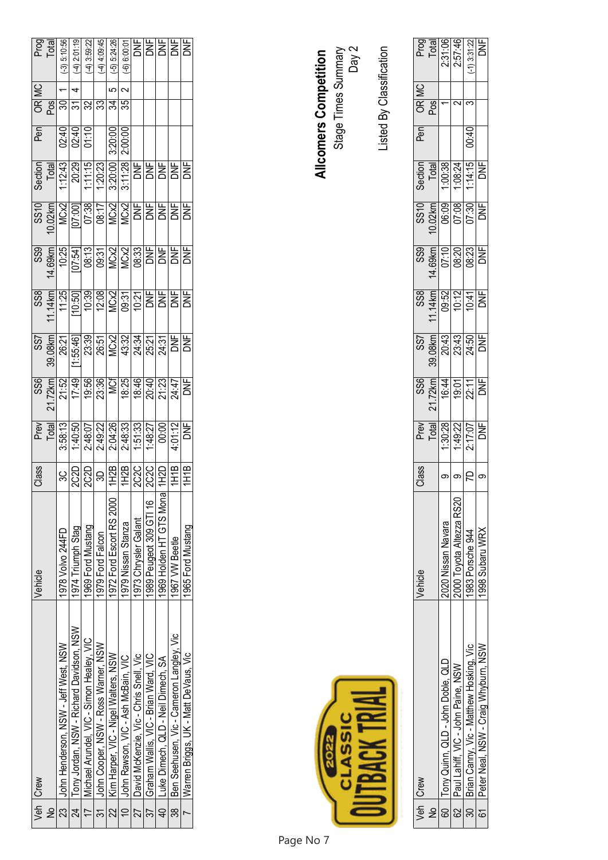|             | Veh   Crew                                    | Vehicle                  | Class                              |                                                                                                                                                                                                                                                                                                                                                                                                                |                                                                                                                                                                                                                                                                                                                                                                                                         |                                                                                                                                                                                                                                                                                                                                                                                                                                      |                                                                                                                                                                                           |                                                                                                                                                                                                                                                                                                                                                                                                          | Pen                       |             | Prog<br>Total  |
|-------------|-----------------------------------------------|--------------------------|------------------------------------|----------------------------------------------------------------------------------------------------------------------------------------------------------------------------------------------------------------------------------------------------------------------------------------------------------------------------------------------------------------------------------------------------------------|---------------------------------------------------------------------------------------------------------------------------------------------------------------------------------------------------------------------------------------------------------------------------------------------------------------------------------------------------------------------------------------------------------|--------------------------------------------------------------------------------------------------------------------------------------------------------------------------------------------------------------------------------------------------------------------------------------------------------------------------------------------------------------------------------------------------------------------------------------|-------------------------------------------------------------------------------------------------------------------------------------------------------------------------------------------|----------------------------------------------------------------------------------------------------------------------------------------------------------------------------------------------------------------------------------------------------------------------------------------------------------------------------------------------------------------------------------------------------------|---------------------------|-------------|----------------|
| $\tilde{z}$ |                                               |                          |                                    |                                                                                                                                                                                                                                                                                                                                                                                                                |                                                                                                                                                                                                                                                                                                                                                                                                         |                                                                                                                                                                                                                                                                                                                                                                                                                                      |                                                                                                                                                                                           |                                                                                                                                                                                                                                                                                                                                                                                                          |                           | OR MC       |                |
|             | 23 John Henderson, NSW - Jeff West, NSW       | 1978 Volvo 244FD         |                                    | $\begin{tabular}{ c c c c c c c c c c } \hline $\mathsf{P} \mathsf{reig}$ & $\mathsf{B} \mathsf{reig}$ & $\mathsf{B} \mathsf{reig}$ \\ \hline $\mathsf{I} \mathsf{[G1]} \mathsf{[G1]} \mathsf{[G1]} \mathsf{[G2]} \mathsf{[G3]} \mathsf{[G3]} \mathsf{[G3]} \mathsf{[G3]} \mathsf{[G4]} \mathsf{[G4]} \mathsf{[G5]} \mathsf{[G5]} \mathsf{[G5]} \mathsf{[G5]} \mathsf{[G5]} \mathsf{[G5]} \mathsf{[G5]} \math$ | $\begin{array}{r l} & \text{SS9} & \text{SS9} \\ \hline \\ & 21.7248 \\ \hline \\ 17.49 \\ \hline \\ 18.338 \\ \hline \\ 19.338 \\ \hline \\ 10.338 \\ \hline \\ 12.33 \\ \hline \\ 13.33 \\ \hline \\ 14.7 \\ \hline \\ 14.7 \\ \hline \\ 13.33 \\ \hline \\ 14.7 \\ \hline \\ 14.7 \\ \hline \\ 14.7 \\ \hline \\ 14.7 \\ \hline \\ 14.7 \\ \hline \\ 14.7 \\ \hline \\ 14.7 \\ \hline \\ 14.7 \\ \h$ | $\begin{array}{r} 357 \\ 39.08 \text{km} \\ 26.21 \\ \underline{(1.55.49)} \\ 23.39 \\ \underline{(26.7)} \\ 24.32 \\ \underline{(26.8)} \\ 24.34 \\ \underline{(27.7)} \\ 24.31 \\ \underline{(28.7)} \\ 24.31 \\ \underline{(29.7)} \\ 24.31 \\ \underline{(21.7)} \\ 24.31 \\ \underline{(21.7)} \\ 24.31 \\ \underline{(21.7)} \\ 24.31 \\ \underline{(21.7)} \\ 24.31 \\ \underline{(21.7)} \\ 24.31 \\ \underline{(21.7)} \\ $ | $\begin{array}{r} 399 \\ 14.694 \overline{)01.541} \\ 10.25 \overline{)01.541} \\ 00.33 \overline{)01.541} \\ 00.33 \overline{)01.541} \\ 00.33 \overline{)01.541} \\ \hline \end{array}$ | $\begin{tabular}{ c c c c c } \hline \texttt{Section} & \texttt{D1} & \texttt{D2} & \texttt{D3} & \texttt{D4} & \texttt{D5} & \texttt{D6} & \texttt{D7} & \texttt{D8} & \texttt{D8} & \texttt{D7} & \texttt{D8} & \texttt{D8} & \texttt{D8} & \texttt{D7} & \texttt{D8} & \texttt{D8} & \texttt{D7} & \texttt{D8} & \texttt{D8} & \texttt{D8} & \texttt{D9} & \texttt{D9} & \texttt{D9} & \texttt{D9} &$ |                           |             | $(-3) 5:10:56$ |
|             | 24   Tony Jordan, NSW - Richard Davidson, NSW | 1974 Triumph Stag        |                                    |                                                                                                                                                                                                                                                                                                                                                                                                                |                                                                                                                                                                                                                                                                                                                                                                                                         |                                                                                                                                                                                                                                                                                                                                                                                                                                      |                                                                                                                                                                                           |                                                                                                                                                                                                                                                                                                                                                                                                          |                           |             | $-4)$ 2:01:19  |
|             | 17   Michael Arundel, VIC - Simon Healey, VIC | 1969 Ford Mustang        |                                    |                                                                                                                                                                                                                                                                                                                                                                                                                |                                                                                                                                                                                                                                                                                                                                                                                                         |                                                                                                                                                                                                                                                                                                                                                                                                                                      |                                                                                                                                                                                           |                                                                                                                                                                                                                                                                                                                                                                                                          | $\frac{02:40}{02:40}$     |             | $-4)$ 3:59:22  |
|             | 31 John Cooper, NSW - Ross Warner, NSW        | 1979 Ford Falcon         |                                    |                                                                                                                                                                                                                                                                                                                                                                                                                |                                                                                                                                                                                                                                                                                                                                                                                                         |                                                                                                                                                                                                                                                                                                                                                                                                                                      |                                                                                                                                                                                           |                                                                                                                                                                                                                                                                                                                                                                                                          |                           | ॾऻॾऻख़ऻॾऻख़ | $-4)$ 4:09:45  |
|             | 22   Kim Harper, VIC - Nigel Walters, NSW     | 1972 Ford Escort RS 2000 |                                    |                                                                                                                                                                                                                                                                                                                                                                                                                |                                                                                                                                                                                                                                                                                                                                                                                                         |                                                                                                                                                                                                                                                                                                                                                                                                                                      |                                                                                                                                                                                           |                                                                                                                                                                                                                                                                                                                                                                                                          | $\frac{3:20:00}{2:00:00}$ | မာ          | $(-5) 5:24:26$ |
|             | 10 John Rawson, VIC - Ash McBain, VIC         | 1979 Nissan Stanza       |                                    |                                                                                                                                                                                                                                                                                                                                                                                                                |                                                                                                                                                                                                                                                                                                                                                                                                         |                                                                                                                                                                                                                                                                                                                                                                                                                                      |                                                                                                                                                                                           |                                                                                                                                                                                                                                                                                                                                                                                                          |                           | $\sim$      | $-6$ ) 6:00:0  |
|             | 27 David McKenzie, Vic - Chris Snell, Vic     | 1973 Chrysler Galant     |                                    |                                                                                                                                                                                                                                                                                                                                                                                                                |                                                                                                                                                                                                                                                                                                                                                                                                         |                                                                                                                                                                                                                                                                                                                                                                                                                                      |                                                                                                                                                                                           |                                                                                                                                                                                                                                                                                                                                                                                                          |                           |             | 뵈              |
|             | 37   Graham Wallis, VIC - Brian Ward, VIC     | 1989 Peugeot 309 GTI 16  |                                    |                                                                                                                                                                                                                                                                                                                                                                                                                |                                                                                                                                                                                                                                                                                                                                                                                                         |                                                                                                                                                                                                                                                                                                                                                                                                                                      |                                                                                                                                                                                           |                                                                                                                                                                                                                                                                                                                                                                                                          |                           |             |                |
|             | 40 Luke Dimech, QLD - Neil Dimech, SA         | 1969 Holden HT GTS Mona  |                                    |                                                                                                                                                                                                                                                                                                                                                                                                                |                                                                                                                                                                                                                                                                                                                                                                                                         |                                                                                                                                                                                                                                                                                                                                                                                                                                      |                                                                                                                                                                                           |                                                                                                                                                                                                                                                                                                                                                                                                          |                           |             | 뵑뵑뵑            |
|             | 38   Ben Seehusen, Vic - Cameron Langley, Vic | 1967 VW Beetle           |                                    |                                                                                                                                                                                                                                                                                                                                                                                                                |                                                                                                                                                                                                                                                                                                                                                                                                         |                                                                                                                                                                                                                                                                                                                                                                                                                                      |                                                                                                                                                                                           |                                                                                                                                                                                                                                                                                                                                                                                                          |                           |             |                |
|             | Warren Briggs, UK - Matt DeVaus, Vic          | 1965 Ford Mustang        | <u>son son a son son son son s</u> |                                                                                                                                                                                                                                                                                                                                                                                                                |                                                                                                                                                                                                                                                                                                                                                                                                         |                                                                                                                                                                                                                                                                                                                                                                                                                                      | $\overline{25}$                                                                                                                                                                           | DNF                                                                                                                                                                                                                                                                                                                                                                                                      |                           |             |                |

| Page No 7 |                          |       |
|-----------|--------------------------|-------|
|           | Allcomers Competition    |       |
|           | Stage Times Summary      | Day 2 |
|           |                          |       |
|           | Listed By Classification |       |

| Stage Times Summary<br>اد:<br><b>Allcomers Competition</b><br>Ďау |  |
|-------------------------------------------------------------------|--|
|-------------------------------------------------------------------|--|

|   | Veh Crew                                     | /ehicle                 | Class                                           |                                                       |                                                                                                  |                                         |                                                                                                                                                                                                                                                                                                     |                                                                                                                                                                |                                                                  | Pen   |                          |                                                       |
|---|----------------------------------------------|-------------------------|-------------------------------------------------|-------------------------------------------------------|--------------------------------------------------------------------------------------------------|-----------------------------------------|-----------------------------------------------------------------------------------------------------------------------------------------------------------------------------------------------------------------------------------------------------------------------------------------------------|----------------------------------------------------------------------------------------------------------------------------------------------------------------|------------------------------------------------------------------|-------|--------------------------|-------------------------------------------------------|
| 是 |                                              |                         |                                                 |                                                       |                                                                                                  |                                         |                                                                                                                                                                                                                                                                                                     |                                                                                                                                                                |                                                                  |       | OR MC<br>Pos             |                                                       |
|   | Tony Quinn, QLD - John Doble, QLD            | 200 Nissan Navara       | $\big \circ\big \circ\big \mathsf{R}\big \circ$ | Prev<br>Total<br>1:30:28<br>1:49:27<br>2:17:07<br>DNF | $\begin{array}{r} 356 \\ 21.7248 \\ 16:41 \\ \hline 19:01 \\ \hline 22:11 \\ \hline \end{array}$ | SS7<br>39.08km<br>20:43<br>20:45<br>DNF | $\begin{array}{r} 0.388 \\ 0.314 \\ 0.312 \\ 0.314 \\ 0.314 \\ 0.314 \\ 0.314 \\ 0.314 \\ 0.314 \\ 0.314 \\ 0.314 \\ 0.314 \\ 0.314 \\ 0.314 \\ 0.314 \\ 0.314 \\ 0.314 \\ 0.314 \\ 0.314 \\ 0.314 \\ 0.314 \\ 0.314 \\ 0.314 \\ 0.314 \\ 0.314 \\ 0.314 \\ 0.314 \\ 0.314 \\ 0.314 \\ 0.314 \\ 0.$ | $\begin{array}{r} 39 \\ 39 \\ \hline 69 \\ \hline 10 \\ 7 \\ \hline 69 \\ \hline 82 \\ \hline 83 \\ \hline 10 \\ \hline 10 \\ \hline 10 \\ \hline \end{array}$ | Section<br>  Total <br><u>  1:00:38 <br/>  1:14:15 </u><br>  DNF |       |                          | Prog<br>Total<br>2:31:96<br>2:57:46<br>2:31:22<br>DNF |
|   | 62   Paul Lahiff, VIC - John Paine, NSW      | 000 Toyota Altezza RS20 |                                                 |                                                       |                                                                                                  |                                         |                                                                                                                                                                                                                                                                                                     |                                                                                                                                                                |                                                                  |       | $\overline{\mathbf{c}}$  |                                                       |
|   | 30   Brian Canny, Vic - Matthew Hosking, Vic | 983 Porsche 944         |                                                 |                                                       |                                                                                                  |                                         |                                                                                                                                                                                                                                                                                                     |                                                                                                                                                                |                                                                  | 00:40 | $\overline{\mathcal{E}}$ |                                                       |
|   | 61 Peter Neal, NSW - Craig Whyburn, NSW      | 1998 Subaru WRX         |                                                 |                                                       |                                                                                                  |                                         |                                                                                                                                                                                                                                                                                                     |                                                                                                                                                                |                                                                  |       |                          |                                                       |

Page No 7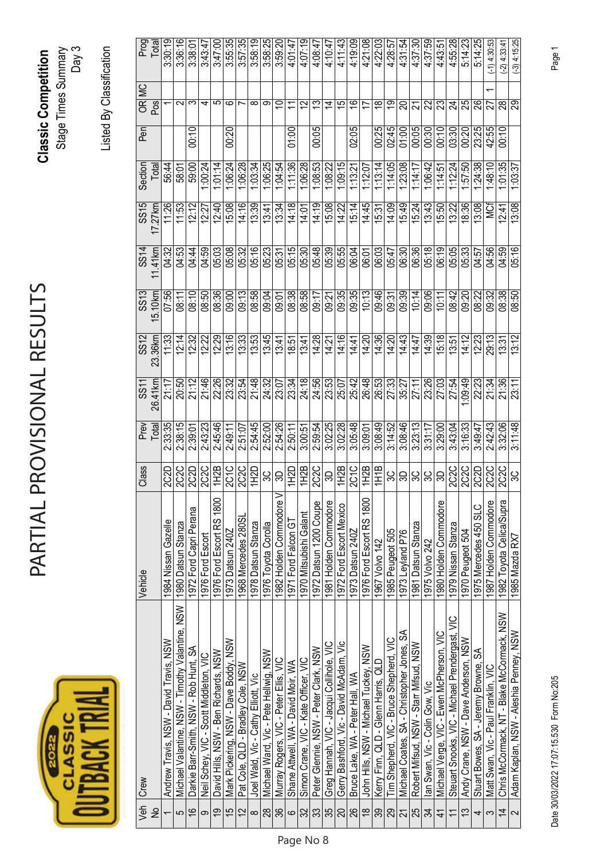| ir<br>U |  |
|---------|--|
|         |  |

## PARTIAL PROVISIONAL RESULTS PARTIAL PROVISIONAL RESULTS

**Classic Competition**  Stage Times Summary **Classic Competition**<br>Stage Times Summary<br>Day 3

Listed By Classification Listed By Classification

|                          |                                                 | Vehicle                  | Class               |               | $\frac{11}{25}$ | SS12    | $\frac{2}{3}$ | $\frac{SS}{4}$ | $\frac{25}{25}$ | Section<br>Total | $P$ en |                          | Prog<br>Total  |
|--------------------------|-------------------------------------------------|--------------------------|---------------------|---------------|-----------------|---------|---------------|----------------|-----------------|------------------|--------|--------------------------|----------------|
|                          | Veh Crew<br>No                                  |                          |                     | Prev<br>Total | 26.41km         | 23.36km | 15.10km       | $11.41$ km     | 17.27km         |                  |        | OR MC<br>Pos             |                |
| $\overline{\phantom{0}}$ | Andrew Travis, NSW - David Travis, NSW          | 1984 Nissan Gazelle      | 2C2D                | 2:33:35       | 21:17           | 11.33   | 07:56         | 04:32          | 11:26           | 56:44            |        |                          | 3:30:19        |
| $\mathbf{\Omega}$        | Michael Valantine, NSW - Timothy Valantine, NSW | 1980 Datsun Stanza       | <b>2C2C</b>         | 2:38:15       | 20:50           | 12:14   | 08:11         | 04:53          | 11:53           | 58:01            |        | $\sim$                   | 3:36:16        |
| $\frac{6}{5}$            | Darkie Barr-Smith, NSW - Rob Hunt, SA           | 1972 Ford Capri Perana   | 2C2D                | 2:39:01       | 21:12           | 12:32   | 08:10         | 04:44          | 12:12           | 59:00            | 00:10  | က                        | 3.38:01        |
| $\infty$                 | Neil Schey, VIC - Scott Middleton, VIC          | 1976 Ford Escort         | $\frac{2C2C}{1H2B}$ | 2:43:23       | 21:46           | 12:22   | 08:50         | 04:59          | 12:27           | 1:00:24          |        | ᆉ                        | 3:43:47        |
| <u>ღ</u>                 | David Hills, NSW - Ben Richards, NSW            | 1976 Ford Escort RS 1800 |                     | 2:45:46       | 22:26           | 12:29   | 08:36         | 05:03          | 12:40           | 1:01:14          |        | ပ                        | 3:47:00        |
| 15                       | Mark Pickering, NSW - Dave Boddy, NSW           | 1973 Datsun 240Z         |                     | 2:49:11       | 23:32           | 13:16   | 09:00         | 05:08          | 15:08           | 1:06:24          | 00:20  | ဖ                        | 3:55:35        |
| $\overline{2}$           | Pat Cole, QLD - Bradley Cole, NSW               | 1968 Mercedes 280SL      | $rac{2C1C}{2C2C}$   | 2:51:07       | 23:54           | 13:33   | 09:13         | 05:32          | 14:16           | 1:06:28          |        |                          | 3:57:35        |
| $\infty$                 | Joel Wald, Vic - Cathy Elliott, Vic             | 1978 Datsun Stanza       | 1H2D                | 2:54:45       | 21:48           | 13:53   | 08:58         | 05:16          | 13:39           | 1:03:34          |        | ∞                        | 3:58:19        |
| $\frac{8}{28}$           | Michael Ward, Vic - Pete Hellwig, NSW           | 1976 Toyota Corolla      | မ္ကုန္က             | 2:52:00       | 24:32           | 13:45   | <b>NG:00</b>  | 05:23          | 13:41           | 1:06:25          |        | တ                        | 3:58:25        |
| 36                       | Murray Rogers, VIC - Peter Ellis, VIC           | 1982 Holden Commodore V  |                     | 2:54:26       | 23:07           | 13:41   | 09:01         | 05:31          | 13.34           | 1:04:54          |        | $\overline{0}$           | 3:59:20        |
| $\infty$   $\approx$     | Shane Attwell, WA - David Moir, WA              | 1971 Ford Falcon GT      | 1H2D                | 2:50:11       | 23:34           | 18:51   | 08:38         | 05:15          | 14:18           | 1:11:36          | 01:00  | $\overline{\phantom{0}}$ | 4:01:47        |
|                          | Simon Crane, VIC - Kate Officer, VIC            | 1970 Mitsubishi Galant   | 1H2B                | 3:00:51       | 24:18           | 13:41   | 08:58         | 05:30          | 14.01           | 1:06:28          |        | 51                       | 4:07:19        |
| 33                       | Peter Glennie, NSW - Peter Clark, NSW           | 1972 Datsun 1200 Coupe   | <b>2C2C</b>         | 2:59:54       | 24:56           | 14:28   | 09:17         | 05:48          | 14:19           | $-38.53$         | 00:05  | 13                       | 4.08.47        |
| 35                       | Greg Hannah, VIC - Jacqui Collihole, VIC        | 1981 Holden Commodore    |                     | 3:02:25       | 23:53           | 14:21   | 09:21         | 05:39          | 15:08           | 1:08:22          |        | 4                        | 4:10:47        |
| 20                       | Gerry Bashford, Vic - David McAdam, Vic         | 1972 Ford Escort Mexico  | $\frac{1}{2}$       | 3:02:28       | 25:07           | 14:16   | 09:35         | 05:55          | 14:22           | 1:09:15          |        | 15                       | 4:11:43        |
| $\frac{8}{18}$           | Bruce Lake, WA - Peter Hall, WA                 | 1973 Datsun 240Z         |                     | 3:05:48       | 25:42           | 14:41   | 09:35         | 06:04          | 15.14           | 1:13:21          | 02:05  | $\frac{6}{1}$            | 4:19:09        |
|                          | John Hills, NSW - Michael Tuckey, NSW           | 1976 Ford Escort RS 1800 |                     | 3:09:01       | 26:48           | 14:20   | 10:13         | 06:01          | 14:45           | 1:12:07          |        | 17                       | 4:21:08        |
| 39                       | Kerry Finn, QLD - Glenn Harris, QLD             | 1967 Volvo 142           | 1H1B                | 3:08:49       | 26:53           | 14:36   | 09:46         | 06:03          | 15.31           | 1:13:14          | 00:25  | $\frac{8}{1}$            | 4:22:03        |
| 29                       | Tim Shepherd, VIC - Bruce Shepherd, VIC         | 1985 Peugeot 505         | 3C                  | 3:14:52       | 27:33           | 14:20   | 09:31         | 05:47          | 14:09           | 1:14:05          | 02:45  | စ္                       | 4:28:57        |
| $\overline{21}$          | Michael Coates, SA - Christopher Jones, SA      | 1973 Leyland P76         | 3D                  | 3:08:46       | 35:27           | 14:43   | 09:39         | 06:30          | 15:49           | 1:23:08          | 01:00  | ສ                        | 4:31:54        |
| 25                       | Robert Mifsud, NSW - Starr Mifsud, NSW          | 1981 Datsun Stanza       | ပ္ကု                | 3:23:13       | 27:11           | 14.47   | 10:14         | 06:36          | 15:24           | 1:14:17          | 00:05  |                          | 4:37:30        |
| 34                       | lan Swan, Vic - Colin Gow, Vic                  | 1975 Volvo 242           | ပ္တ                 | 3:31:17       | 23:26           | 14:39   | 09:06         | 05:18          | 13:43           | $-36:42$         | 00:30  | 22                       | 4:37:59        |
| $\overline{4}$           | Michael Verge, VIC - Ewen McPherson, VIC        | 1980 Holden Commodore    | SO,                 | 3:29:00       | 27:03           | 5:18    | 10:11         | 06:19          | 15:50           | 1:14:51          | 00:10  | Z                        | 4.43.5         |
| $\overline{\phantom{0}}$ | Steuart Snooks, VIC - Michael Prendergast, VIC  | 1979 Nissan Stanza       | 2C <sub>2</sub> C   | 3:43:04       | 27:54           | 13.51   | 08:42         | 05:05          | 13:22           | 1:12:24          | 03:30  | 24                       | 4:55:28        |
| 13                       | Andy Crane, NSW - Dave Anderson, NSW            | 1970 Peugeot 504         | <b>2C2C</b>         | 3:16:33       | .09:49          | 14:12   | 09:20         | 05:33          | 18:36           | 1:57:50          | 00:20  | 25                       | 5:14:23        |
| 4                        | Stuart Bowes, SA - Jeremy Browne, SA            | 1975 Mercedes 450 SLC    | $\frac{2C2D}{2C2C}$ | 3:49:47       | 22:23           | 12:23   | 08:22         | 04:57          | 13:08           | 1.24.38          | 23:25  | 26                       | 5:14:25        |
| S                        | Matt Swan, Vic - Paul Franklin, VIC             | 1987 Holden Commodore    |                     | 2:42:43       | 21:34           | 29:13   | 09:32         | 04:56          | ₫               | 1:48:10          | 42:55  |                          | $-1)$ 4:30:53  |
| $\overline{4}$           | Chris McCormack, NT - Blake McCormack, NSW      | 1982 Toyota Celica/Supra | $rac{2CC}{3C}$      | 3:32:06       | 21.36           | 13.31   | 08:38         | 04:59          | 12:41           | 1:01:35          | 00:10  | 88                       | $(-2)$ 4:33:41 |
| $\sim$                   | Adam Kaplan, NSW - Aleshia Penney, NSW          | 1985 Mazda RX7           |                     | 3:11:48       | 23:11           | 13:12   | 08:50         | 05:16          | 13:08           | 1:03:37          |        | 29                       | $(-3)$ 4:15:25 |

Date 30/03/2022 17:07:15.530 Form No:205 Page 1 Date 30/03/2022 17:07:15.530 Form No:205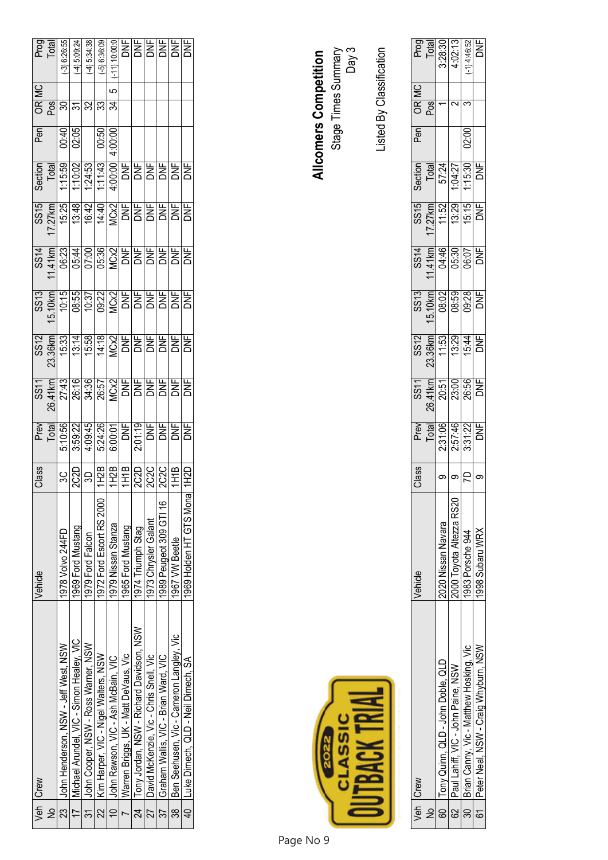|                      | Veh Crew                                      | Vehicle                  | Class                                                                                                                                                                                                                                                                                                                                                                                                                                                     |                                                                                                                                                                                                                                                                                                                                                                                                                                                                                                                                     |                                                                                                                                                                                                                                                                        |                                                                                                                                 |  | Pen                     | OR MC                | Prog<br>Total   |
|----------------------|-----------------------------------------------|--------------------------|-----------------------------------------------------------------------------------------------------------------------------------------------------------------------------------------------------------------------------------------------------------------------------------------------------------------------------------------------------------------------------------------------------------------------------------------------------------|-------------------------------------------------------------------------------------------------------------------------------------------------------------------------------------------------------------------------------------------------------------------------------------------------------------------------------------------------------------------------------------------------------------------------------------------------------------------------------------------------------------------------------------|------------------------------------------------------------------------------------------------------------------------------------------------------------------------------------------------------------------------------------------------------------------------|---------------------------------------------------------------------------------------------------------------------------------|--|-------------------------|----------------------|-----------------|
| $\tilde{\mathsf{z}}$ |                                               |                          |                                                                                                                                                                                                                                                                                                                                                                                                                                                           |                                                                                                                                                                                                                                                                                                                                                                                                                                                                                                                                     |                                                                                                                                                                                                                                                                        |                                                                                                                                 |  |                         |                      |                 |
|                      | 23 John Henderson, NSW - Jeff West, NSW       | 1978 Volvo 244FD         |                                                                                                                                                                                                                                                                                                                                                                                                                                                           | $\begin{tabular}{ c c c c } \hline \texttt{SS3} & \texttt{SS4} & \texttt{SS5} & \texttt{SS5} \\ \hline \texttt{SS4} & \texttt{SS5} & \texttt{SS5} & \texttt{SS5} & \texttt{SS5} \\ \hline \texttt{SS5} & \texttt{SS5} & \texttt{SS5} & \texttt{SS5} & \texttt{SS5} \\ \hline \texttt{SS5} & \texttt{SS5} & \texttt{SS5} & \texttt{SS5} & \texttt{SS5} \\ \hline \end{tabular} \caption{The first two different values of the data set. The first two different values of the data set. The second two different values of the data$ | $\frac{23}{23.3840}$ $\frac{25.33}{15.33}$ $\frac{45.38}{15.33}$ $\frac{25.38}{15.33}$ $\frac{25.38}{15.33}$ $\frac{25.38}{15.33}$ $\frac{25.38}{15.33}$ $\frac{25.38}{15.33}$ $\frac{25.38}{15.33}$ $\frac{25.38}{15.33}$ $\frac{25.38}{15.33}$ $\frac{25.38}{15.33}$ | 3514<br>141416 16:38 16:38 16:39<br>1416 16:38 16:38 16:41<br>14.41 16:38 16:41 16:42 16:42 16:42 16:42 16:43 16:43 16:43 16:43 |  |                         |                      | $(-3)$ 6:26:55  |
|                      | 17   Michael Arundel, VIC - Simon Healey, VIC | 1969 Ford Mustang        |                                                                                                                                                                                                                                                                                                                                                                                                                                                           |                                                                                                                                                                                                                                                                                                                                                                                                                                                                                                                                     |                                                                                                                                                                                                                                                                        |                                                                                                                                 |  | $rac{9}{100}$           |                      | $(-4)$ 5:09:24  |
|                      | 31 John Cooper, NSW - Ross Warner, NSW        | 1979 Ford Falcon         |                                                                                                                                                                                                                                                                                                                                                                                                                                                           |                                                                                                                                                                                                                                                                                                                                                                                                                                                                                                                                     |                                                                                                                                                                                                                                                                        |                                                                                                                                 |  |                         |                      | 4, 5:34:38      |
|                      | 22   Kim Harper, VIC - Nigel Walters, NSW     | 1972 Ford Escort RS 2000 | $\frac{1}{3} \cdot \frac{1}{3} \cdot \frac{1}{3} \cdot \frac{1}{3} \cdot \frac{1}{3} \cdot \frac{1}{3} \cdot \frac{1}{3} \cdot \frac{1}{3} \cdot \frac{1}{3} \cdot \frac{1}{3} \cdot \frac{1}{3} \cdot \frac{1}{3} \cdot \frac{1}{3} \cdot \frac{1}{3} \cdot \frac{1}{3} \cdot \frac{1}{3} \cdot \frac{1}{3} \cdot \frac{1}{3} \cdot \frac{1}{3} \cdot \frac{1}{3} \cdot \frac{1}{3} \cdot \frac{1}{3} \cdot \frac{1}{3} \cdot \frac{1}{3} \cdot \frac{1$ |                                                                                                                                                                                                                                                                                                                                                                                                                                                                                                                                     |                                                                                                                                                                                                                                                                        |                                                                                                                                 |  | $\frac{00:50}{4:00:00}$ | <u> झन्नाञ्चान्न</u> | $(-5)$ 6:36:09  |
|                      | John Rawson, VIC - Ash McBain, VIC            | 1979 Nissan Stanza       |                                                                                                                                                                                                                                                                                                                                                                                                                                                           |                                                                                                                                                                                                                                                                                                                                                                                                                                                                                                                                     |                                                                                                                                                                                                                                                                        |                                                                                                                                 |  |                         | $\overline{c}$       | $(-11) 10:00:0$ |
|                      | Warren Briggs, UK - Matt DeVaus, Vic          | 1965 Ford Mustang        |                                                                                                                                                                                                                                                                                                                                                                                                                                                           |                                                                                                                                                                                                                                                                                                                                                                                                                                                                                                                                     |                                                                                                                                                                                                                                                                        |                                                                                                                                 |  |                         |                      |                 |
|                      | 24   Tony Jordan, NSW - Richard Davidson, NSW | 1974 Triumph Stag        |                                                                                                                                                                                                                                                                                                                                                                                                                                                           |                                                                                                                                                                                                                                                                                                                                                                                                                                                                                                                                     |                                                                                                                                                                                                                                                                        |                                                                                                                                 |  |                         |                      |                 |
|                      | 27 David McKenzie, Vic - Chris Snell, Vic     | 1973 Chrysler Galant     |                                                                                                                                                                                                                                                                                                                                                                                                                                                           |                                                                                                                                                                                                                                                                                                                                                                                                                                                                                                                                     |                                                                                                                                                                                                                                                                        |                                                                                                                                 |  |                         |                      |                 |
|                      | 37 Graham Wallis, VIC - Brian Ward, VIC       | 1989 Peugeot 309 GTI 16  |                                                                                                                                                                                                                                                                                                                                                                                                                                                           |                                                                                                                                                                                                                                                                                                                                                                                                                                                                                                                                     |                                                                                                                                                                                                                                                                        |                                                                                                                                 |  |                         |                      |                 |
|                      | 38   Ben Seehusen, Vic - Cameron Langley, Vic | 1967 VW Beetle           |                                                                                                                                                                                                                                                                                                                                                                                                                                                           |                                                                                                                                                                                                                                                                                                                                                                                                                                                                                                                                     |                                                                                                                                                                                                                                                                        |                                                                                                                                 |  |                         |                      |                 |
|                      | 40 Luke Dimech, QLD - Neil Dimech, SA         | 1969 Holden HT GTS Monal |                                                                                                                                                                                                                                                                                                                                                                                                                                                           |                                                                                                                                                                                                                                                                                                                                                                                                                                                                                                                                     |                                                                                                                                                                                                                                                                        |                                                                                                                                 |  |                         |                      |                 |

|           | <b>Allcomers Competition</b> | Stage Times Summary | Day 3 |
|-----------|------------------------------|---------------------|-------|
|           |                              |                     |       |
|           |                              |                     |       |
| Page No 9 |                              | á                   |       |

Listed By Classification

Listed By Classification

|               | Veh Crew                                     | /ehicle                  | Class                           |                                                       |                   |                                                               |                                       |                                               |                                                        | Pen   |              |                                                        |
|---------------|----------------------------------------------|--------------------------|---------------------------------|-------------------------------------------------------|-------------------|---------------------------------------------------------------|---------------------------------------|-----------------------------------------------|--------------------------------------------------------|-------|--------------|--------------------------------------------------------|
| $\frac{1}{2}$ |                                              |                          |                                 |                                                       |                   |                                                               |                                       |                                               |                                                        |       | OR MC<br>Pos |                                                        |
|               | 60 Tony Quinn, QLD - John Doble, QLD         | 2020 Nissan Navara       |                                 |                                                       |                   |                                                               |                                       |                                               |                                                        |       |              |                                                        |
|               | 62 Paul Lahiff, VIC - John Paine, NSW        | 2000 Toyota Altezza RS20 | ၈ $\vert$ ၀ $\vert$ ၉ $\vert$ ၈ | Prev<br>Total<br>2:31:28<br>2:57:48<br>3:31:22<br>DNF | $\frac{1}{26.51}$ | $\frac{33.36 \text{ km}}{22.36 \text{ km} + 1.53 \text{ km}}$ | SS14<br>14149<br>19630<br>1960<br>DNF | $\frac{17.27 \text{ km}}{11.52 \text{ km/s}}$ | Section<br>Total<br>57:24<br>1:04:27<br>1:15:30<br>DNF |       |              | Prog<br>Total<br>3:28:30<br>4:02:13<br>14:46:52<br>DNF |
|               | 30   Brian Canny, Vic - Matthew Hosking, Vic | 983 Porsche 944          |                                 |                                                       |                   |                                                               |                                       |                                               |                                                        | 02:00 |              |                                                        |
|               | 61 Peter Neal, NSW - Craig Whyburn, NSW      | 998 Subaru WRX           |                                 |                                                       |                   |                                                               |                                       |                                               |                                                        |       |              |                                                        |

Page No 9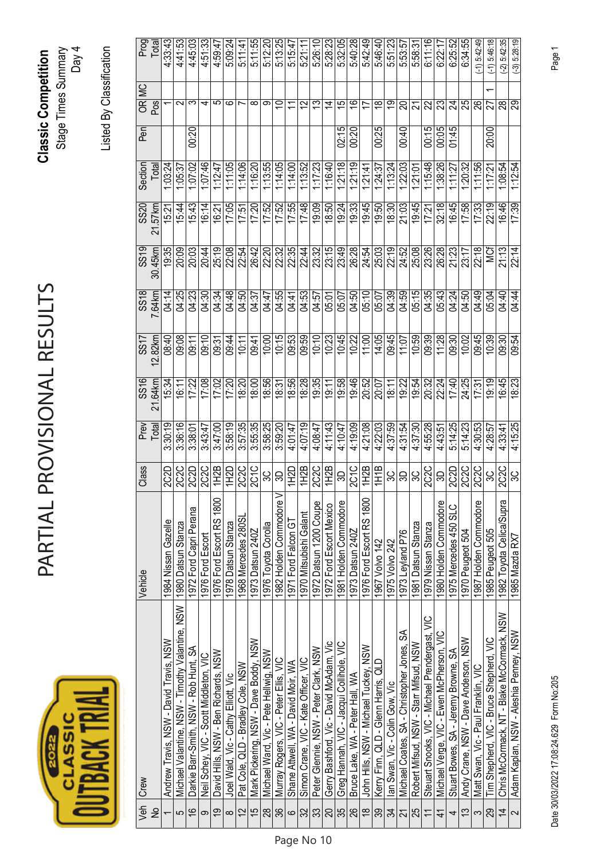| ۰<br>SS |  |
|---------|--|
|         |  |

## PARTIAL PROVISIONAL RESULTS PARTIAL PROVISIONAL RESULTS

**Classic Competition**  Stage Times Summary Classic Competition<br>Stage Times Summary<br>Day 4

Listed By Classification Listed By Classification

|                 | Veh Crew                                        | Vehicle                  | Class             | Prev<br>Total | $\frac{88}{16}$ | SST     |                | $\frac{8}{3}$ | SS20    | Section   | $P$ en |                           | Prog<br>Total  |
|-----------------|-------------------------------------------------|--------------------------|-------------------|---------------|-----------------|---------|----------------|---------------|---------|-----------|--------|---------------------------|----------------|
| ş               |                                                 |                          |                   |               | 21.64km         | 12.82km | SS18<br>7.64km | 30.45km       | 21.57km | Total     |        | OR MC<br>Pos              |                |
|                 | Andrew Travis, NSW - David Travis, NSW          | 1984 Nissan Gazelle      | 2C2D              | 3.30:19       | 15:34           | 08:40   | 04:14          | 19:35         | 15:21   | 1.03:24   |        |                           | 4.33.43        |
| 5               | Michael Valantine, NSW - Timothy Valantine, NSW | 1980 Datsun Stanza       | 2C2C              | 3:36:16       | 16:11           | 09:08   | 04:25          | 20:09         | 15:44   | 1:05:37   |        | $\sim$                    | 4:41:53        |
| $\frac{6}{5}$   | Darkie Barr-Smith, NSW - Rob Hunt, SA           | 1972 Ford Capri Perana   | 2C2D              | 3:38:01       | 17:22           | 09:11   | 04:23          | 20:03         | 15:43   | 1.07:02   | 00:20  | က                         | 4:45:03        |
| თ               | Neil Schey, VIC - Scott Middleton, VIC          | 1976 Ford Escort         | <b>2C2C</b>       | 3:43:47       | 17:08           | 09:10   | 04:30          | 20:44         | 16:14   | $-10.146$ |        | ↴                         | 4:51:33        |
| $\overline{9}$  | David Hills, NSW - Ben Richards, NSW            | 1976 Ford Escort RS 1800 | 1H2B              | 3:47:00       | 17:02           | 09:31   | 04:34          | 25:19         | 16:21   | 1:12:47   |        | ပ                         | 4:59:47        |
| $\infty$        | Joel Wald, Vic - Cathy Elliott, Vic             | 1978 Datsun Stanza       | <b>1H2D</b>       | 3:58:19       | 17:20           | 09:44   | 04:48          | 22:08         | 17:05   | 1:11:05   |        | ဖ                         | 5:09:24        |
| $\overline{c}$  | Pat Cole, QLD - Bradley Cole, NSW               | 1968 Mercedes 280SL      | 2C2C              | 3:57:35       | 18:20           | 10:11   | 04:50          | 22:54         | 17:51   | 1:14:06   |        |                           | 5:11:41        |
| $\frac{5}{3}$   | Mark Pickering, NSW - Dave Boddy, NSW           | 1973 Datsun 240Z         | 2C <sub>1C</sub>  | 3:55:35       | 18:00           | 09:41   | 04:37          | 26:42         | 17:20   | 1:16:20   |        | ∞                         | 5:11:55        |
| 28              | Michael Ward, Vic - Pete Hellwig, NSW           | 1976 Toyota Corolla      | မ္က               | 3:58:25       | 18:56           | 10:00   | 04:47          | 22:20         | 17:52   | 1:13:55   |        | თ                         | 5:12:20        |
| 36              | Murray Rogers, VIC - Peter Ellis, VIC           | 1982 Holden Commodore V  | 9                 | 3:59:20       | 18:31           | 10:15   | 04:55          | 22:32         | 17:52   | 1:14:05   |        | $\widetilde{\phantom{a}}$ | 5:13:25        |
| $\circ$         | Shane Attwell, WA - David Moir, WA              | 1971 Ford Falcon GT      | <b>UCHI</b>       | 4.01.47       | 18:56           | 09:53   | 04:41          | 22:35         | 17:55   | 1:14.00   |        | $\overline{1}$            | 5:15:47        |
| 32              | Simon Crane, VIC - Kate Officer, VIC            | 1970 Mitsubishi Galant   | 1H2B              | 4:07:19       | 18:28           | 09:59   | 04:53          | 22:44         | 17:48   | 1:13.52   |        | $\overline{2}$            | 5:21:11        |
| 33              | Peter Glennie, NSW - Peter Clark, NSW           | 1972 Datsun 1200 Coupe   | 2C2C              | 4:08:47       | 19:35           | 10:10   | 04:57          | 23:32         | 19:09   | 1:17:23   |        | చ                         | 5:26:10        |
| $\overline{20}$ | Gerry Bashford, Vic - David McAdam, Vic         | 1972 Ford Escort Mexico  | 1H2B              | 4:11:43       | 19:11           | 10:23   | 05:01          | 23:15         | 18:50   | 1:16:40   |        | $\dot{z}$                 | 5:28:23        |
| 35              | Greg Hannah, VIC - Jacqui Collihole, VIC        | 1981 Holden Commodore    | S                 | 4:10:47       | 19:58           | 10:45   | 05:07          | 23:49         | 19:24   | 1:21:18   | 02:15  | $\overline{c}$            | 5:32:05        |
| 26              | Bruce Lake, WA - Peter Hall, WA                 | 1973 Datsun 240Z         | 2C <sub>1C</sub>  | 4:19:09       | 19:46           | 10:22   | 04:50          | 26:28         | 19:33   | 1:21:19   | 00:20  | $\overline{\mathfrak{S}}$ | 5:40:28        |
| $\frac{8}{1}$   | John Hills, NSW - Michael Tuckey, NSW           | 1976 Ford Escort RS 1800 | 1H2B              | 4:21:08       | 20:52           | 11:00   | 05:10          | 24:54         | 19:45   | 1:21:41   |        | n                         | 5:42:49        |
| 39              | Kerry Finn, QLD - Glenn Harris, QLD             | 1967 Volvo 142           | 1H1B              | 4:22:03       | 20:07           | 14:05   | 05:07          | 25:03         | 19:50   | 1.24.37   | 00:25  | ₽                         | 5:46:40        |
| 34              | lan Swan, Vic - Colin Gow, Vic                  | 1975 Volvo 242           | မ္တ               | 4:37:59       | 18:11           | 09:45   | 04:39          | 22:19         | 18:30   | 1:13:24   |        | മ                         | 5:51:23        |
| 21              | Michael Coates, SA - Christopher Jones, SA      | 1973 Leyland P76         | မ္ကုမ္က           | 4:31:54       | 19:22           | 11:07   | 04:59          | 24:52         | 21:03   | 1:22:03   | 00:40  | ຊ                         | 5.53.57        |
| 25              | Robert Mifsud, NSW - Starr Mifsud, NSW          | 1981 Datsun Stanza       |                   | 4:37:30       | 19:54           | 10:59   | 05:15          | 25:08         | 19:45   | 1:21:01   |        |                           | 5:58:31        |
|                 | Steuart Snooks, VIC - Michael Prendergast, VIC  | 1979 Nissan Stanza       | 2C <sub>2</sub> C | 4:55:28       | 20:32           | 09:39   | 04:35          | 23:26         | 17:21   | 1:15:48   | 00:15  | 22                        | 6:11:16        |
| $\overline{4}$  | Michael Verge, VIC - Ewen McPherson, VIC        | 1980 Holden Commodore    | ౚ                 | 4:43:51       | 22:24           | 11:28   | 05:43          | 26:28         | 32:18   | 1.38:26   | 00:05  | ಔ                         | 6:22:1         |
| 4               | Stuart Bowes, SA - Jeremy Browne, SA            | 1975 Mercedes 450 SLC    | 2C2D              | 5:14:25       | 17:40           | 09:30   | 04:24          | 21:23         | 16:45   | 1:11.27   | 01:45  | 24                        | 6:25:52        |
| $\tilde{c}$     | Andy Crane, NSW - Dave Anderson, NSW            | 1970 Peugeot 504         | 2C <sub>2</sub> C | 5:14:23       | 24:25           | 10:02   | 04:50          | 23:17         | 17:58   | 1:20:32   |        | 25                        | 6:34:55        |
|                 | Matt Swan, Vic - Paul Franklin, VIC             | 1987 Holden Commodore    | <b>2C2C</b>       | 4:30:53       | 17:31           | 09:45   | 04:49          | 22:18         | 17:33   | 1:11:56   |        | 8                         | $-1)$ 5:42:49  |
| 29              | Tim Shepherd, VIC - Bruce Shepherd, VIC         | 1985 Peugeot 505         | 9C                | 4:28:57       | 0.19            | 10:39   | 05:04          | ù<br>≫        | 22:19   | 1:17:21   | 20:00  |                           | $-1)5:46:18$   |
| $\overline{4}$  | Chris McCormack, NT - Blake McCormack, NSW      | 1982 Toyota Celica/Supra | 2C2C              | 4:33:41       | 16:45           | 09:30   | 04:40          | 21:13         | 16:46   | 1:08:54   |        | 88                        | $(-2)$ 5:42:35 |
| $\sim$          | Adam Kaplan, NSW - Aleshia Penney, NSW          | 1985 Mazda RX7           | 3C                | 4:15:25       | 18:23           | 09:54   | 04:44          | 22:14         | 17:39   | 1:12:54   |        | 29                        | $(-3)$ 5:28:19 |

Date 30/03/2022 17:08:24.629 Form No:205 Page 1 Date 30/03/2022 17:08:24.629 Form No:205

Page No 10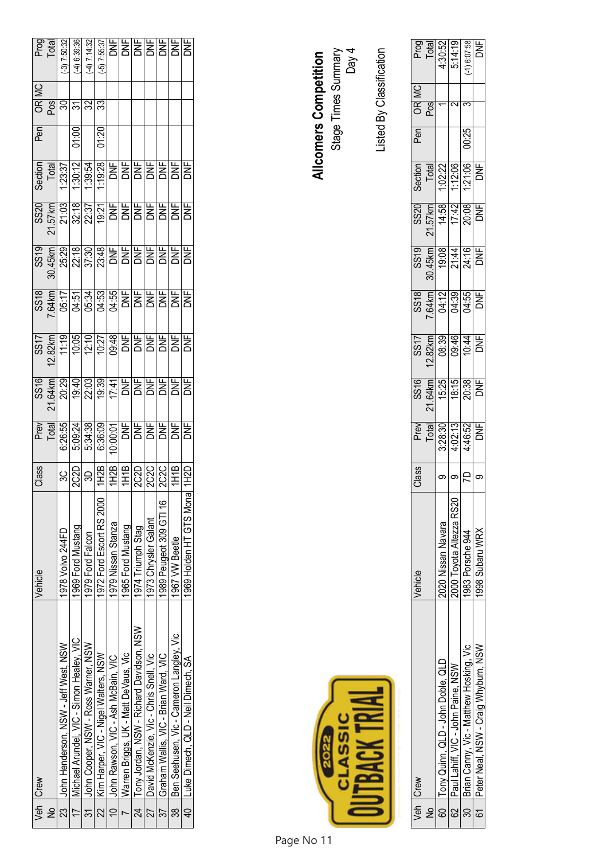|                | Veh Crew                                      | Vehicle                  | Class |  |  |  | Pen               | 05<br>England<br>Call 33<br>Call 33 | Prog<br>Total<br>3) 7:50:32                                                                                                                                                                                                                                                                                                                                                                                                                                                                                      |
|----------------|-----------------------------------------------|--------------------------|-------|--|--|--|-------------------|-------------------------------------|------------------------------------------------------------------------------------------------------------------------------------------------------------------------------------------------------------------------------------------------------------------------------------------------------------------------------------------------------------------------------------------------------------------------------------------------------------------------------------------------------------------|
| $\tilde{z}$    |                                               |                          |       |  |  |  |                   |                                     |                                                                                                                                                                                                                                                                                                                                                                                                                                                                                                                  |
|                | 23 John Henderson, NSW - Jeff West, NSW       | 1978 Volvo 244FD         |       |  |  |  |                   |                                     |                                                                                                                                                                                                                                                                                                                                                                                                                                                                                                                  |
|                | 17   Michael Arundel, VIC - Simon Healey, VIC | 1969 Ford Mustang        |       |  |  |  | $\frac{00:10}{1}$ |                                     | $-4)$ 6:39:36                                                                                                                                                                                                                                                                                                                                                                                                                                                                                                    |
|                | 31 John Cooper, NSW - Ross Warner, NSW        | 1979 Ford Falcon         |       |  |  |  |                   |                                     | $(4)$ 7:14:32                                                                                                                                                                                                                                                                                                                                                                                                                                                                                                    |
|                | 22   Kim Harper, VIC - Nigel Walters, NSW     | 1972 Ford Escort RS 2000 |       |  |  |  | 01:20             |                                     |                                                                                                                                                                                                                                                                                                                                                                                                                                                                                                                  |
|                | John Rawson, VIC - Ash McBain, VIC            | 1979 Nissan Stanza       |       |  |  |  |                   |                                     |                                                                                                                                                                                                                                                                                                                                                                                                                                                                                                                  |
|                | Warren Briggs, UK - Matt DeVaus, Vic          | 1965 Ford Mustang        |       |  |  |  |                   |                                     |                                                                                                                                                                                                                                                                                                                                                                                                                                                                                                                  |
|                | 24 Tony Jordan, NSW - Richard Davidson, NSW   | 1974 Triumph Stag        |       |  |  |  |                   |                                     |                                                                                                                                                                                                                                                                                                                                                                                                                                                                                                                  |
| 77             | David McKenzie. Vic - Chris Snell. Vic        | 1973 Chrysler Galant     |       |  |  |  |                   |                                     |                                                                                                                                                                                                                                                                                                                                                                                                                                                                                                                  |
| 37             | Graham Wallis, VIC - Brian Ward, VIC          | 1989 Peugeot 309 GTI 16  |       |  |  |  |                   |                                     |                                                                                                                                                                                                                                                                                                                                                                                                                                                                                                                  |
| $\frac{1}{38}$ | Ben Seehusen, Vic - Cameron Langley, Vic      | 1967 VW Beetle           |       |  |  |  |                   |                                     |                                                                                                                                                                                                                                                                                                                                                                                                                                                                                                                  |
|                | 40 Luke Dimech, QLD - Neil Dimech, SA         | 1969 Holden HT GTS Monal |       |  |  |  |                   |                                     | $\begin{tabular}{c c} \hline $\mathcal{D}$ & $\mathcal{D} \times \mathcal{D}$ \\ \hline \hline \multicolumn{1}{c}{\textbf{D} \times \mathcal{D}}$ & $\mathcal{D} \times \mathcal{D}$ \\ \hline \multicolumn{1}{c}{\textbf{D} \times \mathcal{D}}$ & $\mathcal{D} \times \mathcal{D}$ \\ \hline \multicolumn{1}{c}{\textbf{D} \times \mathcal{D}}$ & $\mathcal{D} \times \mathcal{D}$ \\ \hline \multicolumn{1}{c}{\textbf{D} \times \mathcal{D}}$ & $\mathcal{D} \times \mathcal{D}$ \\ \hline \multicolumn{1}{$ |

Listed By Classification

Listed By Classification

|   | Veh Crew                                     | ehicle                   | Class                 |                                                   |                                                                                                    |                                             |                                                 |                                       |                                                   | nea   | $\overline{\mathsf{MC}}$ |                                                   |
|---|----------------------------------------------|--------------------------|-----------------------|---------------------------------------------------|----------------------------------------------------------------------------------------------------|---------------------------------------------|-------------------------------------------------|---------------------------------------|---------------------------------------------------|-------|--------------------------|---------------------------------------------------|
| 是 |                                              |                          |                       |                                                   |                                                                                                    |                                             |                                                 |                                       |                                                   |       | $\frac{R}{2}$            |                                                   |
|   | 60 Tony Quinn, QLD - John Doble, QLD         | 2020 Nissan Navara       |                       |                                                   |                                                                                                    |                                             |                                                 |                                       |                                                   |       |                          |                                                   |
|   | 62 Paul Lahiff, VIC - John Paine, NSW        | 2000 Toyota Altezza RS20 | ၈ $\big \circ\big $ ၀ | Prev<br>Total<br>1:02:13<br>1:02:15<br>DNF<br>DNF | $\frac{31.64 \text{ km}}{16.25}$ $\frac{64.75}{16.25}$ $\frac{16.75}{20.38}$ $\frac{16.75}{20.38}$ | SS17<br>2.82km<br>2.839 90:44<br>2009 90:44 | SS18<br><u>C64km</u><br>C64:39<br>C64:55<br>DNF | SS19<br><u>90.45km</u><br>20.314 PINE | Section<br>Total<br>1:02:20<br>1:21:06<br>1:21:06 |       |                          | Prog<br>Total<br>4:30:52<br>5:14:19<br>1) 6:07:58 |
|   | 30   Brian Canny, Vic - Matthew Hosking, Vic | 1983 Porsche 944         |                       |                                                   |                                                                                                    |                                             |                                                 |                                       |                                                   | 00:25 |                          |                                                   |
|   | 61 Peter Neal, NSW - Craig Whyburn, NSW      | 998 Subaru WRX           |                       |                                                   |                                                                                                    |                                             |                                                 |                                       |                                                   |       |                          |                                                   |

CLASSIC 202<br>20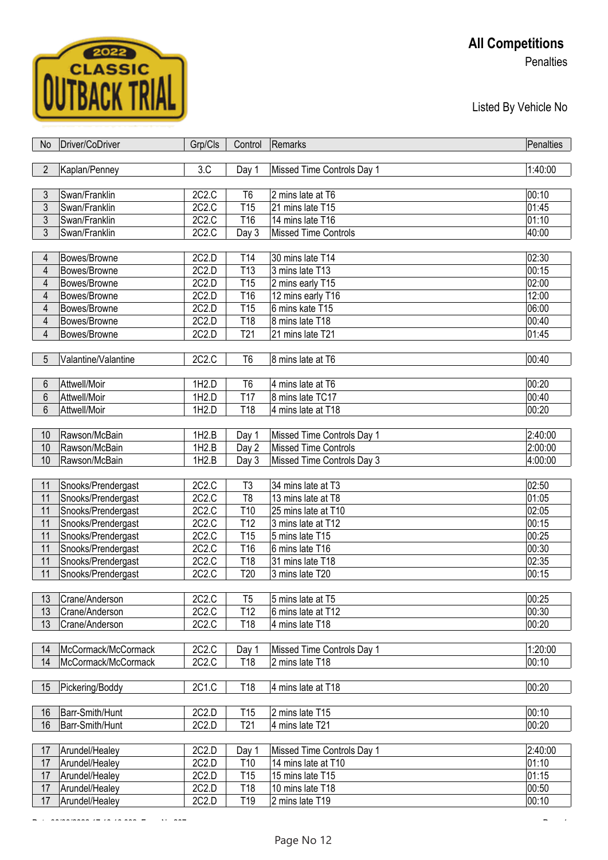

## **All Competitions**

**Penalties** 

Listed By Vehicle No

| No             | Driver/CoDriver     | Grp/Cls | Control         | Remarks                     | Penalties          |
|----------------|---------------------|---------|-----------------|-----------------------------|--------------------|
|                |                     |         |                 |                             |                    |
| $\overline{2}$ | Kaplan/Penney       | 3.C     | Day 1           | Missed Time Controls Day 1  | 1:40:00            |
|                |                     |         |                 |                             |                    |
| $\mathfrak{Z}$ | Swan/Franklin       | 2C2.C   | T <sub>6</sub>  | 2 mins late at T6           | 00:10              |
| $\mathfrak{Z}$ | Swan/Franklin       | 2C2.C   | T <sub>15</sub> | 21 mins late T15            | 01:45              |
| $\mathfrak{Z}$ | Swan/Franklin       | 2C2.C   | T16             | 14 mins late T16            | 01:10              |
| $\overline{3}$ | Swan/Franklin       | 2C2.C   | Day 3           | <b>Missed Time Controls</b> | 40:00              |
|                |                     |         |                 |                             |                    |
| 4              | Bowes/Browne        | 2C2.D   | T14             | 30 mins late T14            | 02:30              |
| $\overline{4}$ | Bowes/Browne        | 2C2.D   | T <sub>13</sub> | 3 mins late T13             | 00:15              |
| 4              | Bowes/Browne        | 2C2.D   | T <sub>15</sub> | 2 mins early T15            | 02:00              |
| 4              | Bowes/Browne        | 2C2.D   | T16             | 12 mins early T16           | 12:00              |
| 4              | Bowes/Browne        | 2C2.D   | T15             | 6 mins kate T15             | 06:00              |
| 4              | Bowes/Browne        | 2C2.D   | T18             | 8 mins late T18             | 00:40              |
| 4              | Bowes/Browne        | 2C2.D   | T <sub>21</sub> | 21 mins late T21            | 01:45              |
|                |                     |         |                 |                             |                    |
| 5              | Valantine/Valantine | 2C2.C   | T <sub>6</sub>  | 8 mins late at T6           | 00:40              |
|                |                     |         |                 |                             |                    |
| 6              | Attwell/Moir        | 1H2.D   | T <sub>6</sub>  | 4 mins late at T6           | 00:20              |
| 6              | Attwell/Moir        | 1H2.D   | <b>T17</b>      | 8 mins late TC17            | $\overline{0}0:40$ |
| 6              | Attwell/Moir        | 1H2.D   | T18             | 4 mins late at T18          | 00:20              |
|                |                     |         |                 |                             |                    |
| 10             | Rawson/McBain       | 1H2.B   | Day 1           | Missed Time Controls Day 1  | 2:40:00            |
| 10             | Rawson/McBain       | 1H2.B   | Day 2           | <b>Missed Time Controls</b> | 2:00:00            |
| 10             | Rawson/McBain       | 1H2.B   | Day 3           | Missed Time Controls Day 3  | 4:00:00            |
|                |                     |         |                 |                             |                    |
| 11             | Snooks/Prendergast  | 2C2.C   | T <sub>3</sub>  | 34 mins late at T3          | 02:50              |
| 11             | Snooks/Prendergast  | 2C2.C   | T <sub>8</sub>  | 13 mins late at T8          | 01:05              |
| 11             | Snooks/Prendergast  | 2C2.C   | T10             | 25 mins late at T10         | 02:05              |
| 11             | Snooks/Prendergast  | 2C2.C   | T <sub>12</sub> | 3 mins late at T12          | 00:15              |
| 11             | Snooks/Prendergast  | 2C2.C   | T15             | 5 mins late T15             | 00:25              |
| 11             | Snooks/Prendergast  | 2C2.C   | T16             | 6 mins late T16             | 00:30              |
| 11             | Snooks/Prendergast  | 2C2.C   | T18             | 31 mins late T18            | 02:35              |
| 11             | Snooks/Prendergast  | 2C2.C   | T <sub>20</sub> | 3 mins late T20             | 00:15              |
|                |                     |         |                 |                             |                    |
| 13             | Crane/Anderson      | 2C2.C   | T <sub>5</sub>  | 5 mins late at T5           | 00:25              |
| 13             | Crane/Anderson      | 2C2.C   | T <sub>12</sub> | 6 mins late at T12          | 00:30              |
| 13             | Crane/Anderson      | 2C2.C   | T18             | 4 mins late T18             | 00:20              |
|                |                     |         |                 |                             |                    |
| 14             | McCormack/McCormack | 2C2.C   | Day 1           | Missed Time Controls Day 1  | 1:20:00            |
| 14             | McCormack/McCormack | 2C2.C   | T18             | 2 mins late T18             | 00:10              |
|                |                     |         |                 |                             |                    |
| 15             | Pickering/Boddy     | 2C1.C   | T18             | 4 mins late at T18          | 00:20              |
|                |                     |         |                 |                             |                    |
| 16             | Barr-Smith/Hunt     | 2C2.D   | T <sub>15</sub> | 2 mins late T15             | 00:10              |
| 16             | Barr-Smith/Hunt     | 2C2.D   | T <sub>21</sub> | 4 mins late T21             | 00:20              |
|                |                     |         |                 |                             |                    |
| 17             | Arundel/Healey      | 2C2.D   | Day 1           | Missed Time Controls Day 1  | 2:40:00            |
| 17             | Arundel/Healey      | 2C2.D   | T <sub>10</sub> | 14 mins late at T10         | 01:10              |
| 17             | Arundel/Healey      | 2C2.D   | T <sub>15</sub> | 15 mins late T15            | 01:15              |
| 17             | Arundel/Healey      | 2C2.D   | T18             | 10 mins late T18            | 00:50              |
| 17             | Arundel/Healey      | 2C2.D   | T19             | 2 mins late T19             | 00:10              |

 $\overline{a}$   $\overline{a}$   $\overline{b}$   $\overline{c}$   $\overline{c}$   $\overline{c}$   $\overline{c}$   $\overline{c}$   $\overline{c}$   $\overline{c}$   $\overline{c}$   $\overline{c}$   $\overline{c}$   $\overline{c}$   $\overline{c}$   $\overline{c}$   $\overline{c}$   $\overline{c}$   $\overline{c}$   $\overline{c}$   $\overline{c}$   $\overline{c}$   $\overline{c}$   $\overline{c}$   $\overline{$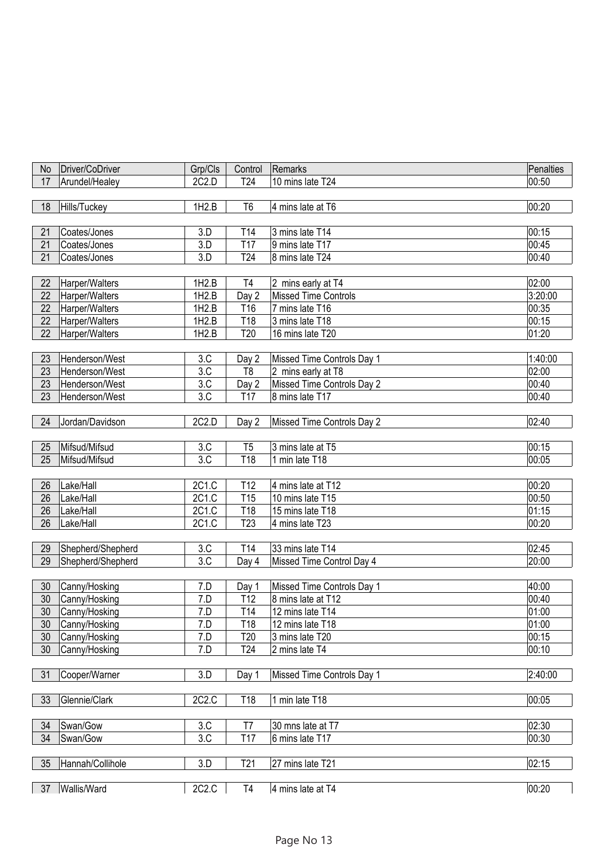| No       | Driver/CoDriver                | Grp/Cls    | Control         | Remarks                     | Penalties      |
|----------|--------------------------------|------------|-----------------|-----------------------------|----------------|
| 17       | Arundel/Healey                 | 2C2.D      | T <sub>24</sub> | 10 mins late T24            | 00:50          |
|          |                                |            |                 |                             |                |
|          |                                |            |                 |                             |                |
| 18       | Hills/Tuckey                   | 1H2.B      | T <sub>6</sub>  | 4 mins late at T6           | 00:20          |
|          |                                |            |                 |                             |                |
| 21       | Coates/Jones                   | 3.D        | T14             | 3 mins late T14             | 00:15          |
| 21       | Coates/Jones                   | 3.D        | <b>T17</b>      | 9 mins late T17             | 00:45          |
| 21       | Coates/Jones                   | 3.D        | T <sub>24</sub> | 8 mins late T24             | 00:40          |
|          |                                |            |                 |                             |                |
| 22       | Harper/Walters                 | 1H2.B      | T4              | 2 mins early at T4          | 02:00          |
| 22       | Harper/Walters                 | 1H2.B      | Day 2           | <b>Missed Time Controls</b> | 3:20:00        |
| 22       | Harper/Walters                 | 1H2.B      | T16             | 7 mins late T16             | 00:35          |
| 22       | Harper/Walters                 | 1H2.B      | T18             | 3 mins late T18             | 00:15          |
| 22       | Harper/Walters                 | 1H2.B      | T20             | 16 mins late T20            | 01:20          |
|          |                                |            |                 |                             |                |
| 23       | Henderson/West                 | 3.C        | Day 2           | Missed Time Controls Day 1  | 1:40:00        |
| 23       | Henderson/West                 | 3.C        | T <sub>8</sub>  | 2 mins early at T8          | 02:00          |
| 23       | Henderson/West                 | 3.C        | Day 2           | Missed Time Controls Day 2  | 00:40          |
| 23       | Henderson/West                 | 3.C        | T17             | 8 mins late T17             | 00:40          |
|          |                                |            |                 |                             |                |
| 24       | Jordan/Davidson                | 2C2.D      | Day 2           | Missed Time Controls Day 2  | 02:40          |
|          |                                |            |                 |                             |                |
| 25       | Mifsud/Mifsud                  | 3.C        | T <sub>5</sub>  | 3 mins late at T5           | 00:15          |
| 25       | Mifsud/Mifsud                  | 3.C        | T18             | 1 min late T18              | 00:05          |
|          |                                |            |                 |                             |                |
| 26       | Lake/Hall                      | 2C1.C      | T12             | 4 mins late at T12          | 00:20          |
| 26       | Lake/Hall                      | 2C1.C      | T15             | 10 mins late T15            | 00:50          |
| 26       | Lake/Hall                      | 2C1.C      | T18             | 15 mins late T18            | 01:15          |
| 26       | Lake/Hall                      | 2C1.C      | T <sub>23</sub> | 4 mins late T23             | 00:20          |
|          |                                |            |                 |                             |                |
| 29       | Shepherd/Shepherd              | 3.C        | T14             | 33 mins late T14            | 02:45          |
| 29       | Shepherd/Shepherd              | 3.C        | Day 4           | Missed Time Control Day 4   | 20:00          |
|          |                                |            |                 |                             |                |
| 30       | Canny/Hosking                  | 7.D        |                 | Missed Time Controls Day 1  | 40:00          |
|          |                                |            | Day 1           | 8 mins late at T12          | 00:40          |
| 30<br>30 | Canny/Hosking<br>Canny/Hosking | 7.D<br>7.D | T12<br>T14      | 12 mins late T14            | 01:00          |
|          |                                |            |                 |                             |                |
| 30       | Canny/Hosking                  | 7.D        | T18             | 12 mins late T18            | 01:00<br>00:15 |
| 30       | Canny/Hosking                  | 7.D        | T20             | 3 mins late T20             |                |
| 30       | Canny/Hosking                  | 7.D        | T <sub>24</sub> | 2 mins late T4              | 00:10          |
|          |                                |            |                 |                             |                |
| 31       | Cooper/Warner                  | 3.D        | Day 1           | Missed Time Controls Day 1  | 2:40:00        |
|          |                                |            |                 |                             |                |
| 33       | Glennie/Clark                  | 2C2.C      | T18             | 1 min late T18              | 00:05          |
|          |                                |            |                 |                             |                |
| 34       | Swan/Gow                       | 3.C        | T7              | 30 mns late at T7           | 02:30          |
| 34       | Swan/Gow                       | 3.C        | T17             | 6 mins late T17             | 00:30          |
|          |                                |            |                 |                             |                |
| 35       | Hannah/Collihole               | 3.D        | T <sub>21</sub> | 27 mins late T21            | 02:15          |
|          |                                |            |                 |                             |                |
| 37       | Wallis/Ward                    | 2C2.C      | T <sub>4</sub>  | 4 mins late at T4           | 00:20          |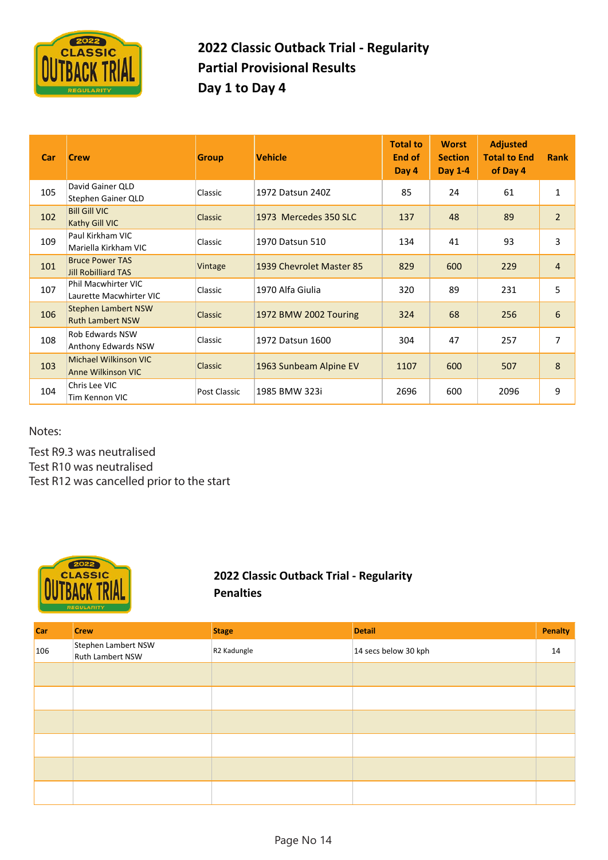

### **2022 Classic Outback Trial ‐ Regularity Partial Provisional Results Day 1 to Day 4**

| Car | <b>Crew</b>                                           | <b>Group</b>   | <b>Vehicle</b>           | <b>Total to</b><br>End of<br>Day 4 | <b>Worst</b><br><b>Section</b><br>Day 1-4 | <b>Adjusted</b><br><b>Total to End</b><br>of Day 4 | <b>Rank</b>    |
|-----|-------------------------------------------------------|----------------|--------------------------|------------------------------------|-------------------------------------------|----------------------------------------------------|----------------|
| 105 | David Gainer QLD<br>Stephen Gainer QLD                | Classic        | 1972 Datsun 240Z         | 85                                 | 24                                        | 61                                                 | $\mathbf{1}$   |
| 102 | <b>Bill Gill VIC</b><br>Kathy Gill VIC                | <b>Classic</b> | 1973 Mercedes 350 SLC    | 137                                | 48                                        | 89                                                 | $\overline{2}$ |
| 109 | Paul Kirkham VIC<br>Mariella Kirkham VIC              | Classic        | 1970 Datsun 510          | 134                                | 41                                        | 93                                                 | 3              |
| 101 | <b>Bruce Power TAS</b><br><b>Jill Robilliard TAS</b>  | Vintage        | 1939 Chevrolet Master 85 | 829                                | 600                                       | 229                                                | $\overline{4}$ |
| 107 | Phil Macwhirter VIC<br>Laurette Macwhirter VIC        | Classic        | 1970 Alfa Giulia         | 320                                | 89                                        | 231                                                | 5              |
| 106 | <b>Stephen Lambert NSW</b><br><b>Ruth Lambert NSW</b> | Classic        | 1972 BMW 2002 Touring    | 324                                | 68                                        | 256                                                | 6              |
| 108 | <b>Rob Edwards NSW</b><br>Anthony Edwards NSW         | Classic        | 1972 Datsun 1600         | 304                                | 47                                        | 257                                                | 7              |
| 103 | Michael Wilkinson VIC<br><b>Anne Wilkinson VIC</b>    | <b>Classic</b> | 1963 Sunbeam Alpine EV   | 1107                               | 600                                       | 507                                                | 8              |
| 104 | Chris Lee VIC<br>Tim Kennon VIC                       | Post Classic   | 1985 BMW 323i            | 2696                               | 600                                       | 2096                                               | 9              |

Notes:

Test R9.3 was neutralised Test R10 was neutralised Test R12 was cancelled prior to the start



### **2022 Classic Outback Trial ‐ Regularity Penalties**

| Car | <b>Crew</b>                             | <b>Stage</b> | <b>Detail</b>        | Penalty |
|-----|-----------------------------------------|--------------|----------------------|---------|
| 106 | Stephen Lambert NSW<br>Ruth Lambert NSW | R2 Kadungle  | 14 secs below 30 kph | 14      |
|     |                                         |              |                      |         |
|     |                                         |              |                      |         |
|     |                                         |              |                      |         |
|     |                                         |              |                      |         |
|     |                                         |              |                      |         |
|     |                                         |              |                      |         |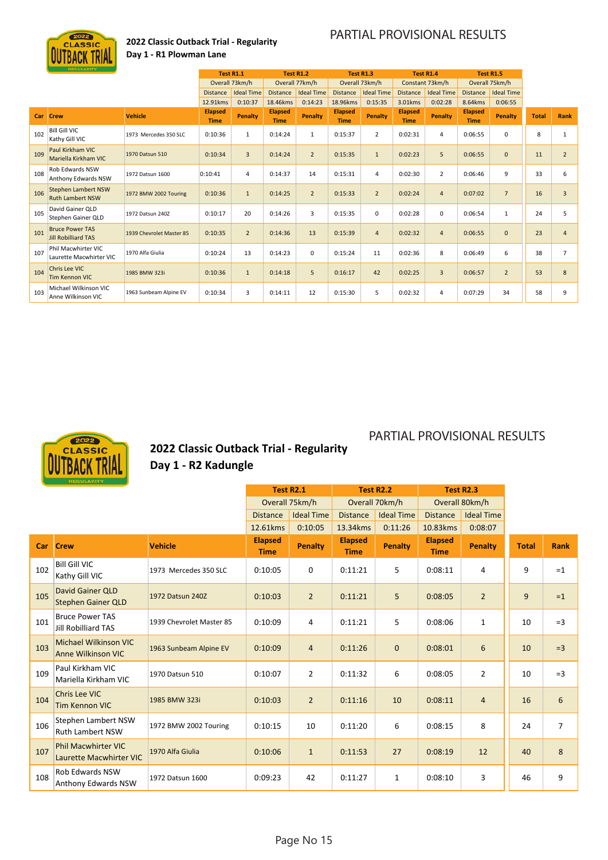

### **2022 Classic Outback Trial ‐ Regularity Day 1 ‐ R1 Plowman Lane**

### PARTIAL PROVISIONAL RESULTS

PARTIAL PROVISIONAL RESULTS

|     | <b>REGULARITY</b>                                     |                          | Test R1.1                     |                   | <b>Test R1.2</b>              |                   | Test R1.3                     |                   | <b>Test R1.4</b>              |                   |                               | <b>Test R1.5</b>  |              |                |
|-----|-------------------------------------------------------|--------------------------|-------------------------------|-------------------|-------------------------------|-------------------|-------------------------------|-------------------|-------------------------------|-------------------|-------------------------------|-------------------|--------------|----------------|
|     |                                                       |                          |                               | Overall 73km/h    |                               | Overall 77km/h    |                               | Overall 73km/h    |                               | Constant 73km/h   |                               | Overall 75km/h    |              |                |
|     |                                                       |                          | <b>Distance</b>               | <b>Ideal Time</b> | <b>Distance</b>               | <b>Ideal Time</b> | <b>Distance</b>               | <b>Ideal Time</b> | <b>Distance</b>               | <b>Ideal Time</b> | <b>Distance</b>               | <b>Ideal Time</b> |              |                |
|     |                                                       |                          | 12.91kms                      | 0:10:37           | 18.46kms                      | 0:14:23           | 18.96kms                      | 0:15:35           | 3.01kms                       | 0:02:28           | 8.64kms                       | 0:06:55           |              |                |
| Car | <b>Crew</b>                                           | <b>Vehicle</b>           | <b>Elapsed</b><br><b>Time</b> | Penalty           | <b>Elapsed</b><br><b>Time</b> | Penalty           | <b>Elapsed</b><br><b>Time</b> | <b>Penalty</b>    | <b>Elapsed</b><br><b>Time</b> | Penalty           | <b>Elapsed</b><br><b>Time</b> | <b>Penalty</b>    | <b>Total</b> | Rank           |
| 102 | <b>Bill Gill VIC</b><br>Kathy Gill VIC                | 1973 Mercedes 350 SLC    | 0:10:36                       | $\mathbf{1}$      | 0:14:24                       | 1                 | 0:15:37                       | $\overline{2}$    | 0:02:31                       | 4                 | 0:06:55                       | 0                 | 8            | $\mathbf{1}$   |
| 109 | Paul Kirkham VIC<br>Mariella Kirkham VIC              | 1970 Datsun 510          | 0:10:34                       | $\overline{3}$    | 0:14:24                       | $\overline{2}$    | 0:15:35                       | $\mathbf{1}$      | 0:02:23                       | 5                 | 0:06:55                       | $\mathbf{0}$      | 11           | $\overline{2}$ |
| 108 | Rob Edwards NSW<br>Anthony Edwards NSW                | 1972 Datsun 1600         | 0:10:41                       | 4                 | 0:14:37                       | 14                | 0:15:31                       | $\overline{4}$    | 0:02:30                       | $\overline{2}$    | 0:06:46                       | 9                 | 33           | 6              |
| 106 | <b>Stephen Lambert NSW</b><br><b>Ruth Lambert NSW</b> | 1972 BMW 2002 Touring    | 0:10:36                       | $\mathbf{1}$      | 0:14:25                       | $\overline{2}$    | 0:15:33                       | $\overline{2}$    | 0:02:24                       | $\overline{4}$    | 0:07:02                       | $\overline{7}$    | 16           | $\overline{3}$ |
| 105 | David Gainer OLD<br>Stephen Gainer OLD                | 1972 Datsun 240Z         | 0:10:17                       | 20                | 0:14:26                       | 3                 | 0:15:35                       | $\mathbf 0$       | 0:02:28                       | 0                 | 0:06:54                       | $\mathbf{1}$      | 24           | 5              |
| 101 | <b>Bruce Power TAS</b><br>Jill Robilliard TAS         | 1939 Chevrolet Master 85 | 0:10:35                       | $\overline{2}$    | 0:14:36                       | 13                | 0:15:39                       | $\overline{4}$    | 0:02:32                       | $\overline{4}$    | 0:06:55                       | $\mathbf{0}$      | 23           | $\overline{4}$ |
| 107 | Phil Macwhirter VIC<br>Laurette Macwhirter VIC        | 1970 Alfa Giulia         | 0:10:24                       | 13                | 0:14:23                       | $\mathbf 0$       | 0:15:24                       | 11                | 0:02:36                       | 8                 | 0:06:49                       | 6                 | 38           | $\overline{7}$ |
| 104 | <b>Chris Lee VIC</b><br><b>Tim Kennon VIC</b>         | 1985 BMW 323i            | 0:10:36                       | $\mathbf{1}$      | 0:14:18                       | 5                 | 0:16:17                       | 42                | 0:02:25                       | $\overline{3}$    | 0:06:57                       | $\overline{2}$    | 53           | 8              |
| 103 | Michael Wilkinson VIC<br>Anne Wilkinson VIC           | 1963 Sunbeam Alpine EV   | 0:10:34                       | 3                 | 0:14:11                       | 12                | 0:15:30                       | 5                 | 0:02:32                       | 4                 | 0:07:29                       | 34                | 58           | 9              |



### **2022 Classic Outback Trial ‐ Regularity Day 1 ‐ R2 Kadungle**

|            |                                                              |                          |                               | <b>Test R2.1</b>  |                               | <b>Test R2.2</b>  |                               | Test R2.3         |              |                |
|------------|--------------------------------------------------------------|--------------------------|-------------------------------|-------------------|-------------------------------|-------------------|-------------------------------|-------------------|--------------|----------------|
|            |                                                              |                          |                               | Overall 75km/h    |                               | Overall 70km/h    |                               | Overall 80km/h    |              |                |
|            |                                                              |                          | <b>Distance</b>               | <b>Ideal Time</b> | <b>Distance</b>               | <b>Ideal Time</b> | <b>Distance</b>               | <b>Ideal Time</b> |              |                |
|            |                                                              |                          | 12.61kms                      | 0:10:05           | 13.34kms                      | 0:11:26           | 10.83kms                      | 0:08:07           |              |                |
| <b>Car</b> | <b>Crew</b>                                                  | <b>Vehicle</b>           | <b>Elapsed</b><br><b>Time</b> | <b>Penalty</b>    | <b>Elapsed</b><br><b>Time</b> | <b>Penalty</b>    | <b>Elapsed</b><br><b>Time</b> | Penalty           | <b>Total</b> | <b>Rank</b>    |
| 102        | <b>Bill Gill VIC</b><br>Kathy Gill VIC                       | 1973 Mercedes 350 SLC    | 0:10:05                       | $\mathbf 0$       | 0:11:21                       | 5                 | 0:08:11                       | 4                 | 9            | $=1$           |
| 105        | <b>David Gainer QLD</b><br><b>Stephen Gainer QLD</b>         | 1972 Datsun 240Z         | 0:10:03                       | $\overline{2}$    | 0:11:21                       | 5                 | 0:08:05                       | $\overline{2}$    | 9            | $=1$           |
| 101        | <b>Bruce Power TAS</b><br><b>Jill Robilliard TAS</b>         | 1939 Chevrolet Master 85 | 0:10:09                       | 4                 | 0:11:21                       | 5                 | 0:08:06                       | $\mathbf{1}$      | 10           | $=3$           |
| 103        | <b>Michael Wilkinson VIC</b><br><b>Anne Wilkinson VIC</b>    | 1963 Sunbeam Alpine EV   | 0:10:09                       | $\overline{4}$    | 0:11:26                       | $\mathbf 0$       | 0:08:01                       | $6\phantom{1}$    | 10           | $=3$           |
| 109        | Paul Kirkham VIC<br>Mariella Kirkham VIC                     | 1970 Datsun 510          | 0:10:07                       | $\overline{2}$    | 0:11:32                       | 6                 | 0:08:05                       | $\overline{2}$    | 10           | $=$ 3          |
| 104        | Chris Lee VIC<br>Tim Kennon VIC                              | 1985 BMW 323i            | 0:10:03                       | $\overline{2}$    | 0:11:16                       | 10                | 0:08:11                       | $\overline{4}$    | 16           | 6              |
| 106        | Stephen Lambert NSW<br><b>Ruth Lambert NSW</b>               | 1972 BMW 2002 Touring    | 0:10:15                       | 10                | 0:11:20                       | 6                 | 0:08:15                       | 8                 | 24           | $\overline{7}$ |
| 107        | <b>Phil Macwhirter VIC</b><br><b>Laurette Macwhirter VIC</b> | 1970 Alfa Giulia         | 0:10:06                       | $\mathbf{1}$      | 0:11:53                       | 27                | 0:08:19                       | 12                | 40           | 8              |
| 108        | <b>Rob Edwards NSW</b><br>Anthony Edwards NSW                | 1972 Datsun 1600         | 0:09:23                       | 42                | 0:11:27                       | $\mathbf{1}$      | 0:08:10                       | 3                 | 46           | 9              |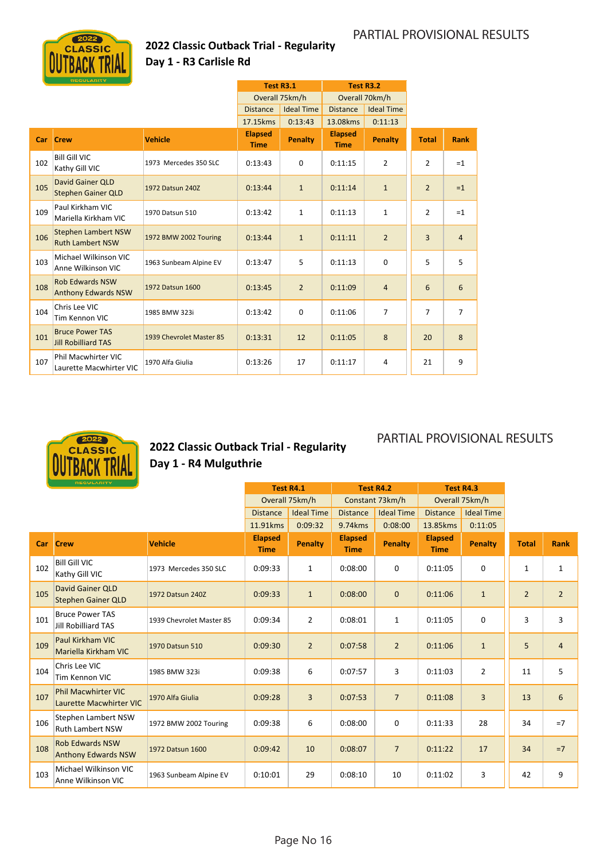### **2022 Classic Outback Trial ‐ Regularity Day 1 ‐ R3 Carlisle Rd**

|     |                                                       |                          |                               | <b>Test R3.1</b>  |                               | <b>Test R3.2</b>  |                |                |
|-----|-------------------------------------------------------|--------------------------|-------------------------------|-------------------|-------------------------------|-------------------|----------------|----------------|
|     |                                                       |                          |                               | Overall 75km/h    |                               | Overall 70km/h    |                |                |
|     |                                                       |                          | <b>Distance</b>               | <b>Ideal Time</b> | <b>Distance</b>               | <b>Ideal Time</b> |                |                |
|     |                                                       |                          | 17.15kms                      | 0:13:43           | 13.08kms                      | 0:11:13           |                |                |
| Car | <b>Crew</b>                                           | <b>Vehicle</b>           | <b>Elapsed</b><br><b>Time</b> | <b>Penalty</b>    | <b>Elapsed</b><br><b>Time</b> | Penalty           | <b>Total</b>   | <b>Rank</b>    |
| 102 | <b>Bill Gill VIC</b><br>Kathy Gill VIC                | 1973 Mercedes 350 SLC    | 0:13:43                       | $\mathbf 0$       | 0:11:15                       | $\overline{2}$    | $\overline{2}$ | $=1$           |
| 105 | David Gainer QLD<br><b>Stephen Gainer QLD</b>         | 1972 Datsun 240Z         | 0:13:44                       | $\mathbf{1}$      | 0:11:14                       | $\mathbf{1}$      | $\overline{2}$ | $=1$           |
| 109 | Paul Kirkham VIC<br>Mariella Kirkham VIC              | 1970 Datsun 510          | 0:13:42                       | $\mathbf{1}$      | 0:11:13                       | $\mathbf{1}$      | $\overline{2}$ | $=1$           |
| 106 | <b>Stephen Lambert NSW</b><br><b>Ruth Lambert NSW</b> | 1972 BMW 2002 Touring    | 0:13:44                       | $\mathbf{1}$      | 0:11:11                       | $\overline{2}$    | 3              | $\overline{4}$ |
| 103 | Michael Wilkinson VIC<br>Anne Wilkinson VIC           | 1963 Sunbeam Alpine EV   | 0:13:47                       | 5                 | 0:11:13                       | 0                 | 5              | 5              |
| 108 | <b>Rob Edwards NSW</b><br><b>Anthony Edwards NSW</b>  | 1972 Datsun 1600         | 0:13:45                       | $\overline{2}$    | 0:11:09                       | $\overline{4}$    | 6              | 6              |
| 104 | Chris Lee VIC<br>Tim Kennon VIC                       | 1985 BMW 323i            | 0:13:42                       | $\mathbf 0$       | 0:11:06                       | $\overline{7}$    | $\overline{7}$ | $\overline{7}$ |
| 101 | <b>Bruce Power TAS</b><br><b>Jill Robilliard TAS</b>  | 1939 Chevrolet Master 85 | 0:13:31                       | 12                | 0:11:05                       | 8                 | 20             | 8              |
| 107 | Phil Macwhirter VIC<br>Laurette Macwhirter VIC        | 1970 Alfa Giulia         | 0:13:26                       | 17                | 0:11:17                       | 4                 | 21             | 9              |



### **2022 Classic Outback Trial ‐ Regularity Day 1 ‐ R4 Mulguthrie**

|     | <b>REGULARITY</b>                                     |                          | <b>Test R4.1</b>              |                   |                               | <b>Test R4.2</b>  | Test R4.3                     |                   |                |                |
|-----|-------------------------------------------------------|--------------------------|-------------------------------|-------------------|-------------------------------|-------------------|-------------------------------|-------------------|----------------|----------------|
|     |                                                       |                          |                               | Overall 75km/h    |                               | Constant 73km/h   |                               | Overall 75km/h    |                |                |
|     |                                                       |                          | <b>Distance</b>               | <b>Ideal Time</b> | <b>Distance</b>               | <b>Ideal Time</b> | <b>Distance</b>               | <b>Ideal Time</b> |                |                |
|     |                                                       |                          | 11.91kms                      | 0:09:32           | 9.74kms                       | 0:08:00           | 13.85kms                      | 0:11:05           |                |                |
| Car | <b>Crew</b>                                           | <b>Vehicle</b>           | <b>Elapsed</b><br><b>Time</b> | <b>Penalty</b>    | <b>Elapsed</b><br><b>Time</b> | <b>Penalty</b>    | <b>Elapsed</b><br><b>Time</b> | Penalty           | <b>Total</b>   | <b>Rank</b>    |
| 102 | <b>Bill Gill VIC</b><br>Kathy Gill VIC                | 1973 Mercedes 350 SLC    | 0:09:33                       | $\mathbf{1}$      | 0:08:00                       | 0                 | 0:11:05                       | $\mathbf 0$       | $\mathbf{1}$   | $\mathbf{1}$   |
| 105 | David Gainer QLD<br><b>Stephen Gainer QLD</b>         | 1972 Datsun 240Z         | 0:09:33                       | $\mathbf{1}$      | 0:08:00                       | $\mathbf{0}$      | 0:11:06                       | $\mathbf{1}$      | $\overline{2}$ | $\overline{2}$ |
| 101 | <b>Bruce Power TAS</b><br>Jill Robilliard TAS         | 1939 Chevrolet Master 85 | 0:09:34                       | $\overline{2}$    | 0:08:01                       | $\mathbf{1}$      | 0:11:05                       | 0                 | 3              | 3              |
| 109 | Paul Kirkham VIC<br>Mariella Kirkham VIC              | 1970 Datsun 510          | 0:09:30                       | $\overline{2}$    | 0:07:58                       | $\overline{2}$    | 0:11:06                       | $\mathbf{1}$      | 5              | $\overline{4}$ |
| 104 | Chris Lee VIC<br>Tim Kennon VIC                       | 1985 BMW 323i            | 0:09:38                       | 6                 | 0:07:57                       | 3                 | 0:11:03                       | $\overline{2}$    | 11             | 5              |
| 107 | <b>Phil Macwhirter VIC</b><br>Laurette Macwhirter VIC | 1970 Alfa Giulia         | 0:09:28                       | 3                 | 0:07:53                       | $\overline{7}$    | 0:11:08                       | 3                 | 13             | $6\phantom{1}$ |
| 106 | Stephen Lambert NSW<br><b>Ruth Lambert NSW</b>        | 1972 BMW 2002 Touring    | 0:09:38                       | 6                 | 0:08:00                       | 0                 | 0:11:33                       | 28                | 34             | $=7$           |
| 108 | <b>Rob Edwards NSW</b><br><b>Anthony Edwards NSW</b>  | 1972 Datsun 1600         | 0:09:42                       | 10                | 0:08:07                       | $\overline{7}$    | 0:11:22                       | 17                | 34             | $=7$           |
| 103 | Michael Wilkinson VIC<br>Anne Wilkinson VIC           | 1963 Sunbeam Alpine EV   | 0:10:01                       | 29                | 0:08:10                       | 10                | 0:11:02                       | 3                 | 42             | 9              |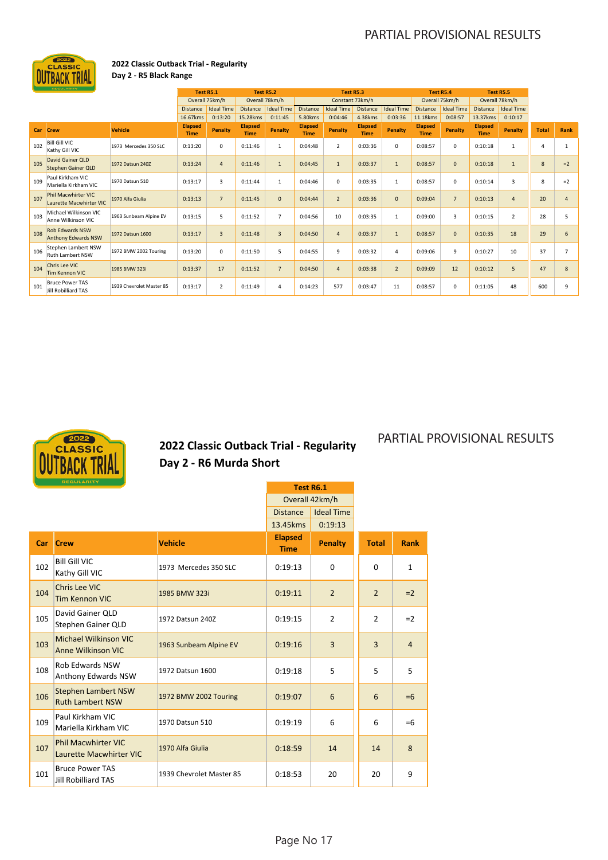

### **2022 Classic Outback Trial ‐ Regularity Day 2 ‐ R5 Black Range**

|     | REGULARITY                                            |                          | <b>Test R5.1</b>              |                   |                               | <b>Test R5.2</b>  |                               | Test R5.3         |                               |                   |                               | <b>Test R5.4</b>  |                               | <b>Test R5.5</b>  |              |                |
|-----|-------------------------------------------------------|--------------------------|-------------------------------|-------------------|-------------------------------|-------------------|-------------------------------|-------------------|-------------------------------|-------------------|-------------------------------|-------------------|-------------------------------|-------------------|--------------|----------------|
|     |                                                       |                          | Overall 75km/h                |                   |                               | Overall 78km/h    |                               | Constant 73km/h   |                               |                   |                               | Overall 75km/h    |                               | Overall 78km/h    |              |                |
|     |                                                       |                          | <b>Distance</b>               | <b>Ideal Time</b> | Distance                      | <b>Ideal Time</b> | <b>Distance</b>               | <b>Ideal Time</b> | <b>Distance</b>               | <b>Ideal Time</b> | <b>Distance</b>               | <b>Ideal Time</b> | <b>Distance</b>               | <b>Ideal Time</b> |              |                |
|     |                                                       |                          | 16.67kms                      | 0:13:20           | 15.28kms                      | 0:11:45           | 5.80kms                       | 0:04:46           | 4.38kms                       | 0:03:36           | 11.18kms                      | 0:08:57           | 13.37kms                      | 0:10:17           |              |                |
| Car | <b>Crew</b>                                           | <b>Vehicle</b>           | <b>Elapsed</b><br><b>Time</b> | Penalty           | <b>Elapsed</b><br><b>Time</b> | Penalty           | <b>Elapsed</b><br><b>Time</b> | <b>Penalty</b>    | <b>Elapsed</b><br><b>Time</b> | Penalty           | <b>Elapsed</b><br><b>Time</b> | Penalty           | <b>Elapsed</b><br><b>Time</b> | Penalty           | <b>Total</b> | Rank           |
| 102 | <b>Bill Gill VIC</b><br>Kathy Gill VIC                | 1973 Mercedes 350 SLC    | 0:13:20                       | 0                 | 0:11:46                       | $\mathbf{1}$      | 0:04:48                       | $\overline{2}$    | 0:03:36                       | 0                 | 0:08:57                       | 0                 | 0:10:18                       | 1                 | 4            |                |
| 105 | David Gainer OLD<br><b>Stephen Gainer QLD</b>         | 1972 Datsun 240Z         | 0:13:24                       | $\overline{4}$    | 0:11:46                       | $\mathbf{1}$      | 0:04:45                       | $\mathbf{1}$      | 0:03:37                       | $\mathbf{1}$      | 0:08:57                       | $\mathbf{0}$      | 0:10:18                       | $\mathbf{1}$      | 8            | $=2$           |
| 109 | Paul Kirkham VIC<br>Mariella Kirkham VIC              | 1970 Datsun 510          | 0:13:17                       | 3                 | 0:11:44                       | $\mathbf{1}$      | 0:04:46                       | 0                 | 0:03:35                       | $\mathbf{1}$      | 0:08:57                       | $^{\circ}$        | 0:10:14                       | 3                 | 8            | $=2$           |
| 107 | <b>Phil Macwhirter VIC</b><br>Laurette Macwhirter VIC | 1970 Alfa Giulia         | 0:13:13                       | $\overline{7}$    | 0:11:45                       | $\mathbf 0$       | 0:04:44                       | $\overline{2}$    | 0:03:36                       | $\mathbf 0$       | 0:09:04                       | $\overline{7}$    | 0:10:13                       | $\overline{4}$    | 20           | $\overline{4}$ |
| 103 | Michael Wilkinson VIC<br>Anne Wilkinson VIC           | 1963 Sunbeam Alpine EV   | 0:13:15                       | 5                 | 0:11:52                       | $\overline{7}$    | 0:04:56                       | 10                | 0:03:35                       | 1                 | 0:09:00                       | 3                 | 0:10:15                       | $\overline{2}$    | 28           | 5              |
| 108 | <b>Rob Edwards NSW</b><br><b>Anthony Edwards NSW</b>  | 1972 Datsun 1600         | 0:13:17                       | $\overline{3}$    | 0:11:48                       | 3                 | 0:04:50                       | $\overline{4}$    | 0:03:37                       | $\mathbf{1}$      | 0:08:57                       | $\mathbf 0$       | 0:10:35                       | 18                | 29           | 6              |
| 106 | Stephen Lambert NSW<br><b>Ruth Lambert NSW</b>        | 1972 BMW 2002 Touring    | 0:13:20                       | $\mathbf 0$       | 0:11:50                       | 5                 | 0:04:55                       | 9                 | 0:03:32                       | 4                 | 0:09:06                       | 9                 | 0:10:27                       | 10                | 37           | $\overline{7}$ |
| 104 | <b>Chris Lee VIC</b><br><b>Tim Kennon VIC</b>         | 1985 BMW 323i            | 0:13:37                       | 17                | 0:11:52                       | $\overline{7}$    | 0:04:50                       | $\overline{4}$    | 0:03:38                       | $\overline{2}$    | 0:09:09                       | 12                | 0:10:12                       | 5                 | 47           | 8              |
| 101 | <b>Bruce Power TAS</b><br>Jill Robilliard TAS         | 1939 Chevrolet Master 85 | 0:13:17                       | $\overline{2}$    | 0:11:49                       | 4                 | 0:14:23                       | 577               | 0:03:47                       | 11                | 0:08:57                       | 0                 | 0:11:05                       | 48                | 600          | 9              |



**2022 Classic Outback Trial ‐ Regularity Day 2 ‐ R6 Murda Short**

|     |                                                              |                          | Test R6.1                     |                   |                |                |
|-----|--------------------------------------------------------------|--------------------------|-------------------------------|-------------------|----------------|----------------|
|     |                                                              |                          |                               | Overall 42km/h    |                |                |
|     |                                                              |                          | <b>Distance</b>               | <b>Ideal Time</b> |                |                |
|     |                                                              |                          | 13.45kms                      | 0:19:13           |                |                |
| Car | <b>Crew</b>                                                  | <b>Vehicle</b>           | <b>Elapsed</b><br><b>Time</b> | <b>Penalty</b>    | <b>Total</b>   | <b>Rank</b>    |
| 102 | <b>Bill Gill VIC</b><br>Kathy Gill VIC                       | 1973 Mercedes 350 SLC    | 0:19:13                       | $\Omega$          | $\Omega$       | $\mathbf{1}$   |
| 104 | <b>Chris Lee VIC</b><br><b>Tim Kennon VIC</b>                | 1985 BMW 323i            | 0:19:11                       | $\overline{2}$    | $\overline{2}$ | $=2$           |
| 105 | David Gainer QLD<br>Stephen Gainer QLD                       | 1972 Datsun 240Z         | 0:19:15                       | $\overline{2}$    | $\overline{2}$ | $=2$           |
| 103 | <b>Michael Wilkinson VIC</b><br><b>Anne Wilkinson VIC</b>    | 1963 Sunbeam Alpine EV   | 0:19:16                       | $\overline{3}$    | $\overline{3}$ | $\overline{4}$ |
| 108 | Rob Edwards NSW<br>Anthony Edwards NSW                       | 1972 Datsun 1600         | 0:19:18                       | 5                 | 5              | 5              |
| 106 | <b>Stephen Lambert NSW</b><br><b>Ruth Lambert NSW</b>        | 1972 BMW 2002 Touring    | 0:19:07                       | 6                 | 6              | $=6$           |
| 109 | Paul Kirkham VIC<br>Mariella Kirkham VIC                     | 1970 Datsun 510          | 0:19:19                       | 6                 | 6              | $=6$           |
| 107 | <b>Phil Macwhirter VIC</b><br><b>Laurette Macwhirter VIC</b> | 1970 Alfa Giulia         | 0:18:59                       | 14                | 14             | 8              |
| 101 | <b>Bruce Power TAS</b><br><b>Jill Robilliard TAS</b>         | 1939 Chevrolet Master 85 | 0:18:53                       | 20                | 20             | 9              |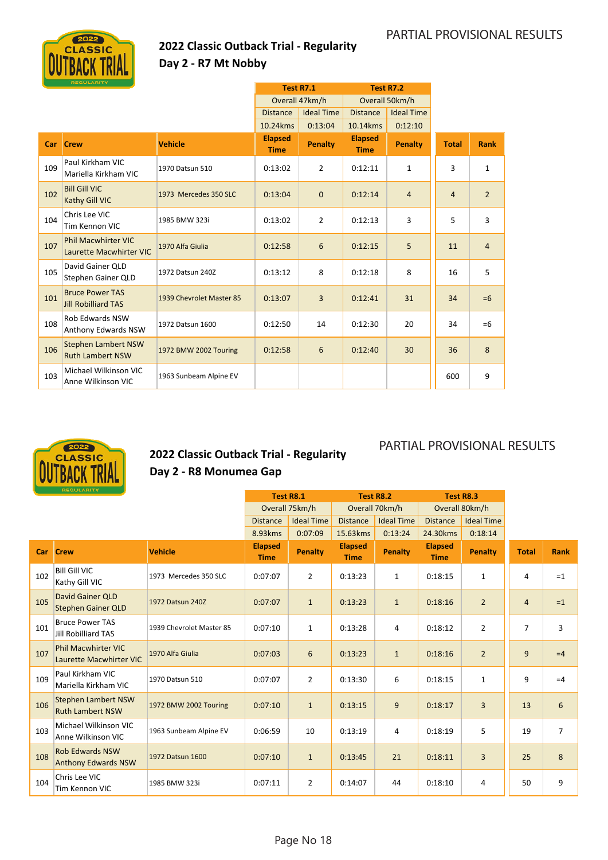

### **2022 Classic Outback Trial ‐ Regularity Day 2 ‐ R7 Mt Nobby**

|     |                                                       |                          |                               | <b>Test R7.1</b>  |                               | <b>Test R7.2</b>  |                |                |
|-----|-------------------------------------------------------|--------------------------|-------------------------------|-------------------|-------------------------------|-------------------|----------------|----------------|
|     |                                                       |                          |                               | Overall 47km/h    |                               | Overall 50km/h    |                |                |
|     |                                                       |                          | <b>Distance</b>               | <b>Ideal Time</b> | <b>Distance</b>               | <b>Ideal Time</b> |                |                |
|     |                                                       |                          | 10.24kms                      | 0:13:04           | 10.14kms                      | 0:12:10           |                |                |
| Car | <b>Crew</b>                                           | <b>Vehicle</b>           | <b>Elapsed</b><br><b>Time</b> | <b>Penalty</b>    | <b>Elapsed</b><br><b>Time</b> | Penalty           | <b>Total</b>   | Rank           |
| 109 | Paul Kirkham VIC<br>Mariella Kirkham VIC              | 1970 Datsun 510          | 0:13:02                       | $\overline{2}$    | 0:12:11                       | $\mathbf{1}$      | 3              | $\mathbf{1}$   |
| 102 | <b>Bill Gill VIC</b><br>Kathy Gill VIC                | 1973 Mercedes 350 SLC    | 0:13:04                       | $\mathbf 0$       | 0:12:14                       | $\overline{4}$    | $\overline{4}$ | $\overline{2}$ |
| 104 | Chris Lee VIC<br>Tim Kennon VIC                       | 1985 BMW 323i            | 0:13:02                       | $\overline{2}$    | 0:12:13                       | 3                 | 5              | 3              |
| 107 | <b>Phil Macwhirter VIC</b><br>Laurette Macwhirter VIC | 1970 Alfa Giulia         | 0:12:58                       | 6                 | 0:12:15                       | 5                 | 11             | $\overline{4}$ |
| 105 | David Gainer QLD<br>Stephen Gainer QLD                | 1972 Datsun 240Z         | 0:13:12                       | 8                 | 0:12:18                       | 8                 | 16             | 5              |
| 101 | <b>Bruce Power TAS</b><br><b>Jill Robilliard TAS</b>  | 1939 Chevrolet Master 85 | 0:13:07                       | 3                 | 0:12:41                       | 31                | 34             | $=6$           |
| 108 | <b>Rob Edwards NSW</b><br><b>Anthony Edwards NSW</b>  | 1972 Datsun 1600         | 0:12:50                       | 14                | 0:12:30                       | 20                | 34             | $=6$           |
| 106 | <b>Stephen Lambert NSW</b><br><b>Ruth Lambert NSW</b> | 1972 BMW 2002 Touring    | 0:12:58                       | 6                 | 0:12:40                       | 30                | 36             | 8              |
| 103 | Michael Wilkinson VIC<br>Anne Wilkinson VIC           | 1963 Sunbeam Alpine EV   |                               |                   |                               |                   | 600            | 9              |



### **2022 Classic Outback Trial ‐ Regularity Day 2 ‐ R8 Monumea Gap**

|     | <b>REGULARITY</b>                                            |                          | <b>Test R8.1</b>              |                   | <b>Test R8.2</b>              |                   | Test R8.3                     |                   |                |                |
|-----|--------------------------------------------------------------|--------------------------|-------------------------------|-------------------|-------------------------------|-------------------|-------------------------------|-------------------|----------------|----------------|
|     |                                                              |                          |                               | Overall 75km/h    |                               | Overall 70km/h    | Overall 80km/h                |                   |                |                |
|     |                                                              |                          | <b>Distance</b>               | <b>Ideal Time</b> | <b>Distance</b>               | <b>Ideal Time</b> | <b>Distance</b>               | <b>Ideal Time</b> |                |                |
|     |                                                              |                          | 8.93kms                       | 0:07:09           | 15.63kms                      | 0:13:24           | 24.30 kms                     | 0:18:14           |                |                |
| Car | <b>Crew</b>                                                  | <b>Vehicle</b>           | <b>Elapsed</b><br><b>Time</b> | <b>Penalty</b>    | <b>Elapsed</b><br><b>Time</b> | <b>Penalty</b>    | <b>Elapsed</b><br><b>Time</b> | <b>Penalty</b>    | <b>Total</b>   | <b>Rank</b>    |
| 102 | <b>Bill Gill VIC</b><br>Kathy Gill VIC                       | 1973 Mercedes 350 SLC    | 0:07:07                       | $\overline{2}$    | 0:13:23                       | $\mathbf{1}$      | 0:18:15                       | 1                 | 4              | $=1$           |
| 105 | <b>David Gainer QLD</b><br><b>Stephen Gainer QLD</b>         | 1972 Datsun 240Z         | 0:07:07                       | $\mathbf{1}$      | 0:13:23                       | $\mathbf{1}$      | 0:18:16                       | $\overline{2}$    | $\overline{4}$ | $=1$           |
| 101 | <b>Bruce Power TAS</b><br>Jill Robilliard TAS                | 1939 Chevrolet Master 85 | 0:07:10                       | $\mathbf{1}$      | 0:13:28                       | 4                 | 0:18:12                       | $\overline{2}$    | $\overline{7}$ | 3              |
| 107 | <b>Phil Macwhirter VIC</b><br><b>Laurette Macwhirter VIC</b> | 1970 Alfa Giulia         | 0:07:03                       | 6                 | 0:13:23                       | $\mathbf{1}$      | 0:18:16                       | $\overline{2}$    | 9              | $=4$           |
| 109 | Paul Kirkham VIC<br>Mariella Kirkham VIC                     | 1970 Datsun 510          | 0:07:07                       | $\overline{2}$    | 0:13:30                       | 6                 | 0:18:15                       | $\mathbf{1}$      | 9              | $=4$           |
| 106 | <b>Stephen Lambert NSW</b><br><b>Ruth Lambert NSW</b>        | 1972 BMW 2002 Touring    | 0:07:10                       | $\mathbf{1}$      | 0:13:15                       | 9                 | 0:18:17                       | 3                 | 13             | 6              |
| 103 | Michael Wilkinson VIC<br>Anne Wilkinson VIC                  | 1963 Sunbeam Alpine EV   | 0:06:59                       | 10                | 0:13:19                       | 4                 | 0:18:19                       | 5                 | 19             | $\overline{7}$ |
| 108 | <b>Rob Edwards NSW</b><br><b>Anthony Edwards NSW</b>         | 1972 Datsun 1600         | 0:07:10                       | $\mathbf{1}$      | 0:13:45                       | 21                | 0:18:11                       | $\overline{3}$    | 25             | 8              |
| 104 | Chris Lee VIC<br>Tim Kennon VIC                              | 1985 BMW 323i            | 0:07:11                       | $\overline{2}$    | 0:14:07                       | 44                | 0:18:10                       | 4                 | 50             | 9              |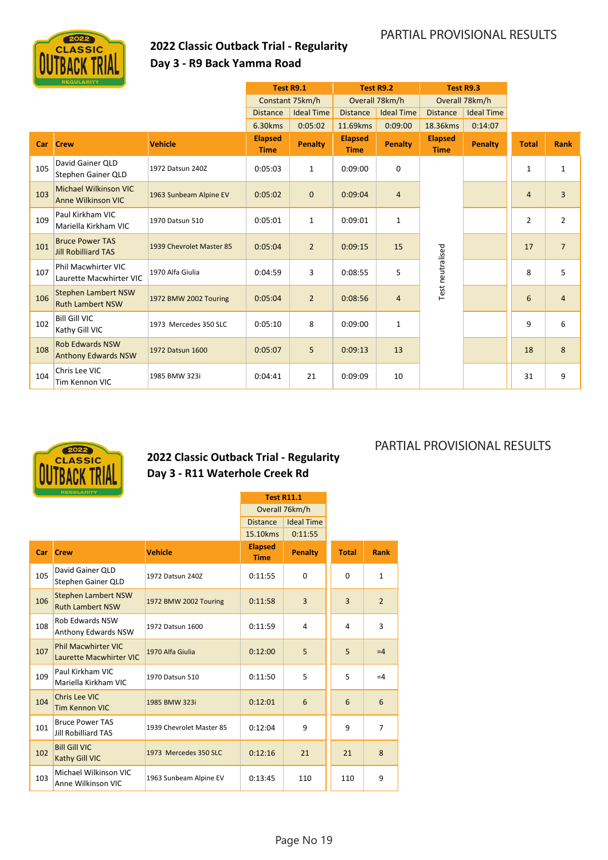

### **2022 Classic Outback Trial ‐ Regularity Day 3 ‐ R9 Back Yamma Road**

|     | <b>REGULARITY</b>                                     |                          |                               |                   |                               |                   |                               |                   |                |                |
|-----|-------------------------------------------------------|--------------------------|-------------------------------|-------------------|-------------------------------|-------------------|-------------------------------|-------------------|----------------|----------------|
|     |                                                       |                          | Test R9.1                     |                   |                               | <b>Test R9.2</b>  | Test R9.3                     |                   |                |                |
|     |                                                       |                          |                               | Constant 75km/h   |                               | Overall 78km/h    |                               | Overall 78km/h    |                |                |
|     |                                                       |                          | <b>Distance</b>               | <b>Ideal Time</b> | <b>Distance</b>               | <b>Ideal Time</b> | <b>Distance</b>               | <b>Ideal Time</b> |                |                |
|     |                                                       |                          | 6.30kms                       | 0:05:02           | 11.69kms                      | 0:09:00           | 18.36kms                      | 0:14:07           |                |                |
| Car | <b>Crew</b>                                           | <b>Vehicle</b>           | <b>Elapsed</b><br><b>Time</b> | Penalty           | <b>Elapsed</b><br><b>Time</b> | <b>Penalty</b>    | <b>Elapsed</b><br><b>Time</b> | Penalty           | <b>Total</b>   | <b>Rank</b>    |
| 105 | David Gainer QLD<br>Stephen Gainer QLD                | 1972 Datsun 240Z         | 0:05:03                       | $\mathbf{1}$      | 0:09:00                       | 0                 |                               |                   | $\mathbf{1}$   | $\mathbf{1}$   |
| 103 | Michael Wilkinson VIC<br><b>Anne Wilkinson VIC</b>    | 1963 Sunbeam Alpine EV   | 0:05:02                       | $\mathbf 0$       | 0:09:04                       | 4                 |                               |                   | $\overline{4}$ | $\overline{3}$ |
| 109 | Paul Kirkham VIC<br>Mariella Kirkham VIC              | 1970 Datsun 510          | 0:05:01                       | $\mathbf{1}$      | 0:09:01                       | $\mathbf{1}$      |                               |                   | $\overline{2}$ | $\overline{2}$ |
| 101 | <b>Bruce Power TAS</b><br><b>Jill Robilliard TAS</b>  | 1939 Chevrolet Master 85 | 0:05:04                       | $\overline{2}$    | 0:09:15                       | 15                |                               |                   | 17             | $\overline{7}$ |
| 107 | <b>Phil Macwhirter VIC</b><br>Laurette Macwhirter VIC | 1970 Alfa Giulia         | 0:04:59                       | 3                 | 0:08:55                       | 5                 | Test neutralised              |                   | 8              | 5              |
| 106 | <b>Stephen Lambert NSW</b><br><b>Ruth Lambert NSW</b> | 1972 BMW 2002 Touring    | 0:05:04                       | $\overline{2}$    | 0:08:56                       | $\overline{4}$    |                               |                   | 6              | $\overline{4}$ |
| 102 | <b>Bill Gill VIC</b><br>Kathy Gill VIC                | 1973 Mercedes 350 SLC    | 0:05:10                       | 8                 | 0:09:00                       | 1                 |                               |                   | 9              | 6              |
| 108 | <b>Rob Edwards NSW</b><br><b>Anthony Edwards NSW</b>  | 1972 Datsun 1600         | 0:05:07                       | 5                 | 0:09:13                       | 13                |                               |                   | 18             | 8              |
| 104 | Chris Lee VIC<br>Tim Kennon VIC                       | 1985 BMW 323i            | 0:04:41                       | 21                | 0:09:09                       | 10                |                               |                   | 31             | 9              |



### **2022 Classic Outback Trial ‐ Regularity Day 3 ‐ R11 Waterhole Creek Rd**

|     | <b>REGULARITY</b>                                            |                          |                               | <b>Test R11.1</b> |                |                |
|-----|--------------------------------------------------------------|--------------------------|-------------------------------|-------------------|----------------|----------------|
|     |                                                              |                          |                               | Overall 76km/h    |                |                |
|     |                                                              |                          | <b>Distance</b>               | <b>Ideal Time</b> |                |                |
|     |                                                              |                          | 15.10kms                      | 0:11:55           |                |                |
| Car | <b>Crew</b>                                                  | <b>Vehicle</b>           | <b>Elapsed</b><br><b>Time</b> | <b>Penalty</b>    | <b>Total</b>   | <b>Rank</b>    |
| 105 | David Gainer QLD<br>Stephen Gainer QLD                       | 1972 Datsun 240Z         | 0:11:55                       | 0                 | 0              | $\mathbf{1}$   |
| 106 | <b>Stephen Lambert NSW</b><br><b>Ruth Lambert NSW</b>        | 1972 BMW 2002 Touring    | 0:11:58                       | $\overline{3}$    | $\overline{3}$ | $\overline{2}$ |
| 108 | <b>Rob Edwards NSW</b><br>Anthony Edwards NSW                | 1972 Datsun 1600         | 0:11:59                       | 4                 | 4              | 3              |
| 107 | <b>Phil Macwhirter VIC</b><br><b>Laurette Macwhirter VIC</b> | 1970 Alfa Giulia         | 0:12:00                       | 5                 | 5              | $=4$           |
| 109 | Paul Kirkham VIC<br>Mariella Kirkham VIC                     | 1970 Datsun 510          | 0:11:50                       | 5                 | 5              | $=4$           |
| 104 | Chris Lee VIC<br><b>Tim Kennon VIC</b>                       | 1985 BMW 323i            | 0:12:01                       | 6                 | 6              | 6              |
| 101 | <b>Bruce Power TAS</b><br><b>Jill Robilliard TAS</b>         | 1939 Chevrolet Master 85 | 0:12:04                       | 9                 | 9              | $\overline{7}$ |
| 102 | <b>Bill Gill VIC</b><br>Kathy Gill VIC                       | 1973 Mercedes 350 SLC    | 0:12:16                       | 21                | 21             | 8              |
| 103 | Michael Wilkinson VIC<br>Anne Wilkinson VIC                  | 1963 Sunbeam Alpine EV   | 0:13:45                       | 110               | 110            | 9              |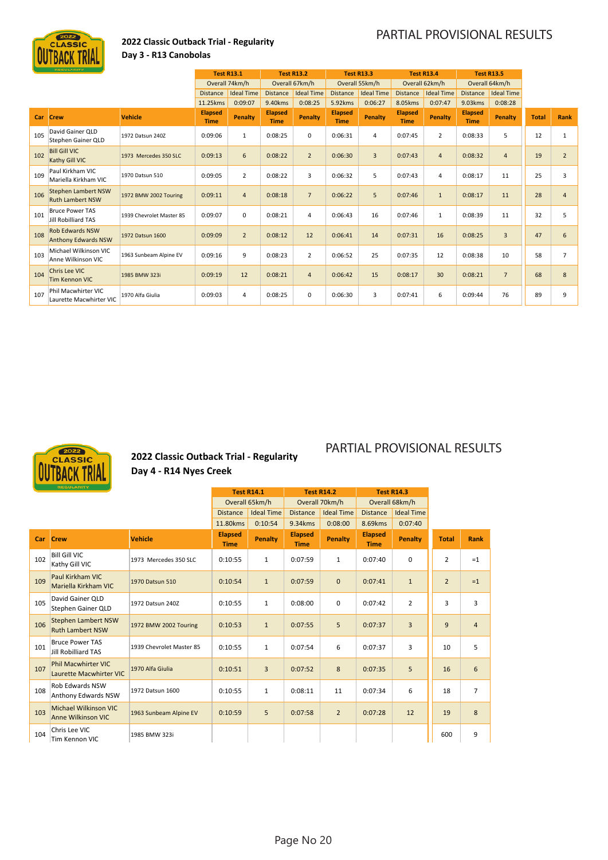

### **2022 Classic Outback Trial ‐ Regularity Day 3 ‐ R13 Canobolas**

|     | <b>REGULARITY</b>                                     |                          |                               | <b>Test R13.1</b> |                               | <b>Test R13.2</b> |                               | <b>Test R13.3</b> |                               | <b>Test R13.4</b> |                               | <b>Test R13.5</b> |              |                |
|-----|-------------------------------------------------------|--------------------------|-------------------------------|-------------------|-------------------------------|-------------------|-------------------------------|-------------------|-------------------------------|-------------------|-------------------------------|-------------------|--------------|----------------|
|     |                                                       |                          |                               | Overall 74km/h    |                               | Overall 67km/h    |                               | Overall 55km/h    |                               | Overall 62km/h    |                               | Overall 64km/h    |              |                |
|     |                                                       |                          | <b>Distance</b>               | <b>Ideal Time</b> | <b>Distance</b>               | <b>Ideal Time</b> | <b>Distance</b>               | <b>Ideal Time</b> | <b>Distance</b>               | <b>Ideal Time</b> | <b>Distance</b>               | <b>Ideal Time</b> |              |                |
|     |                                                       |                          | 11.25kms                      | 0:09:07           | 9.40kms                       | 0:08:25           | 5.92kms                       | 0:06:27           | 8.05kms                       | 0:07:47           | 9.03kms                       | 0:08:28           |              |                |
| Car | <b>Crew</b>                                           | <b>Vehicle</b>           | <b>Elapsed</b><br><b>Time</b> | <b>Penalty</b>    | <b>Elapsed</b><br><b>Time</b> | Penalty           | <b>Elapsed</b><br><b>Time</b> | <b>Penalty</b>    | <b>Elapsed</b><br><b>Time</b> | Penalty           | <b>Elapsed</b><br><b>Time</b> | <b>Penalty</b>    | <b>Total</b> | <b>Rank</b>    |
| 105 | David Gainer OLD<br>Stephen Gainer OLD                | 1972 Datsun 240Z         | 0:09:06                       | $\mathbf{1}$      | 0:08:25                       | 0                 | 0:06:31                       | $\overline{4}$    | 0:07:45                       | $\overline{2}$    | 0:08:33                       | 5                 | 12           | 1              |
| 102 | <b>Bill Gill VIC</b><br>Kathy Gill VIC                | 1973 Mercedes 350 SLC    | 0:09:13                       | 6                 | 0:08:22                       | $\overline{2}$    | 0:06:30                       | $\overline{3}$    | 0:07:43                       | 4                 | 0:08:32                       | $\overline{4}$    | 19           | $\overline{2}$ |
| 109 | Paul Kirkham VIC<br>Mariella Kirkham VIC              | 1970 Datsun 510          | 0:09:05                       | $\overline{2}$    | 0:08:22                       | 3                 | 0:06:32                       | 5                 | 0:07:43                       | 4                 | 0:08:17                       | 11                | 25           | 3              |
| 106 | <b>Stephen Lambert NSW</b><br><b>Ruth Lambert NSW</b> | 1972 BMW 2002 Touring    | 0:09:11                       | $\overline{4}$    | 0:08:18                       | $\overline{7}$    | 0:06:22                       | 5                 | 0:07:46                       | $\mathbf{1}$      | 0:08:17                       | 11                | 28           | $\overline{4}$ |
| 101 | <b>Bruce Power TAS</b><br>Jill Robilliard TAS         | 1939 Chevrolet Master 85 | 0:09:07                       | $\mathbf 0$       | 0:08:21                       | 4                 | 0:06:43                       | 16                | 0:07:46                       | 1                 | 0:08:39                       | 11                | 32           | 5              |
| 108 | <b>Rob Edwards NSW</b><br><b>Anthony Edwards NSW</b>  | 1972 Datsun 1600         | 0:09:09                       | $\overline{2}$    | 0:08:12                       | 12                | 0:06:41                       | 14                | 0:07:31                       | 16                | 0:08:25                       | $\overline{3}$    | 47           | 6              |
| 103 | Michael Wilkinson VIC<br>Anne Wilkinson VIC           | 1963 Sunbeam Alpine EV   | 0:09:16                       | 9                 | 0:08:23                       | $\overline{2}$    | 0:06:52                       | 25                | 0:07:35                       | 12                | 0:08:38                       | 10                | 58           | $\overline{7}$ |
| 104 | Chris Lee VIC<br><b>Tim Kennon VIC</b>                | 1985 BMW 323i            | 0:09:19                       | 12                | 0:08:21                       | $\overline{4}$    | 0:06:42                       | 15                | 0:08:17                       | 30                | 0:08:21                       | $\overline{7}$    | 68           | 8              |
| 107 | Phil Macwhirter VIC<br>Laurette Macwhirter VIC        | 1970 Alfa Giulia         | 0:09:03                       | 4                 | 0:08:25                       | 0                 | 0:06:30                       | 3                 | 0:07:41                       | 6                 | 0:09:44                       | 76                | 89           | 9              |



### **2022 Classic Outback Trial ‐ Regularity Day 4 ‐ R14 Nyes Creek**

| <b>REGULARITY</b> |                                                              | <b>Test R14.1</b>        |                               | <b>Test R14.2</b> |                               | <b>Test R14.3</b> |                               |                   |                |                |
|-------------------|--------------------------------------------------------------|--------------------------|-------------------------------|-------------------|-------------------------------|-------------------|-------------------------------|-------------------|----------------|----------------|
|                   |                                                              | Overall 65km/h           |                               | Overall 70km/h    |                               | Overall 68km/h    |                               |                   |                |                |
|                   |                                                              |                          | <b>Distance</b>               | <b>Ideal Time</b> | <b>Distance</b>               | <b>Ideal Time</b> | <b>Distance</b>               | <b>Ideal Time</b> |                |                |
|                   |                                                              |                          | 11.80kms                      | 0:10:54           | 9.34kms                       | 0:08:00           | 8.69kms                       | 0:07:40           |                |                |
| <b>Car</b>        | <b>Crew</b>                                                  | <b>Vehicle</b>           | <b>Elapsed</b><br><b>Time</b> | <b>Penalty</b>    | <b>Elapsed</b><br><b>Time</b> | <b>Penalty</b>    | <b>Elapsed</b><br><b>Time</b> | <b>Penalty</b>    | <b>Total</b>   | Rank           |
| 102               | <b>Bill Gill VIC</b><br>Kathy Gill VIC                       | 1973 Mercedes 350 SLC    | 0:10:55                       | $\mathbf{1}$      | 0:07:59                       | $\mathbf{1}$      | 0:07:40                       | 0                 | $\overline{2}$ | $=1$           |
| 109               | Paul Kirkham VIC<br>Mariella Kirkham VIC                     | 1970 Datsun 510          | 0:10:54                       | $\mathbf{1}$      | 0:07:59                       | $\mathbf{0}$      | 0:07:41                       | $\mathbf{1}$      | $\overline{2}$ | $=1$           |
| 105               | David Gainer QLD<br>Stephen Gainer QLD                       | 1972 Datsun 240Z         | 0:10:55                       | $\mathbf{1}$      | 0:08:00                       | 0                 | 0:07:42                       | $\overline{2}$    | 3              | 3              |
| 106               | <b>Stephen Lambert NSW</b><br><b>Ruth Lambert NSW</b>        | 1972 BMW 2002 Touring    | 0:10:53                       | $\mathbf{1}$      | 0:07:55                       | 5                 | 0:07:37                       | 3                 | 9              | $\overline{4}$ |
| 101               | <b>Bruce Power TAS</b><br><b>Jill Robilliard TAS</b>         | 1939 Chevrolet Master 85 | 0:10:55                       | $\mathbf{1}$      | 0:07:54                       | 6                 | 0:07:37                       | 3                 | 10             | 5              |
| 107               | <b>Phil Macwhirter VIC</b><br><b>Laurette Macwhirter VIC</b> | 1970 Alfa Giulia         | 0:10:51                       | $\overline{3}$    | 0:07:52                       | 8                 | 0:07:35                       | 5                 | 16             | 6              |
| 108               | <b>Rob Edwards NSW</b><br>Anthony Edwards NSW                | 1972 Datsun 1600         | 0:10:55                       | $\mathbf{1}$      | 0:08:11                       | 11                | 0:07:34                       | 6                 | 18             | $\overline{7}$ |
| 103               | Michael Wilkinson VIC<br><b>Anne Wilkinson VIC</b>           | 1963 Sunbeam Alpine EV   | 0:10:59                       | 5                 | 0:07:58                       | $\overline{2}$    | 0:07:28                       | 12                | 19             | 8              |
| 104               | Chris Lee VIC<br>Tim Kennon VIC                              | 1985 BMW 323i            |                               |                   |                               |                   |                               |                   | 600            | 9              |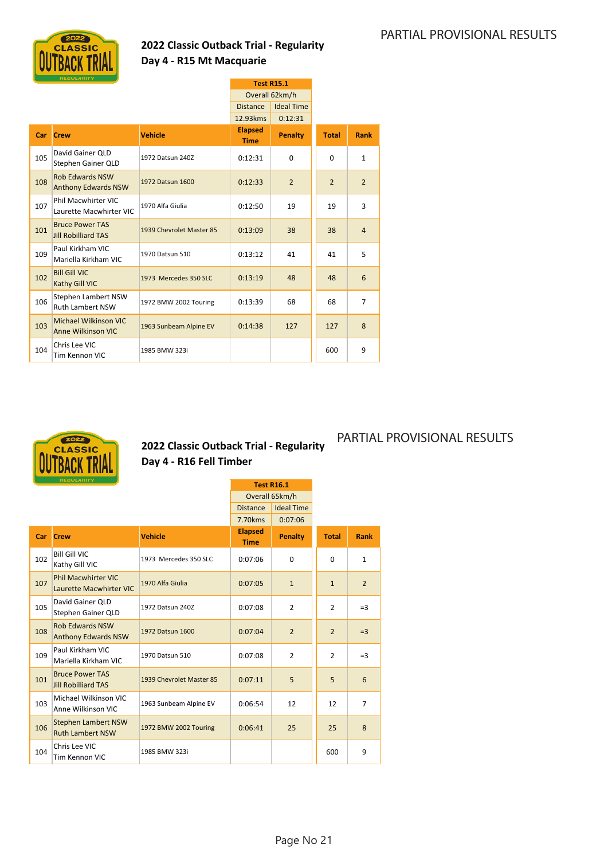PARTIAL PROVISIONAL RESULTS



### **2022 Classic Outback Trial ‐ Regularity Day 4 ‐ R15 Mt Macquarie**

| <b>REGULARITY</b> |                                                           |                          |                               | <b>Test R15.1</b> |                |                |
|-------------------|-----------------------------------------------------------|--------------------------|-------------------------------|-------------------|----------------|----------------|
|                   |                                                           |                          | Overall 62km/h                |                   |                |                |
|                   |                                                           |                          | <b>Distance</b>               | <b>Ideal Time</b> |                |                |
|                   |                                                           |                          | 12.93kms                      | 0:12:31           |                |                |
| Car               | <b>Crew</b>                                               | <b>Vehicle</b>           | <b>Elapsed</b><br><b>Time</b> | <b>Penalty</b>    | <b>Total</b>   | <b>Rank</b>    |
| 105               | David Gainer QLD<br>Stephen Gainer QLD                    | 1972 Datsun 240Z         | 0:12:31                       | $\Omega$          | $\Omega$       | $\mathbf{1}$   |
| 108               | <b>Rob Edwards NSW</b><br><b>Anthony Edwards NSW</b>      | 1972 Datsun 1600         | 0:12:33                       | $\overline{2}$    | $\overline{2}$ | $\overline{2}$ |
| 107               | Phil Macwhirter VIC<br>Laurette Macwhirter VIC            | 1970 Alfa Giulia         | 0:12:50                       | 19                | 19             | 3              |
| 101               | <b>Bruce Power TAS</b><br><b>Jill Robilliard TAS</b>      | 1939 Chevrolet Master 85 | 0:13:09                       | 38                | 38             | $\overline{4}$ |
| 109               | Paul Kirkham VIC<br>Mariella Kirkham VIC                  | 1970 Datsun 510          | 0:13:12                       | 41                | 41             | 5              |
| 102               | <b>Bill Gill VIC</b><br>Kathy Gill VIC                    | 1973 Mercedes 350 SLC    | 0:13:19                       | 48                | 48             | 6              |
| 106               | Stephen Lambert NSW<br><b>Ruth Lambert NSW</b>            | 1972 BMW 2002 Touring    | 0:13:39                       | 68                | 68             | $\overline{7}$ |
| 103               | <b>Michael Wilkinson VIC</b><br><b>Anne Wilkinson VIC</b> | 1963 Sunbeam Alpine EV   | 0:14:38                       | 127               | 127            | 8              |
| 104               | Chris Lee VIC<br>Tim Kennon VIC                           | 1985 BMW 323i            |                               |                   | 600            | 9              |



### **2022 Classic Outback Trial ‐ Regularity Day 4 ‐ R16 Fell Timber**

| <b>REGULARITY</b> |                                                              |                          |                                      | <b>Test R16.1</b> |                |                |
|-------------------|--------------------------------------------------------------|--------------------------|--------------------------------------|-------------------|----------------|----------------|
|                   |                                                              |                          |                                      | Overall 65km/h    |                |                |
|                   |                                                              |                          | <b>Ideal Time</b><br><b>Distance</b> |                   |                |                |
|                   |                                                              |                          | 7.70kms                              | 0:07:06           |                |                |
| Car               | <b>Crew</b>                                                  | <b>Vehicle</b>           | <b>Elapsed</b><br><b>Time</b>        | <b>Penalty</b>    | <b>Total</b>   | <b>Rank</b>    |
| 102               | <b>Bill Gill VIC</b><br>Kathy Gill VIC                       | 1973 Mercedes 350 SLC    | 0:07:06                              | $\Omega$          | 0              | $\mathbf{1}$   |
| 107               | <b>Phil Macwhirter VIC</b><br><b>Laurette Macwhirter VIC</b> | 1970 Alfa Giulia         | 0:07:05                              | $\mathbf{1}$      | $\mathbf{1}$   | $\overline{2}$ |
| 105               | David Gainer QLD<br>Stephen Gainer QLD                       | 1972 Datsun 240Z         | 0:07:08                              | $\overline{2}$    | $\overline{2}$ | $=$ 3          |
| 108               | <b>Rob Edwards NSW</b><br><b>Anthony Edwards NSW</b>         | 1972 Datsun 1600         | 0:07:04                              | $\overline{2}$    | $\overline{2}$ | $=$ 3          |
| 109               | Paul Kirkham VIC<br>Mariella Kirkham VIC                     | 1970 Datsun 510          | 0:07:08                              | $\overline{2}$    | 2              | $=$ 3          |
| 101               | <b>Bruce Power TAS</b><br><b>Jill Robilliard TAS</b>         | 1939 Chevrolet Master 85 | 0:07:11                              | 5                 | 5              | 6              |
| 103               | Michael Wilkinson VIC<br>Anne Wilkinson VIC                  | 1963 Sunbeam Alpine EV   | 0:06:54                              | 12                | 12             | $\overline{7}$ |
| 106               | <b>Stephen Lambert NSW</b><br><b>Ruth Lambert NSW</b>        | 1972 BMW 2002 Touring    | 0:06:41                              | 25                | 25             | 8              |
| 104               | Chris Lee VIC<br>Tim Kennon VIC                              | 1985 BMW 323i            |                                      |                   | 600            | 9              |